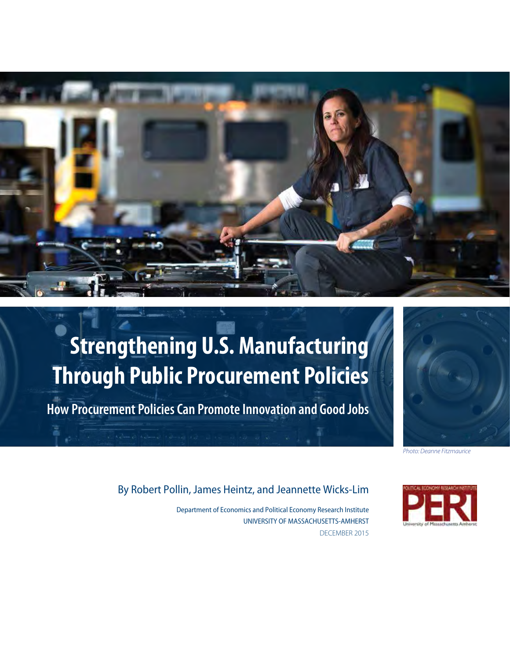

# **Strengthening U.S. Manufacturing Through Public Procurement Policies**

**How Procurement Policies Can Promote Innovation and Good Jobs**



*Photo: Deanne Fitzmaurice*

# By Robert Pollin, James Heintz, and Jeannette Wicks-Lim

Department of Economics and Political Economy Research Institute UNIVERSITY OF MASSACHUSETTS-AMHERST DECEMBER 2015

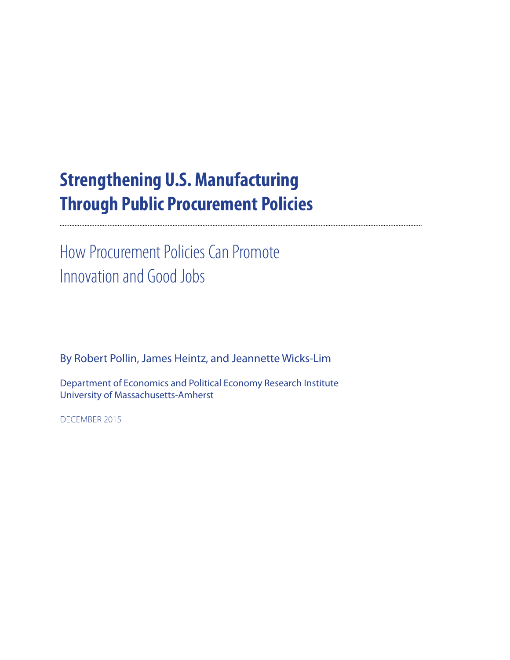# **Strengthening U.S. Manufacturing Through Public Procurement Policies**

How Procurement Policies Can Promote Innovation and Good Jobs

By Robert Pollin, James Heintz, and Jeannette Wicks-Lim

Department of Economics and Political Economy Research Institute University of Massachusetts-Amherst

DECEMBER 2015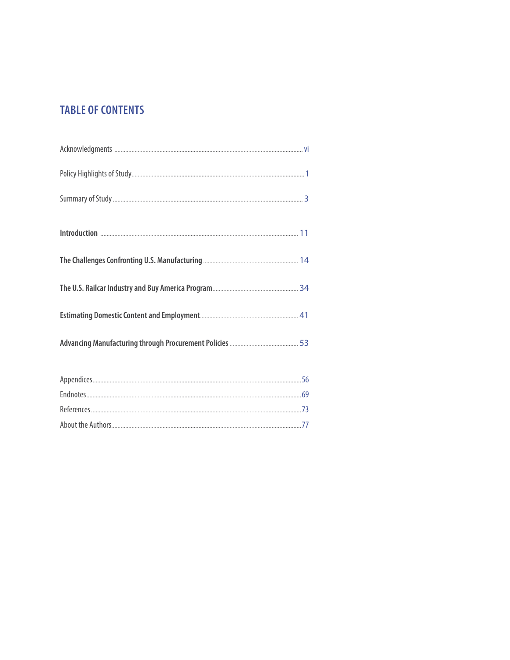# **TABLE OF CONTENTS**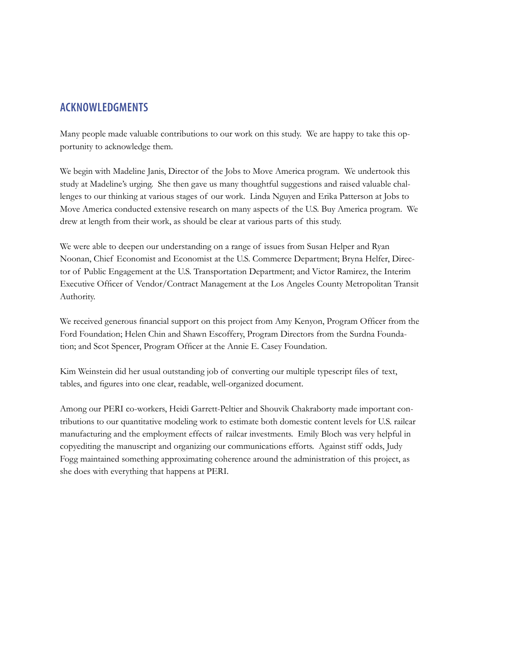# **ACKNOWLEDGMENTS**

Many people made valuable contributions to our work on this study. We are happy to take this opportunity to acknowledge them.

We begin with Madeline Janis, Director of the Jobs to Move America program. We undertook this study at Madeline's urging. She then gave us many thoughtful suggestions and raised valuable challenges to our thinking at various stages of our work. Linda Nguyen and Erika Patterson at Jobs to Move America conducted extensive research on many aspects of the U.S. Buy America program. We drew at length from their work, as should be clear at various parts of this study.

We were able to deepen our understanding on a range of issues from Susan Helper and Ryan Noonan, Chief Economist and Economist at the U.S. Commerce Department; Bryna Helfer, Director of Public Engagement at the U.S. Transportation Department; and Victor Ramirez, the Interim Executive Officer of Vendor/Contract Management at the Los Angeles County Metropolitan Transit Authority.

We received generous financial support on this project from Amy Kenyon, Program Officer from the Ford Foundation; Helen Chin and Shawn Escoffery, Program Directors from the Surdna Foundation; and Scot Spencer, Program Officer at the Annie E. Casey Foundation.

Kim Weinstein did her usual outstanding job of converting our multiple typescript files of text, tables, and figures into one clear, readable, well-organized document.

Among our PERI co-workers, Heidi Garrett-Peltier and Shouvik Chakraborty made important contributions to our quantitative modeling work to estimate both domestic content levels for U.S. railcar manufacturing and the employment effects of railcar investments. Emily Bloch was very helpful in copyediting the manuscript and organizing our communications efforts. Against stiff odds, Judy Fogg maintained something approximating coherence around the administration of this project, as she does with everything that happens at PERI.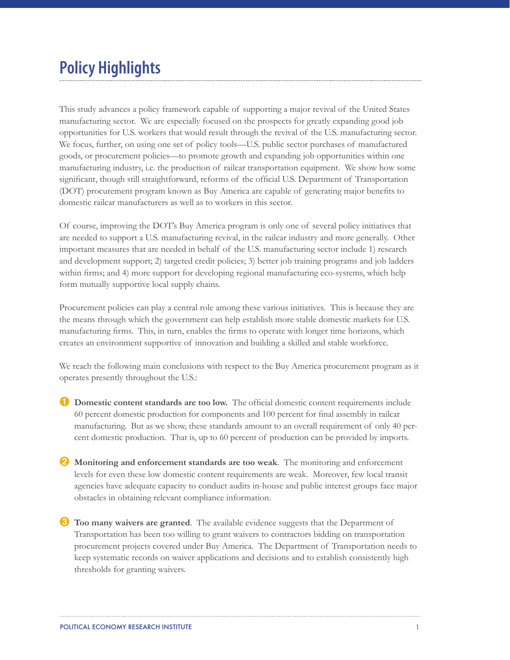# **Policy Highlights**

This study advances a policy framework capable of supporting a major revival of the United States manufacturing sector. We are especially focused on the prospects for greatly expanding good job opportunities for U.S. workers that would result through the revival of the U.S. manufacturing sector. We focus, further, on using one set of policy tools—U.S. public sector purchases of manufactured goods, or procurement policies—to promote growth and expanding job opportunities within one manufacturing industry, i.e. the production of railcar transportation equipment. We show how some significant, though still straightforward, reforms of the official U.S. Department of Transportation (DOT) procurement program known as Buy America are capable of generating major benefits to domestic railcar manufacturers as well as to workers in this sector.

Of course, improving the DOT's Buy America program is only one of several policy initiatives that are needed to support a U.S. manufacturing revival, in the railcar industry and more generally. Other important measures that are needed in behalf of the U.S. manufacturing sector include 1) research and development support; 2) targeted credit policies; 3) better job training programs and job ladders within firms; and 4) more support for developing regional manufacturing eco-systems, which help form mutually supportive local supply chains.

Procurement policies can play a central role among these various initiatives. This is because they are the means through which the government can help establish more stable domestic markets for U.S. manufacturing firms. This, in turn, enables the firms to operate with longer time horizons, which creates an environment supportive of innovation and building a skilled and stable workforce.

We reach the following main conclusions with respect to the Buy America procurement program as it operates presently throughout the U.S.:

- **ID** Domestic content standards are too low. The official domestic content requirements include 60 percent domestic production for components and 100 percent for final assembly in railcar manufacturing. But as we show, these standards amount to an overall requirement of only 40 percent domestic production. That is, up to 60 percent of production can be provided by imports.
- ➋ **Monitoring and enforcement standards are too weak**. The monitoring and enforcement levels for even these low domestic content requirements are weak. Moreover, few local transit agencies have adequate capacity to conduct audits in-house and public interest groups face major obstacles in obtaining relevant compliance information.
- ➌ **Too many waivers are granted**. The available evidence suggests that the Department of Transportation has been too willing to grant waivers to contractors bidding on transportation procurement projects covered under Buy America. The Department of Transportation needs to keep systematic records on waiver applications and decisions and to establish consistently high thresholds for granting waivers.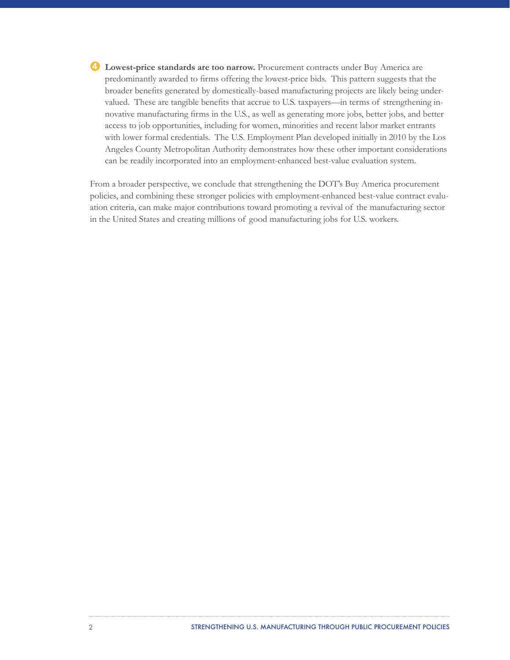➍ **Lowest-price standards are too narrow.** Procurement contracts under Buy America are predominantly awarded to firms offering the lowest-price bids. This pattern suggests that the broader benefits generated by domestically-based manufacturing projects are likely being undervalued. These are tangible benefits that accrue to U.S. taxpayers—in terms of strengthening innovative manufacturing firms in the U.S., as well as generating more jobs, better jobs, and better access to job opportunities, including for women, minorities and recent labor market entrants with lower formal credentials. The U.S. Employment Plan developed initially in 2010 by the Los Angeles County Metropolitan Authority demonstrates how these other important considerations can be readily incorporated into an employment-enhanced best-value evaluation system.

From a broader perspective, we conclude that strengthening the DOT's Buy America procurement policies, and combining these stronger policies with employment-enhanced best-value contract evaluation criteria, can make major contributions toward promoting a revival of the manufacturing sector in the United States and creating millions of good manufacturing jobs for U.S. workers.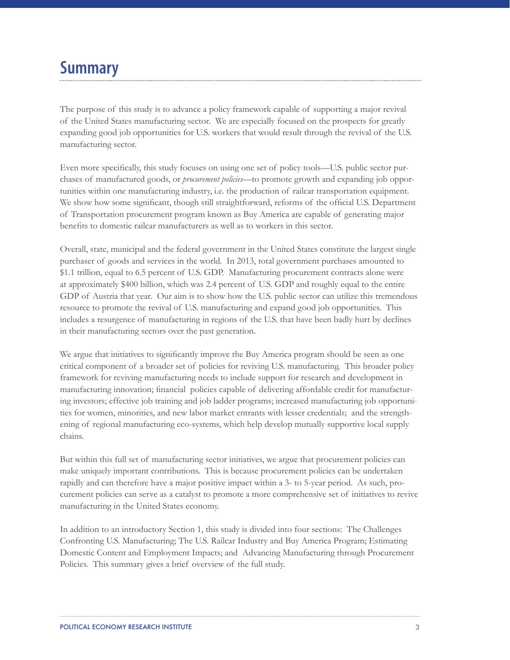# **Summary**

The purpose of this study is to advance a policy framework capable of supporting a major revival of the United States manufacturing sector. We are especially focused on the prospects for greatly expanding good job opportunities for U.S. workers that would result through the revival of the U.S. manufacturing sector.

Even more specifically, this study focuses on using one set of policy tools—U.S. public sector purchases of manufactured goods, or *procurement policies*—to promote growth and expanding job opportunities within one manufacturing industry, i.e. the production of railcar transportation equipment. We show how some significant, though still straightforward, reforms of the official U.S. Department of Transportation procurement program known as Buy America are capable of generating major benefits to domestic railcar manufacturers as well as to workers in this sector.

Overall, state, municipal and the federal government in the United States constitute the largest single purchaser of goods and services in the world. In 2013, total government purchases amounted to \$1.1 trillion, equal to 6.5 percent of U.S. GDP. Manufacturing procurement contracts alone were at approximately \$400 billion, which was 2.4 percent of U.S. GDP and roughly equal to the entire GDP of Austria that year. Our aim is to show how the U.S. public sector can utilize this tremendous resource to promote the revival of U.S. manufacturing and expand good job opportunities. This includes a resurgence of manufacturing in regions of the U.S. that have been badly hurt by declines in their manufacturing sectors over the past generation.

We argue that initiatives to significantly improve the Buy America program should be seen as one critical component of a broader set of policies for reviving U.S. manufacturing. This broader policy framework for reviving manufacturing needs to include support for research and development in manufacturing innovation; financial policies capable of delivering affordable credit for manufacturing investors; effective job training and job ladder programs; increased manufacturing job opportunities for women, minorities, and new labor market entrants with lesser credentials; and the strengthening of regional manufacturing eco-systems, which help develop mutually supportive local supply chains.

But within this full set of manufacturing sector initiatives, we argue that procurement policies can make uniquely important contributions. This is because procurement policies can be undertaken rapidly and can therefore have a major positive impact within a 3- to 5-year period. As such, procurement policies can serve as a catalyst to promote a more comprehensive set of initiatives to revive manufacturing in the United States economy.

In addition to an introductory Section 1, this study is divided into four sections: The Challenges Confronting U.S. Manufacturing; The U.S. Railcar Industry and Buy America Program; Estimating Domestic Content and Employment Impacts; and Advancing Manufacturing through Procurement Policies. This summary gives a brief overview of the full study.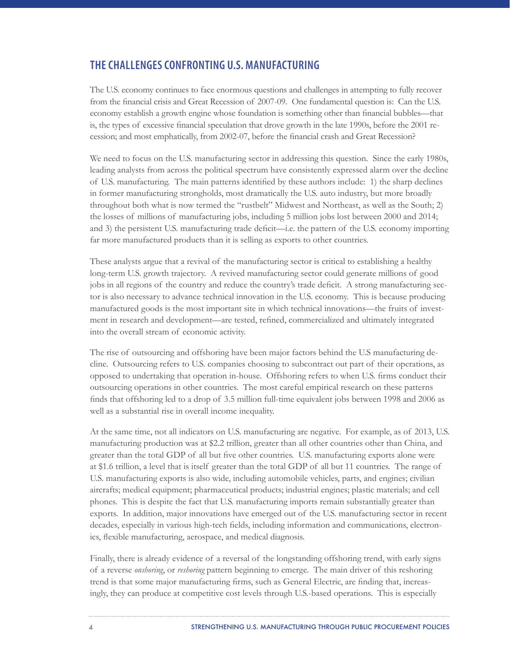# **THE CHALLENGES CONFRONTING U.S. MANUFACTURING**

The U.S. economy continues to face enormous questions and challenges in attempting to fully recover from the financial crisis and Great Recession of 2007-09. One fundamental question is: Can the U.S. economy establish a growth engine whose foundation is something other than financial bubbles—that is, the types of excessive financial speculation that drove growth in the late 1990s, before the 2001 recession; and most emphatically, from 2002-07, before the financial crash and Great Recession?

We need to focus on the U.S. manufacturing sector in addressing this question. Since the early 1980s, leading analysts from across the political spectrum have consistently expressed alarm over the decline of U.S. manufacturing. The main patterns identified by these authors include: 1) the sharp declines in former manufacturing strongholds, most dramatically the U.S. auto industry, but more broadly throughout both what is now termed the "rustbelt" Midwest and Northeast, as well as the South; 2) the losses of millions of manufacturing jobs, including 5 million jobs lost between 2000 and 2014; and 3) the persistent U.S. manufacturing trade deficit—i.e. the pattern of the U.S. economy importing far more manufactured products than it is selling as exports to other countries.

These analysts argue that a revival of the manufacturing sector is critical to establishing a healthy long-term U.S. growth trajectory. A revived manufacturing sector could generate millions of good jobs in all regions of the country and reduce the country's trade deficit. A strong manufacturing sector is also necessary to advance technical innovation in the U.S. economy. This is because producing manufactured goods is the most important site in which technical innovations—the fruits of investment in research and development—are tested, refined, commercialized and ultimately integrated into the overall stream of economic activity.

The rise of outsourcing and offshoring have been major factors behind the U.S manufacturing decline. Outsourcing refers to U.S. companies choosing to subcontract out part of their operations, as opposed to undertaking that operation in-house. Offshoring refers to when U.S. firms conduct their outsourcing operations in other countries. The most careful empirical research on these patterns finds that offshoring led to a drop of 3.5 million full-time equivalent jobs between 1998 and 2006 as well as a substantial rise in overall income inequality.

At the same time, not all indicators on U.S. manufacturing are negative. For example, as of 2013, U.S. manufacturing production was at \$2.2 trillion, greater than all other countries other than China, and greater than the total GDP of all but five other countries. U.S. manufacturing exports alone were at \$1.6 trillion, a level that is itself greater than the total GDP of all but 11 countries. The range of U.S. manufacturing exports is also wide, including automobile vehicles, parts, and engines; civilian aircrafts; medical equipment; pharmaceutical products; industrial engines; plastic materials; and cell phones. This is despite the fact that U.S. manufacturing imports remain substantially greater than exports. In addition, major innovations have emerged out of the U.S. manufacturing sector in recent decades, especially in various high-tech fields, including information and communications, electronics, flexible manufacturing, aerospace, and medical diagnosis.

Finally, there is already evidence of a reversal of the longstanding offshoring trend, with early signs of a reverse *onshoring*, or *reshoring* pattern beginning to emerge. The main driver of this reshoring trend is that some major manufacturing firms, such as General Electric, are finding that, increasingly, they can produce at competitive cost levels through U.S.-based operations. This is especially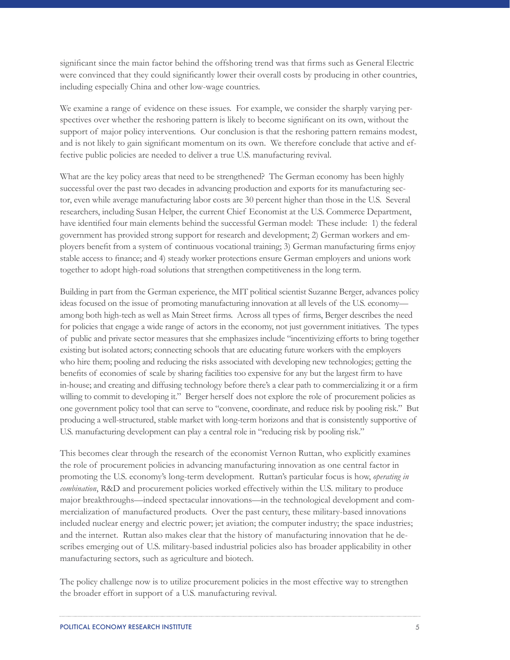significant since the main factor behind the offshoring trend was that firms such as General Electric were convinced that they could significantly lower their overall costs by producing in other countries, including especially China and other low-wage countries.

We examine a range of evidence on these issues. For example, we consider the sharply varying perspectives over whether the reshoring pattern is likely to become significant on its own, without the support of major policy interventions. Our conclusion is that the reshoring pattern remains modest, and is not likely to gain significant momentum on its own. We therefore conclude that active and effective public policies are needed to deliver a true U.S. manufacturing revival.

What are the key policy areas that need to be strengthened? The German economy has been highly successful over the past two decades in advancing production and exports for its manufacturing sector, even while average manufacturing labor costs are 30 percent higher than those in the U.S. Several researchers, including Susan Helper, the current Chief Economist at the U.S. Commerce Department, have identified four main elements behind the successful German model: These include: 1) the federal government has provided strong support for research and development; 2) German workers and employers benefit from a system of continuous vocational training; 3) German manufacturing firms enjoy stable access to finance; and 4) steady worker protections ensure German employers and unions work together to adopt high-road solutions that strengthen competitiveness in the long term.

Building in part from the German experience, the MIT political scientist Suzanne Berger, advances policy ideas focused on the issue of promoting manufacturing innovation at all levels of the U.S. economy among both high-tech as well as Main Street firms. Across all types of firms, Berger describes the need for policies that engage a wide range of actors in the economy, not just government initiatives. The types of public and private sector measures that she emphasizes include "incentivizing efforts to bring together existing but isolated actors; connecting schools that are educating future workers with the employers who hire them; pooling and reducing the risks associated with developing new technologies; getting the benefits of economies of scale by sharing facilities too expensive for any but the largest firm to have in-house; and creating and diffusing technology before there's a clear path to commercializing it or a firm willing to commit to developing it." Berger herself does not explore the role of procurement policies as one government policy tool that can serve to "convene, coordinate, and reduce risk by pooling risk." But producing a well-structured, stable market with long-term horizons and that is consistently supportive of U.S. manufacturing development can play a central role in "reducing risk by pooling risk."

This becomes clear through the research of the economist Vernon Ruttan, who explicitly examines the role of procurement policies in advancing manufacturing innovation as one central factor in promoting the U.S. economy's long-term development. Ruttan's particular focus is how, *operating in combination*, R&D and procurement policies worked effectively within the U.S. military to produce major breakthroughs—indeed spectacular innovations—in the technological development and commercialization of manufactured products. Over the past century, these military-based innovations included nuclear energy and electric power; jet aviation; the computer industry; the space industries; and the internet. Ruttan also makes clear that the history of manufacturing innovation that he describes emerging out of U.S. military-based industrial policies also has broader applicability in other manufacturing sectors, such as agriculture and biotech.

The policy challenge now is to utilize procurement policies in the most effective way to strengthen the broader effort in support of a U.S. manufacturing revival.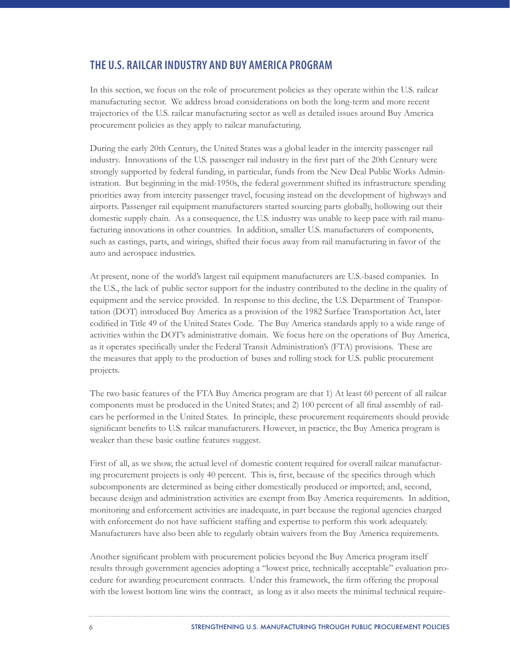# **THE U.S. RAILCAR INDUSTRY AND BUY AMERICA PROGRAM**

In this section, we focus on the role of procurement policies as they operate within the U.S. railcar manufacturing sector. We address broad considerations on both the long-term and more recent trajectories of the U.S. railcar manufacturing sector as well as detailed issues around Buy America procurement policies as they apply to railcar manufacturing.

During the early 20th Century, the United States was a global leader in the intercity passenger rail industry. Innovations of the U.S. passenger rail industry in the first part of the 20th Century were strongly supported by federal funding, in particular, funds from the New Deal Public Works Administration. But beginning in the mid-1950s, the federal government shifted its infrastructure spending priorities away from intercity passenger travel, focusing instead on the development of highways and airports. Passenger rail equipment manufacturers started sourcing parts globally, hollowing out their domestic supply chain. As a consequence, the U.S. industry was unable to keep pace with rail manufacturing innovations in other countries. In addition, smaller U.S. manufacturers of components, such as castings, parts, and wirings, shifted their focus away from rail manufacturing in favor of the auto and aerospace industries.

At present, none of the world's largest rail equipment manufacturers are U.S.-based companies. In the U.S., the lack of public sector support for the industry contributed to the decline in the quality of equipment and the service provided. In response to this decline, the U.S. Department of Transportation (DOT) introduced Buy America as a provision of the 1982 Surface Transportation Act, later codified in Title 49 of the United States Code. The Buy America standards apply to a wide range of activities within the DOT's administrative domain. We focus here on the operations of Buy America, as it operates specifically under the Federal Transit Administration's (FTA) provisions. These are the measures that apply to the production of buses and rolling stock for U.S. public procurement projects.

The two basic features of the FTA Buy America program are that 1) At least 60 percent of all railcar components must be produced in the United States; and 2) 100 percent of all final assembly of railcars be performed in the United States. In principle, these procurement requirements should provide significant benefits to U.S. railcar manufacturers. However, in practice, the Buy America program is weaker than these basic outline features suggest.

First of all, as we show, the actual level of domestic content required for overall railcar manufacturing procurement projects is only 40 percent. This is, first, because of the specifics through which subcomponents are determined as being either domestically produced or imported; and, second, because design and administration activities are exempt from Buy America requirements. In addition, monitoring and enforcement activities are inadequate, in part because the regional agencies charged with enforcement do not have sufficient staffing and expertise to perform this work adequately. Manufacturers have also been able to regularly obtain waivers from the Buy America requirements.

Another significant problem with procurement policies beyond the Buy America program itself results through government agencies adopting a "lowest price, technically acceptable" evaluation procedure for awarding procurement contracts. Under this framework, the firm offering the proposal with the lowest bottom line wins the contract, as long as it also meets the minimal technical require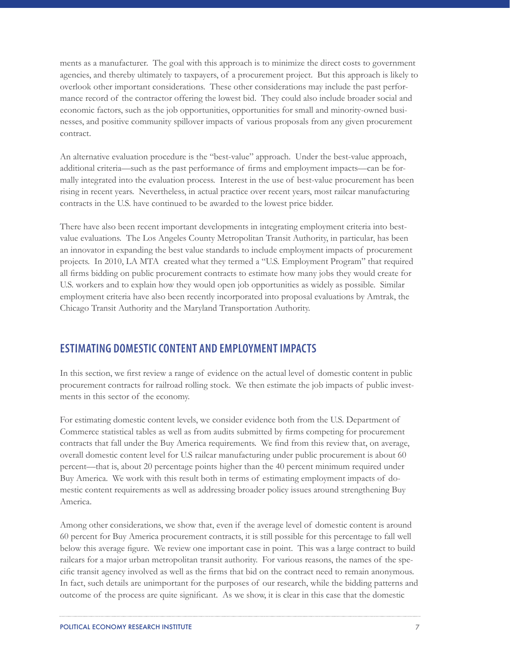ments as a manufacturer. The goal with this approach is to minimize the direct costs to government agencies, and thereby ultimately to taxpayers, of a procurement project. But this approach is likely to overlook other important considerations. These other considerations may include the past performance record of the contractor offering the lowest bid. They could also include broader social and economic factors, such as the job opportunities, opportunities for small and minority-owned businesses, and positive community spillover impacts of various proposals from any given procurement contract.

An alternative evaluation procedure is the "best-value" approach. Under the best-value approach, additional criteria—such as the past performance of firms and employment impacts—can be formally integrated into the evaluation process. Interest in the use of best-value procurement has been rising in recent years. Nevertheless, in actual practice over recent years, most railcar manufacturing contracts in the U.S. have continued to be awarded to the lowest price bidder.

There have also been recent important developments in integrating employment criteria into bestvalue evaluations. The Los Angeles County Metropolitan Transit Authority, in particular, has been an innovator in expanding the best value standards to include employment impacts of procurement projects. In 2010, LA MTA created what they termed a "U.S. Employment Program" that required all firms bidding on public procurement contracts to estimate how many jobs they would create for U.S. workers and to explain how they would open job opportunities as widely as possible. Similar employment criteria have also been recently incorporated into proposal evaluations by Amtrak, the Chicago Transit Authority and the Maryland Transportation Authority.

# **ESTIMATING DOMESTIC CONTENT AND EMPLOYMENT IMPACTS**

In this section, we first review a range of evidence on the actual level of domestic content in public procurement contracts for railroad rolling stock. We then estimate the job impacts of public investments in this sector of the economy.

For estimating domestic content levels, we consider evidence both from the U.S. Department of Commerce statistical tables as well as from audits submitted by firms competing for procurement contracts that fall under the Buy America requirements. We find from this review that, on average, overall domestic content level for U.S railcar manufacturing under public procurement is about 60 percent—that is, about 20 percentage points higher than the 40 percent minimum required under Buy America. We work with this result both in terms of estimating employment impacts of domestic content requirements as well as addressing broader policy issues around strengthening Buy America.

Among other considerations, we show that, even if the average level of domestic content is around 60 percent for Buy America procurement contracts, it is still possible for this percentage to fall well below this average figure. We review one important case in point. This was a large contract to build railcars for a major urban metropolitan transit authority. For various reasons, the names of the specific transit agency involved as well as the firms that bid on the contract need to remain anonymous. In fact, such details are unimportant for the purposes of our research, while the bidding patterns and outcome of the process are quite significant. As we show, it is clear in this case that the domestic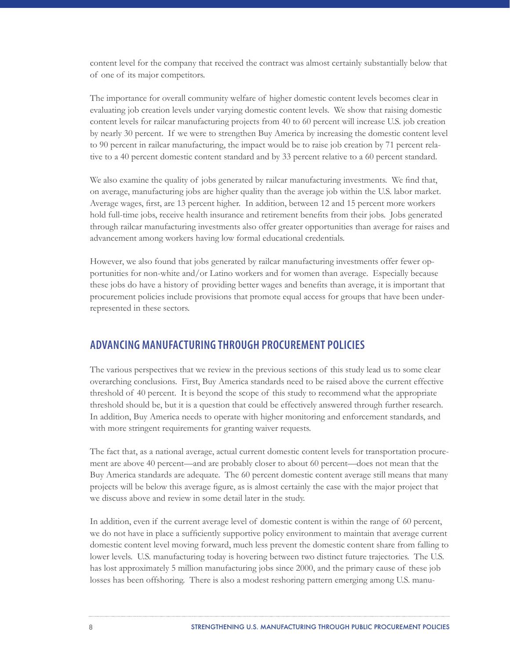content level for the company that received the contract was almost certainly substantially below that of one of its major competitors.

The importance for overall community welfare of higher domestic content levels becomes clear in evaluating job creation levels under varying domestic content levels. We show that raising domestic content levels for railcar manufacturing projects from 40 to 60 percent will increase U.S. job creation by nearly 30 percent. If we were to strengthen Buy America by increasing the domestic content level to 90 percent in railcar manufacturing, the impact would be to raise job creation by 71 percent relative to a 40 percent domestic content standard and by 33 percent relative to a 60 percent standard.

We also examine the quality of jobs generated by railcar manufacturing investments. We find that, on average, manufacturing jobs are higher quality than the average job within the U.S. labor market. Average wages, first, are 13 percent higher. In addition, between 12 and 15 percent more workers hold full-time jobs, receive health insurance and retirement benefits from their jobs. Jobs generated through railcar manufacturing investments also offer greater opportunities than average for raises and advancement among workers having low formal educational credentials.

However, we also found that jobs generated by railcar manufacturing investments offer fewer opportunities for non-white and/or Latino workers and for women than average. Especially because these jobs do have a history of providing better wages and benefits than average, it is important that procurement policies include provisions that promote equal access for groups that have been underrepresented in these sectors.

# **ADVANCING MANUFACTURING THROUGH PROCUREMENT POLICIES**

The various perspectives that we review in the previous sections of this study lead us to some clear overarching conclusions. First, Buy America standards need to be raised above the current effective threshold of 40 percent. It is beyond the scope of this study to recommend what the appropriate threshold should be, but it is a question that could be effectively answered through further research. In addition, Buy America needs to operate with higher monitoring and enforcement standards, and with more stringent requirements for granting waiver requests.

The fact that, as a national average, actual current domestic content levels for transportation procurement are above 40 percent—and are probably closer to about 60 percent—does not mean that the Buy America standards are adequate. The 60 percent domestic content average still means that many projects will be below this average figure, as is almost certainly the case with the major project that we discuss above and review in some detail later in the study.

In addition, even if the current average level of domestic content is within the range of 60 percent, we do not have in place a sufficiently supportive policy environment to maintain that average current domestic content level moving forward, much less prevent the domestic content share from falling to lower levels. U.S. manufacturing today is hovering between two distinct future trajectories. The U.S. has lost approximately 5 million manufacturing jobs since 2000, and the primary cause of these job losses has been offshoring. There is also a modest reshoring pattern emerging among U.S. manu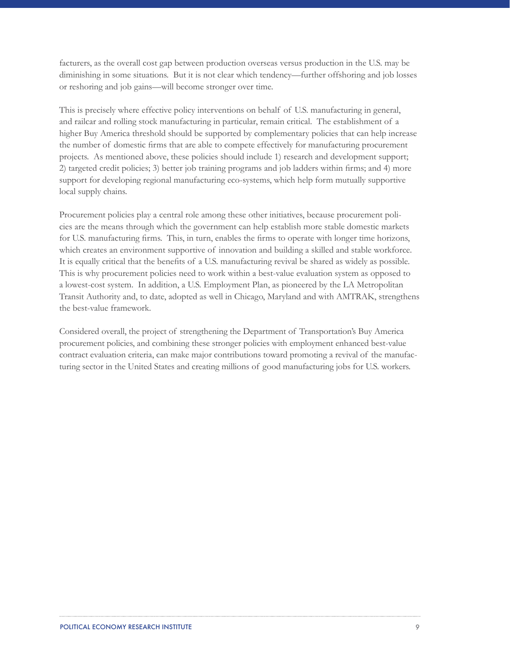facturers, as the overall cost gap between production overseas versus production in the U.S. may be diminishing in some situations. But it is not clear which tendency—further offshoring and job losses or reshoring and job gains—will become stronger over time.

This is precisely where effective policy interventions on behalf of U.S. manufacturing in general, and railcar and rolling stock manufacturing in particular, remain critical. The establishment of a higher Buy America threshold should be supported by complementary policies that can help increase the number of domestic firms that are able to compete effectively for manufacturing procurement projects. As mentioned above, these policies should include 1) research and development support; 2) targeted credit policies; 3) better job training programs and job ladders within firms; and 4) more support for developing regional manufacturing eco-systems, which help form mutually supportive local supply chains.

Procurement policies play a central role among these other initiatives, because procurement policies are the means through which the government can help establish more stable domestic markets for U.S. manufacturing firms. This, in turn, enables the firms to operate with longer time horizons, which creates an environment supportive of innovation and building a skilled and stable workforce. It is equally critical that the benefits of a U.S. manufacturing revival be shared as widely as possible. This is why procurement policies need to work within a best-value evaluation system as opposed to a lowest-cost system. In addition, a U.S. Employment Plan, as pioneered by the LA Metropolitan Transit Authority and, to date, adopted as well in Chicago, Maryland and with AMTRAK, strengthens the best-value framework.

Considered overall, the project of strengthening the Department of Transportation's Buy America procurement policies, and combining these stronger policies with employment enhanced best-value contract evaluation criteria, can make major contributions toward promoting a revival of the manufacturing sector in the United States and creating millions of good manufacturing jobs for U.S. workers.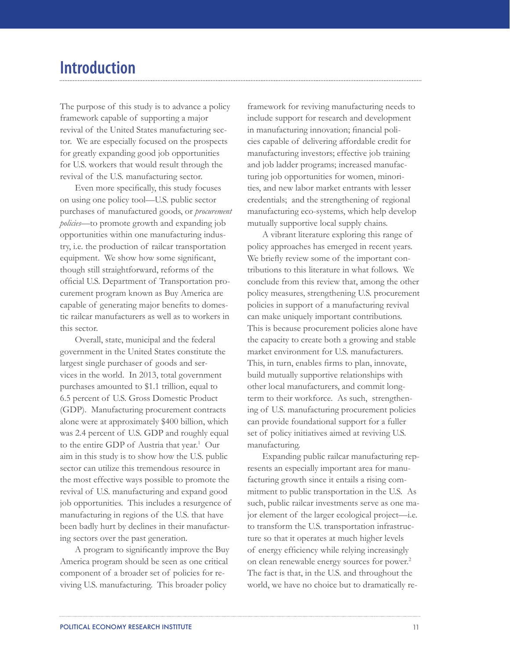# **Introduction**

The purpose of this study is to advance a policy framework capable of supporting a major revival of the United States manufacturing sector. We are especially focused on the prospects for greatly expanding good job opportunities for U.S. workers that would result through the revival of the U.S. manufacturing sector.

Even more specifically, this study focuses on using one policy tool—U.S. public sector purchases of manufactured goods, or *procurement policies*—to promote growth and expanding job opportunities within one manufacturing industry, i.e. the production of railcar transportation equipment. We show how some significant, though still straightforward, reforms of the official U.S. Department of Transportation procurement program known as Buy America are capable of generating major benefits to domestic railcar manufacturers as well as to workers in this sector.

Overall, state, municipal and the federal government in the United States constitute the largest single purchaser of goods and services in the world. In 2013, total government purchases amounted to \$1.1 trillion, equal to 6.5 percent of U.S. Gross Domestic Product (GDP). Manufacturing procurement contracts alone were at approximately \$400 billion, which was 2.4 percent of U.S. GDP and roughly equal to the entire GDP of Austria that year.<sup>1</sup> Our aim in this study is to show how the U.S. public sector can utilize this tremendous resource in the most effective ways possible to promote the revival of U.S. manufacturing and expand good job opportunities. This includes a resurgence of manufacturing in regions of the U.S. that have been badly hurt by declines in their manufacturing sectors over the past generation.

A program to significantly improve the Buy America program should be seen as one critical component of a broader set of policies for reviving U.S. manufacturing. This broader policy

framework for reviving manufacturing needs to include support for research and development in manufacturing innovation; financial policies capable of delivering affordable credit for manufacturing investors; effective job training and job ladder programs; increased manufacturing job opportunities for women, minorities, and new labor market entrants with lesser credentials; and the strengthening of regional manufacturing eco-systems, which help develop mutually supportive local supply chains.

A vibrant literature exploring this range of policy approaches has emerged in recent years. We briefly review some of the important contributions to this literature in what follows. We conclude from this review that, among the other policy measures, strengthening U.S. procurement policies in support of a manufacturing revival can make uniquely important contributions. This is because procurement policies alone have the capacity to create both a growing and stable market environment for U.S. manufacturers. This, in turn, enables firms to plan, innovate, build mutually supportive relationships with other local manufacturers, and commit longterm to their workforce. As such, strengthening of U.S. manufacturing procurement policies can provide foundational support for a fuller set of policy initiatives aimed at reviving U.S. manufacturing.

Expanding public railcar manufacturing represents an especially important area for manufacturing growth since it entails a rising commitment to public transportation in the U.S. As such, public railcar investments serve as one major element of the larger ecological project—i.e. to transform the U.S. transportation infrastructure so that it operates at much higher levels of energy efficiency while relying increasingly on clean renewable energy sources for power.<sup>2</sup> The fact is that, in the U.S. and throughout the world, we have no choice but to dramatically re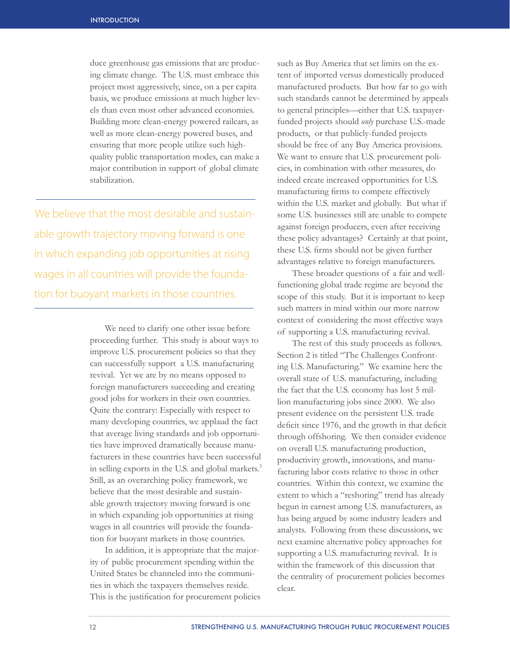duce greenhouse gas emissions that are producing climate change. The U.S. must embrace this project most aggressively, since, on a per capita basis, we produce emissions at much higher levels than even most other advanced economies. Building more clean-energy powered railcars, as well as more clean-energy powered buses, and ensuring that more people utilize such highquality public transportation modes, can make a major contribution in support of global climate stabilization.

We believe that the most desirable and sustainable growth trajectory moving forward is one in which expanding job opportunities at rising wages in all countries will provide the foundation for buoyant markets in those countries.

> We need to clarify one other issue before proceeding further. This study is about ways to improve U.S. procurement policies so that they can successfully support a U.S. manufacturing revival. Yet we are by no means opposed to foreign manufacturers succeeding and creating good jobs for workers in their own countries. Quite the contrary: Especially with respect to many developing countries, we applaud the fact that average living standards and job opportunities have improved dramatically because manufacturers in these countries have been successful in selling exports in the U.S. and global markets.<sup>3</sup> Still, as an overarching policy framework, we believe that the most desirable and sustainable growth trajectory moving forward is one in which expanding job opportunities at rising wages in all countries will provide the foundation for buoyant markets in those countries.

In addition, it is appropriate that the majority of public procurement spending within the United States be channeled into the communities in which the taxpayers themselves reside. This is the justification for procurement policies such as Buy America that set limits on the extent of imported versus domestically produced manufactured products. But how far to go with such standards cannot be determined by appeals to general principles—either that U.S. taxpayerfunded projects should *only* purchase U.S.-made products, or that publicly-funded projects should be free of any Buy America provisions. We want to ensure that U.S. procurement policies, in combination with other measures, do indeed create increased opportunities for U.S. manufacturing firms to compete effectively within the U.S. market and globally. But what if some U.S. businesses still are unable to compete against foreign producers, even after receiving these policy advantages? Certainly at that point, these U.S. firms should not be given further advantages relative to foreign manufacturers.

These broader questions of a fair and wellfunctioning global trade regime are beyond the scope of this study. But it is important to keep such matters in mind within our more narrow context of considering the most effective ways of supporting a U.S. manufacturing revival.

The rest of this study proceeds as follows. Section 2 is titled "The Challenges Confronting U.S. Manufacturing." We examine here the overall state of U.S. manufacturing, including the fact that the U.S. economy has lost 5 million manufacturing jobs since 2000. We also present evidence on the persistent U.S. trade deficit since 1976, and the growth in that deficit through offshoring. We then consider evidence on overall U.S. manufacturing production, productivity growth, innovations, and manufacturing labor costs relative to those in other countries. Within this context, we examine the extent to which a "reshoring" trend has already begun in earnest among U.S. manufacturers, as has being argued by some industry leaders and analysts. Following from these discussions, we next examine alternative policy approaches for supporting a U.S. manufacturing revival. It is within the framework of this discussion that the centrality of procurement policies becomes clear.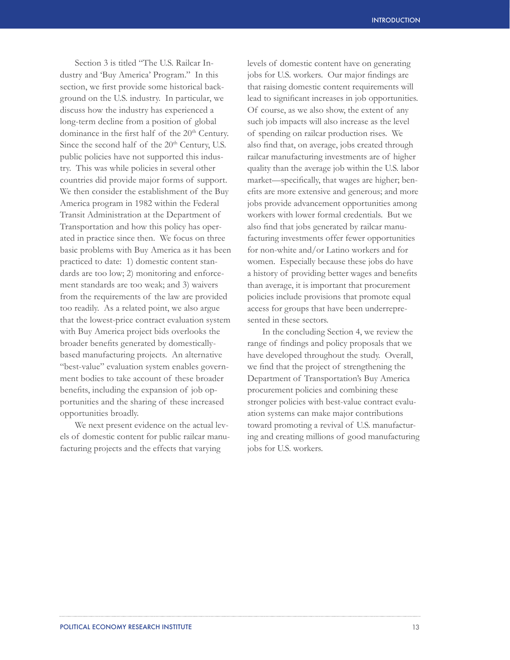Section 3 is titled "The U.S. Railcar Industry and 'Buy America' Program." In this section, we first provide some historical background on the U.S. industry. In particular, we discuss how the industry has experienced a long-term decline from a position of global dominance in the first half of the 20<sup>th</sup> Century. Since the second half of the 20<sup>th</sup> Century, U.S. public policies have not supported this industry. This was while policies in several other countries did provide major forms of support. We then consider the establishment of the Buy America program in 1982 within the Federal Transit Administration at the Department of Transportation and how this policy has operated in practice since then. We focus on three basic problems with Buy America as it has been practiced to date: 1) domestic content standards are too low; 2) monitoring and enforcement standards are too weak; and 3) waivers from the requirements of the law are provided too readily. As a related point, we also argue that the lowest-price contract evaluation system with Buy America project bids overlooks the broader benefits generated by domesticallybased manufacturing projects. An alternative "best-value" evaluation system enables government bodies to take account of these broader benefits, including the expansion of job opportunities and the sharing of these increased opportunities broadly.

We next present evidence on the actual levels of domestic content for public railcar manufacturing projects and the effects that varying

levels of domestic content have on generating jobs for U.S. workers. Our major findings are that raising domestic content requirements will lead to significant increases in job opportunities. Of course, as we also show, the extent of any such job impacts will also increase as the level of spending on railcar production rises. We also find that, on average, jobs created through railcar manufacturing investments are of higher quality than the average job within the U.S. labor market—specifically, that wages are higher; benefits are more extensive and generous; and more jobs provide advancement opportunities among workers with lower formal credentials. But we also find that jobs generated by railcar manufacturing investments offer fewer opportunities for non-white and/or Latino workers and for women. Especially because these jobs do have a history of providing better wages and benefits than average, it is important that procurement policies include provisions that promote equal access for groups that have been underrepresented in these sectors.

In the concluding Section 4, we review the range of findings and policy proposals that we have developed throughout the study. Overall, we find that the project of strengthening the Department of Transportation's Buy America procurement policies and combining these stronger policies with best-value contract evaluation systems can make major contributions toward promoting a revival of U.S. manufacturing and creating millions of good manufacturing jobs for U.S. workers.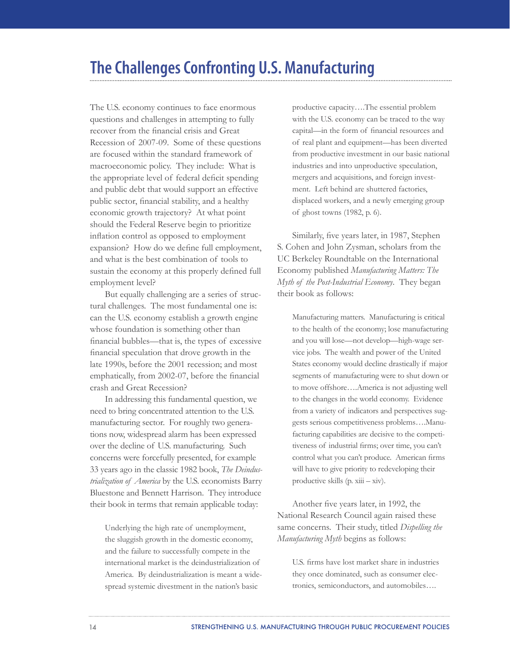# **The Challenges Confronting U.S. Manufacturing**

The U.S. economy continues to face enormous questions and challenges in attempting to fully recover from the financial crisis and Great Recession of 2007-09. Some of these questions are focused within the standard framework of macroeconomic policy. They include: What is the appropriate level of federal deficit spending and public debt that would support an effective public sector, financial stability, and a healthy economic growth trajectory? At what point should the Federal Reserve begin to prioritize inflation control as opposed to employment expansion? How do we define full employment, and what is the best combination of tools to sustain the economy at this properly defined full employment level?

But equally challenging are a series of structural challenges. The most fundamental one is: can the U.S. economy establish a growth engine whose foundation is something other than financial bubbles—that is, the types of excessive financial speculation that drove growth in the late 1990s, before the 2001 recession; and most emphatically, from 2002-07, before the financial crash and Great Recession?

In addressing this fundamental question, we need to bring concentrated attention to the U.S. manufacturing sector. For roughly two generations now, widespread alarm has been expressed over the decline of U.S. manufacturing. Such concerns were forcefully presented, for example 33 years ago in the classic 1982 book, *The Deindustrialization of America* by the U.S. economists Barry Bluestone and Bennett Harrison. They introduce their book in terms that remain applicable today:

Underlying the high rate of unemployment, the sluggish growth in the domestic economy, and the failure to successfully compete in the international market is the deindustrialization of America. By deindustrialization is meant a widespread systemic divestment in the nation's basic

productive capacity….The essential problem with the U.S. economy can be traced to the way capital—in the form of financial resources and of real plant and equipment—has been diverted from productive investment in our basic national industries and into unproductive speculation, mergers and acquisitions, and foreign investment. Left behind are shuttered factories, displaced workers, and a newly emerging group of ghost towns (1982, p. 6).

Similarly, five years later, in 1987, Stephen S. Cohen and John Zysman, scholars from the UC Berkeley Roundtable on the International Economy published *Manufacturing Matters: The Myth of the Post-Industrial Economy*. They began their book as follows:

Manufacturing matters. Manufacturing is critical to the health of the economy; lose manufacturing and you will lose—not develop—high-wage service jobs. The wealth and power of the United States economy would decline drastically if major segments of manufacturing were to shut down or to move offshore….America is not adjusting well to the changes in the world economy. Evidence from a variety of indicators and perspectives suggests serious competitiveness problems….Manufacturing capabilities are decisive to the competitiveness of industrial firms; over time, you can't control what you can't produce. American firms will have to give priority to redeveloping their productive skills (p. xiii – xiv).

Another five years later, in 1992, the National Research Council again raised these same concerns. Their study, titled *Dispelling the Manufacturing Myth* begins as follows:

U.S. firms have lost market share in industries they once dominated, such as consumer electronics, semiconductors, and automobiles….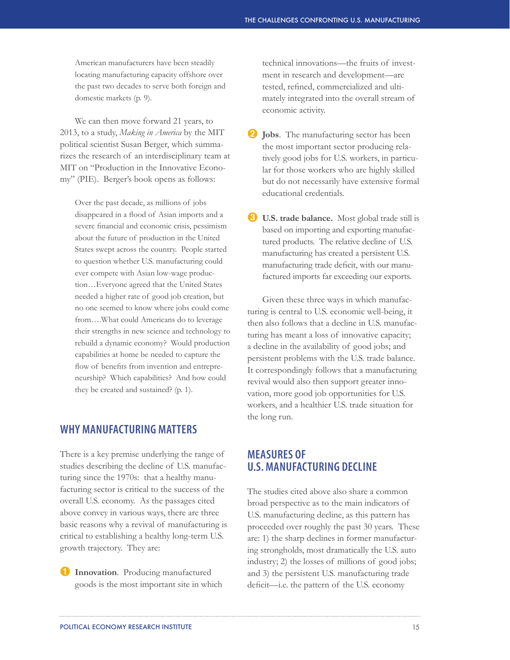American manufacturers have been steadily locating manufacturing capacity offshore over the past two decades to serve both foreign and domestic markets (p. 9).

We can then move forward 21 years, to 2013, to a study, *Making in America* by the MIT political scientist Susan Berger, which summarizes the research of an interdisciplinary team at MIT on "Production in the Innovative Economy" (PIE). Berger's book opens as follows:

Over the past decade, as millions of jobs disappeared in a flood of Asian imports and a severe financial and economic crisis, pessimism about the future of production in the United States swept across the country. People started to question whether U.S. manufacturing could ever compete with Asian low-wage production…Everyone agreed that the United States needed a higher rate of good job creation, but no one seemed to know where jobs could come from….What could Americans do to leverage their strengths in new science and technology to rebuild a dynamic economy? Would production capabilities at home be needed to capture the flow of benefits from invention and entrepreneurship? Which capabilities? And how could they be created and sustained? (p. 1).

### **WHY MANUFACTURING MATTERS**

There is a key premise underlying the range of studies describing the decline of U.S. manufacturing since the 1970s: that a healthy manufacturing sector is critical to the success of the overall U.S. economy. As the passages cited above convey in various ways, there are three basic reasons why a revival of manufacturing is critical to establishing a healthy long-term U.S. growth trajectory. They are:

Innovation. Producing manufactured goods is the most important site in which technical innovations—the fruits of investment in research and development—are tested, refined, commercialized and ultimately integrated into the overall stream of economic activity.

- ➋ **Jobs**. The manufacturing sector has been the most important sector producing relatively good jobs for U.S. workers, in particular for those workers who are highly skilled but do not necessarily have extensive formal educational credentials.
- ➌ **U.S. trade balance.** Most global trade still is based on importing and exporting manufactured products. The relative decline of U.S. manufacturing has created a persistent U.S. manufacturing trade deficit, with our manufactured imports far exceeding our exports.

Given these three ways in which manufacturing is central to U.S. economic well-being, it then also follows that a decline in U.S. manufacturing has meant a loss of innovative capacity; a decline in the availability of good jobs; and persistent problems with the U.S. trade balance. It correspondingly follows that a manufacturing revival would also then support greater innovation, more good job opportunities for U.S. workers, and a healthier U.S. trade situation for the long run.

# **MEASURES OF U.S. MANUFACTURING DECLINE**

The studies cited above also share a common broad perspective as to the main indicators of U.S. manufacturing decline, as this pattern has proceeded over roughly the past 30 years. These are: 1) the sharp declines in former manufacturing strongholds, most dramatically the U.S. auto industry; 2) the losses of millions of good jobs; and 3) the persistent U.S. manufacturing trade deficit—i.e. the pattern of the U.S. economy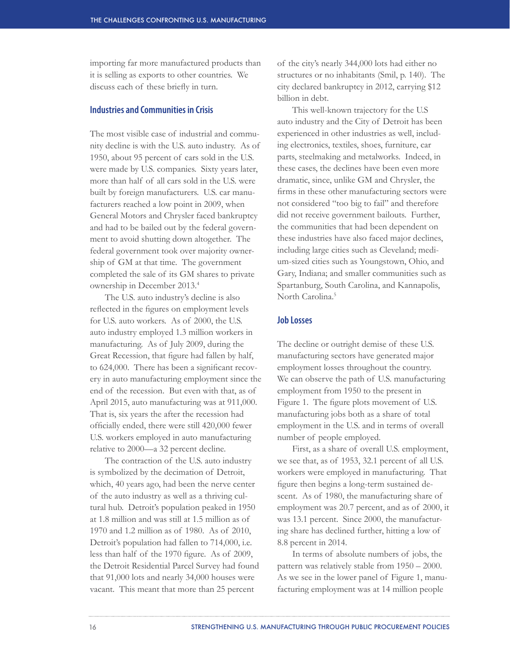importing far more manufactured products than it is selling as exports to other countries. We discuss each of these briefly in turn.

#### **Industries and Communities in Crisis**

The most visible case of industrial and community decline is with the U.S. auto industry. As of 1950, about 95 percent of cars sold in the U.S. were made by U.S. companies. Sixty years later, more than half of all cars sold in the U.S. were built by foreign manufacturers. U.S. car manufacturers reached a low point in 2009, when General Motors and Chrysler faced bankruptcy and had to be bailed out by the federal government to avoid shutting down altogether. The federal government took over majority ownership of GM at that time. The government completed the sale of its GM shares to private ownership in December 2013.<sup>4</sup>

The U.S. auto industry's decline is also reflected in the figures on employment levels for U.S. auto workers. As of 2000, the U.S. auto industry employed 1.3 million workers in manufacturing. As of July 2009, during the Great Recession, that figure had fallen by half, to 624,000. There has been a significant recovery in auto manufacturing employment since the end of the recession. But even with that, as of April 2015, auto manufacturing was at 911,000. That is, six years the after the recession had officially ended, there were still 420,000 fewer U.S. workers employed in auto manufacturing relative to 2000—a 32 percent decline.

The contraction of the U.S. auto industry is symbolized by the decimation of Detroit, which, 40 years ago, had been the nerve center of the auto industry as well as a thriving cultural hub. Detroit's population peaked in 1950 at 1.8 million and was still at 1.5 million as of 1970 and 1.2 million as of 1980. As of 2010, Detroit's population had fallen to 714,000, i.e. less than half of the 1970 figure. As of 2009, the Detroit Residential Parcel Survey had found that 91,000 lots and nearly 34,000 houses were vacant. This meant that more than 25 percent

of the city's nearly 344,000 lots had either no structures or no inhabitants (Smil, p. 140). The city declared bankruptcy in 2012, carrying \$12 billion in debt.

This well-known trajectory for the U.S auto industry and the City of Detroit has been experienced in other industries as well, including electronics, textiles, shoes, furniture, car parts, steelmaking and metalworks. Indeed, in these cases, the declines have been even more dramatic, since, unlike GM and Chrysler, the firms in these other manufacturing sectors were not considered "too big to fail" and therefore did not receive government bailouts. Further, the communities that had been dependent on these industries have also faced major declines, including large cities such as Cleveland; medium-sized cities such as Youngstown, Ohio, and Gary, Indiana; and smaller communities such as Spartanburg, South Carolina, and Kannapolis, North Carolina.<sup>5</sup>

#### **Job Losses**

The decline or outright demise of these U.S. manufacturing sectors have generated major employment losses throughout the country. We can observe the path of U.S. manufacturing employment from 1950 to the present in Figure 1. The figure plots movement of U.S. manufacturing jobs both as a share of total employment in the U.S. and in terms of overall number of people employed.

First, as a share of overall U.S. employment, we see that, as of 1953, 32.1 percent of all U.S. workers were employed in manufacturing. That figure then begins a long-term sustained descent. As of 1980, the manufacturing share of employment was 20.7 percent, and as of 2000, it was 13.1 percent. Since 2000, the manufacturing share has declined further, hitting a low of 8.8 percent in 2014.

In terms of absolute numbers of jobs, the pattern was relatively stable from 1950 – 2000. As we see in the lower panel of Figure 1, manufacturing employment was at 14 million people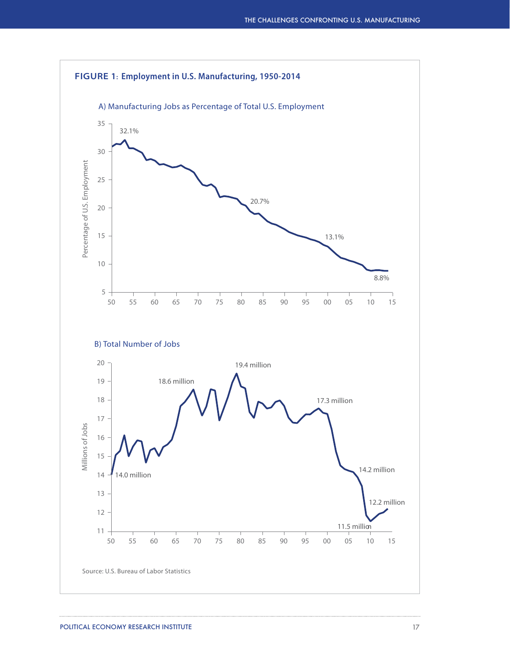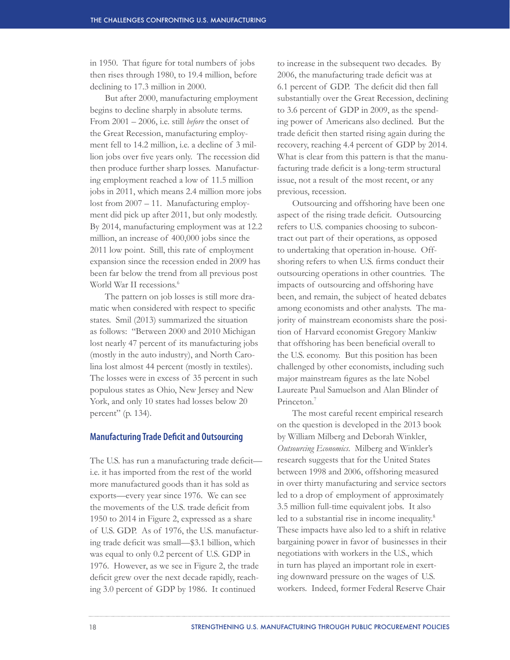in 1950. That figure for total numbers of jobs then rises through 1980, to 19.4 million, before declining to 17.3 million in 2000.

But after 2000, manufacturing employment begins to decline sharply in absolute terms. From 2001 – 2006, i.e. still *before* the onset of the Great Recession, manufacturing employment fell to 14.2 million, i.e. a decline of 3 million jobs over five years only. The recession did then produce further sharp losses. Manufacturing employment reached a low of 11.5 million jobs in 2011, which means 2.4 million more jobs lost from 2007 - 11. Manufacturing employment did pick up after 2011, but only modestly. By 2014, manufacturing employment was at 12.2 million, an increase of 400,000 jobs since the 2011 low point. Still, this rate of employment expansion since the recession ended in 2009 has been far below the trend from all previous post World War II recessions.<sup>6</sup>

The pattern on job losses is still more dramatic when considered with respect to specific states. Smil (2013) summarized the situation as follows: "Between 2000 and 2010 Michigan lost nearly 47 percent of its manufacturing jobs (mostly in the auto industry), and North Carolina lost almost 44 percent (mostly in textiles). The losses were in excess of 35 percent in such populous states as Ohio, New Jersey and New York, and only 10 states had losses below 20 percent" (p. 134).

#### **Manufacturing Trade Deficit and Outsourcing**

The U.S. has run a manufacturing trade deficit i.e. it has imported from the rest of the world more manufactured goods than it has sold as exports—every year since 1976. We can see the movements of the U.S. trade deficit from 1950 to 2014 in Figure 2, expressed as a share of U.S. GDP. As of 1976, the U.S. manufacturing trade deficit was small—\$3.1 billion, which was equal to only 0.2 percent of U.S. GDP in 1976. However, as we see in Figure 2, the trade deficit grew over the next decade rapidly, reaching 3.0 percent of GDP by 1986. It continued

to increase in the subsequent two decades. By 2006, the manufacturing trade deficit was at 6.1 percent of GDP. The deficit did then fall substantially over the Great Recession, declining to 3.6 percent of GDP in 2009, as the spending power of Americans also declined. But the trade deficit then started rising again during the recovery, reaching 4.4 percent of GDP by 2014. What is clear from this pattern is that the manufacturing trade deficit is a long-term structural issue, not a result of the most recent, or any previous, recession.

Outsourcing and offshoring have been one aspect of the rising trade deficit. Outsourcing refers to U.S. companies choosing to subcontract out part of their operations, as opposed to undertaking that operation in-house. Offshoring refers to when U.S. firms conduct their outsourcing operations in other countries. The impacts of outsourcing and offshoring have been, and remain, the subject of heated debates among economists and other analysts. The majority of mainstream economists share the position of Harvard economist Gregory Mankiw that offshoring has been beneficial overall to the U.S. economy. But this position has been challenged by other economists, including such major mainstream figures as the late Nobel Laureate Paul Samuelson and Alan Blinder of Princeton.<sup>7</sup>

The most careful recent empirical research on the question is developed in the 2013 book by William Milberg and Deborah Winkler, *Outsourcing Economics*. Milberg and Winkler's research suggests that for the United States between 1998 and 2006, offshoring measured in over thirty manufacturing and service sectors led to a drop of employment of approximately 3.5 million full-time equivalent jobs. It also led to a substantial rise in income inequality.<sup>8</sup> These impacts have also led to a shift in relative bargaining power in favor of businesses in their negotiations with workers in the U.S., which in turn has played an important role in exerting downward pressure on the wages of U.S. workers. Indeed, former Federal Reserve Chair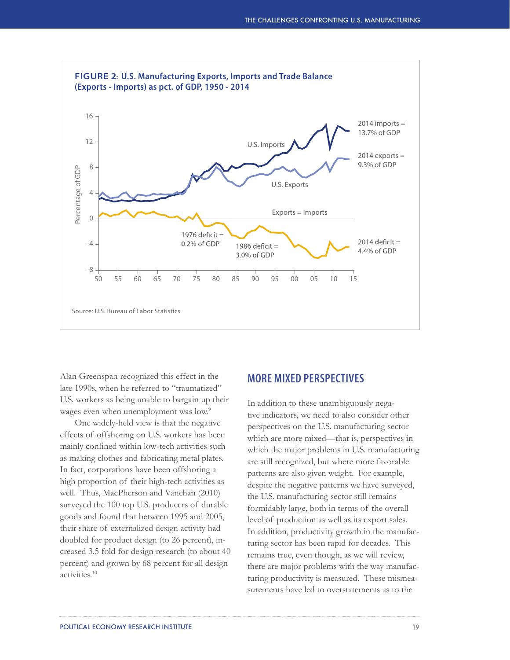

Alan Greenspan recognized this effect in the late 1990s, when he referred to "traumatized" U.S. workers as being unable to bargain up their wages even when unemployment was low.<sup>9</sup>

One widely-held view is that the negative effects of offshoring on U.S. workers has been mainly confined within low-tech activities such as making clothes and fabricating metal plates. In fact, corporations have been offshoring a high proportion of their high-tech activities as well. Thus, MacPherson and Vanchan (2010) surveyed the 100 top U.S. producers of durable goods and found that between 1995 and 2005, their share of externalized design activity had doubled for product design (to 26 percent), increased 3.5 fold for design research (to about 40 percent) and grown by 68 percent for all design activities.10

### **MORE MIXED PERSPECTIVES**

In addition to these unambiguously negative indicators, we need to also consider other perspectives on the U.S. manufacturing sector which are more mixed—that is, perspectives in which the major problems in U.S. manufacturing are still recognized, but where more favorable patterns are also given weight. For example, despite the negative patterns we have surveyed, the U.S. manufacturing sector still remains formidably large, both in terms of the overall level of production as well as its export sales. In addition, productivity growth in the manufacturing sector has been rapid for decades. This remains true, even though, as we will review, there are major problems with the way manufacturing productivity is measured. These mismeasurements have led to overstatements as to the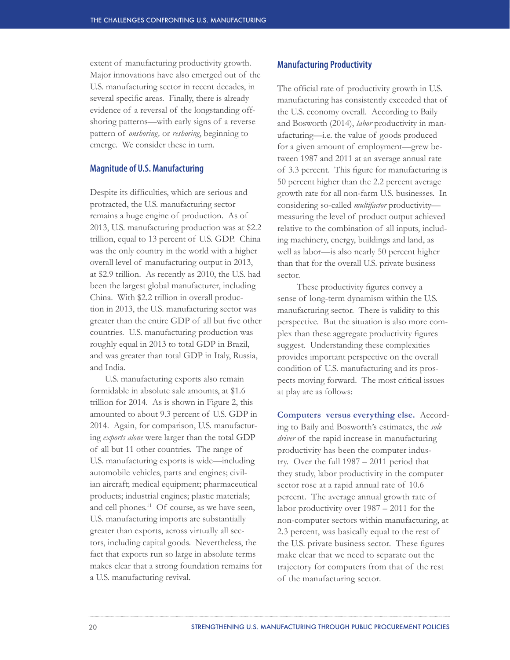extent of manufacturing productivity growth. Major innovations have also emerged out of the U.S. manufacturing sector in recent decades, in several specific areas. Finally, there is already evidence of a reversal of the longstanding offshoring patterns—with early signs of a reverse pattern of *onshoring,* or *reshoring*, beginning to emerge. We consider these in turn.

#### **Magnitude of U.S. Manufacturing**

Despite its difficulties, which are serious and protracted, the U.S. manufacturing sector remains a huge engine of production. As of 2013, U.S. manufacturing production was at \$2.2 trillion, equal to 13 percent of U.S. GDP. China was the only country in the world with a higher overall level of manufacturing output in 2013, at \$2.9 trillion. As recently as 2010, the U.S. had been the largest global manufacturer, including China. With \$2.2 trillion in overall production in 2013, the U.S. manufacturing sector was greater than the entire GDP of all but five other countries. U.S. manufacturing production was roughly equal in 2013 to total GDP in Brazil, and was greater than total GDP in Italy, Russia, and India.

U.S. manufacturing exports also remain formidable in absolute sale amounts, at \$1.6 trillion for 2014. As is shown in Figure 2, this amounted to about 9.3 percent of U.S. GDP in 2014. Again, for comparison, U.S. manufacturing *exports alone* were larger than the total GDP of all but 11 other countries. The range of U.S. manufacturing exports is wide—including automobile vehicles, parts and engines; civilian aircraft; medical equipment; pharmaceutical products; industrial engines; plastic materials; and cell phones.<sup>11</sup> Of course, as we have seen, U.S. manufacturing imports are substantially greater than exports, across virtually all sectors, including capital goods. Nevertheless, the fact that exports run so large in absolute terms makes clear that a strong foundation remains for a U.S. manufacturing revival.

#### **Manufacturing Productivity**

The official rate of productivity growth in U.S. manufacturing has consistently exceeded that of the U.S. economy overall. According to Baily and Bosworth (2014), *labor* productivity in manufacturing—i.e. the value of goods produced for a given amount of employment—grew between 1987 and 2011 at an average annual rate of 3.3 percent. This figure for manufacturing is 50 percent higher than the 2.2 percent average growth rate for all non-farm U.S. businesses. In considering so-called *multifactor* productivity measuring the level of product output achieved relative to the combination of all inputs, including machinery, energy, buildings and land, as well as labor—is also nearly 50 percent higher than that for the overall U.S. private business sector.

 These productivity figures convey a sense of long-term dynamism within the U.S. manufacturing sector. There is validity to this perspective. But the situation is also more complex than these aggregate productivity figures suggest. Understanding these complexities provides important perspective on the overall condition of U.S. manufacturing and its prospects moving forward. The most critical issues at play are as follows:

**Computers versus everything else.** According to Baily and Bosworth's estimates, the *sole driver* of the rapid increase in manufacturing productivity has been the computer industry. Over the full 1987 – 2011 period that they study, labor productivity in the computer sector rose at a rapid annual rate of 10.6 percent. The average annual growth rate of labor productivity over 1987 – 2011 for the non-computer sectors within manufacturing, at 2.3 percent, was basically equal to the rest of the U.S. private business sector. These figures make clear that we need to separate out the trajectory for computers from that of the rest of the manufacturing sector.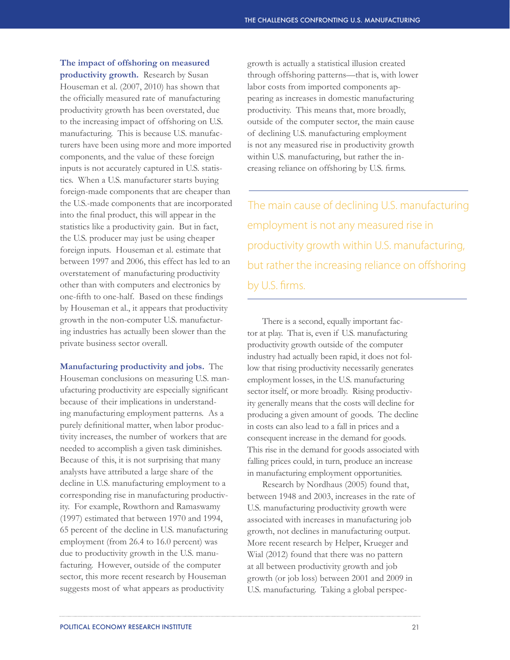**The impact of offshoring on measured productivity growth.** Research by Susan Houseman et al. (2007, 2010) has shown that the officially measured rate of manufacturing productivity growth has been overstated, due to the increasing impact of offshoring on U.S. manufacturing. This is because U.S. manufacturers have been using more and more imported components, and the value of these foreign inputs is not accurately captured in U.S. statistics. When a U.S. manufacturer starts buying foreign-made components that are cheaper than the U.S.-made components that are incorporated into the final product, this will appear in the statistics like a productivity gain. But in fact, the U.S. producer may just be using cheaper foreign inputs. Houseman et al. estimate that between 1997 and 2006, this effect has led to an overstatement of manufacturing productivity other than with computers and electronics by one-fifth to one-half. Based on these findings by Houseman et al., it appears that productivity growth in the non-computer U.S. manufacturing industries has actually been slower than the private business sector overall.

**Manufacturing productivity and jobs.** The Houseman conclusions on measuring U.S. manufacturing productivity are especially significant because of their implications in understanding manufacturing employment patterns. As a purely definitional matter, when labor productivity increases, the number of workers that are needed to accomplish a given task diminishes. Because of this, it is not surprising that many analysts have attributed a large share of the decline in U.S. manufacturing employment to a corresponding rise in manufacturing productivity. For example, Rowthorn and Ramaswamy (1997) estimated that between 1970 and 1994, 65 percent of the decline in U.S. manufacturing employment (from 26.4 to 16.0 percent) was due to productivity growth in the U.S. manufacturing. However, outside of the computer sector, this more recent research by Houseman suggests most of what appears as productivity

growth is actually a statistical illusion created through offshoring patterns—that is, with lower labor costs from imported components appearing as increases in domestic manufacturing productivity. This means that, more broadly, outside of the computer sector, the main cause of declining U.S. manufacturing employment is not any measured rise in productivity growth within U.S. manufacturing, but rather the increasing reliance on offshoring by U.S. firms.

The main cause of declining U.S. manufacturing employment is not any measured rise in productivity growth within U.S. manufacturing, but rather the increasing reliance on offshoring by U.S. firms.

There is a second, equally important factor at play. That is, even if U.S. manufacturing productivity growth outside of the computer industry had actually been rapid, it does not follow that rising productivity necessarily generates employment losses, in the U.S. manufacturing sector itself, or more broadly. Rising productivity generally means that the costs will decline for producing a given amount of goods. The decline in costs can also lead to a fall in prices and a consequent increase in the demand for goods. This rise in the demand for goods associated with falling prices could, in turn, produce an increase in manufacturing employment opportunities.

Research by Nordhaus (2005) found that, between 1948 and 2003, increases in the rate of U.S. manufacturing productivity growth were associated with increases in manufacturing job growth, not declines in manufacturing output. More recent research by Helper, Krueger and Wial (2012) found that there was no pattern at all between productivity growth and job growth (or job loss) between 2001 and 2009 in U.S. manufacturing. Taking a global perspec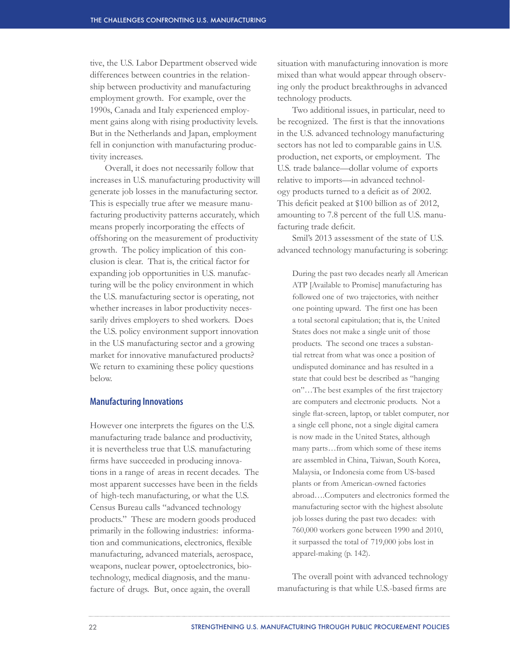tive, the U.S. Labor Department observed wide differences between countries in the relationship between productivity and manufacturing employment growth. For example, over the 1990s, Canada and Italy experienced employment gains along with rising productivity levels. But in the Netherlands and Japan, employment fell in conjunction with manufacturing productivity increases.

Overall, it does not necessarily follow that increases in U.S. manufacturing productivity will generate job losses in the manufacturing sector. This is especially true after we measure manufacturing productivity patterns accurately, which means properly incorporating the effects of offshoring on the measurement of productivity growth. The policy implication of this conclusion is clear. That is, the critical factor for expanding job opportunities in U.S. manufacturing will be the policy environment in which the U.S. manufacturing sector is operating, not whether increases in labor productivity necessarily drives employers to shed workers. Does the U.S. policy environment support innovation in the U.S manufacturing sector and a growing market for innovative manufactured products? We return to examining these policy questions below.

#### **Manufacturing Innovations**

However one interprets the figures on the U.S. manufacturing trade balance and productivity, it is nevertheless true that U.S. manufacturing firms have succeeded in producing innovations in a range of areas in recent decades. The most apparent successes have been in the fields of high-tech manufacturing, or what the U.S. Census Bureau calls "advanced technology products." These are modern goods produced primarily in the following industries: information and communications, electronics, flexible manufacturing, advanced materials, aerospace, weapons, nuclear power, optoelectronics, biotechnology, medical diagnosis, and the manufacture of drugs. But, once again, the overall

situation with manufacturing innovation is more mixed than what would appear through observing only the product breakthroughs in advanced technology products.

Two additional issues, in particular, need to be recognized. The first is that the innovations in the U.S. advanced technology manufacturing sectors has not led to comparable gains in U.S. production, net exports, or employment. The U.S. trade balance—dollar volume of exports relative to imports—in advanced technology products turned to a deficit as of 2002. This deficit peaked at \$100 billion as of 2012, amounting to 7.8 percent of the full U.S. manufacturing trade deficit.

Smil's 2013 assessment of the state of U.S. advanced technology manufacturing is sobering:

During the past two decades nearly all American ATP [Available to Promise] manufacturing has followed one of two trajectories, with neither one pointing upward. The first one has been a total sectoral capitulation; that is, the United States does not make a single unit of those products. The second one traces a substantial retreat from what was once a position of undisputed dominance and has resulted in a state that could best be described as "hanging on"…The best examples of the first trajectory are computers and electronic products. Not a single flat-screen, laptop, or tablet computer, nor a single cell phone, not a single digital camera is now made in the United States, although many parts…from which some of these items are assembled in China, Taiwan, South Korea, Malaysia, or Indonesia come from US-based plants or from American-owned factories abroad….Computers and electronics formed the manufacturing sector with the highest absolute job losses during the past two decades: with 760,000 workers gone between 1990 and 2010, it surpassed the total of 719,000 jobs lost in apparel-making (p. 142).

The overall point with advanced technology manufacturing is that while U.S.-based firms are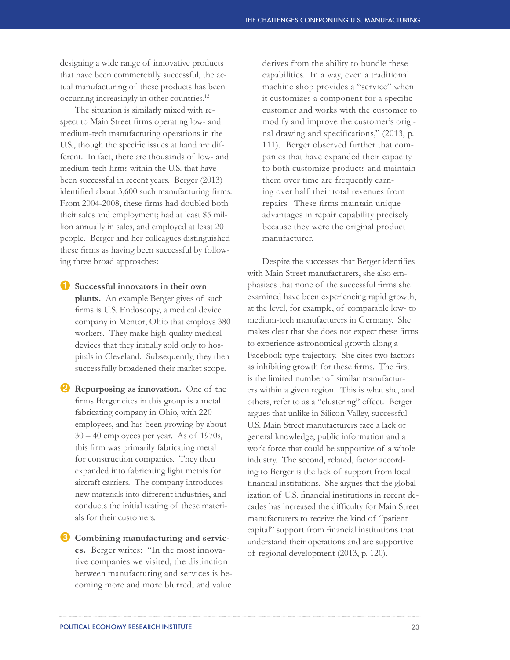designing a wide range of innovative products that have been commercially successful, the actual manufacturing of these products has been occurring increasingly in other countries.12

The situation is similarly mixed with respect to Main Street firms operating low- and medium-tech manufacturing operations in the U.S., though the specific issues at hand are different. In fact, there are thousands of low- and medium-tech firms within the U.S. that have been successful in recent years. Berger (2013) identified about 3,600 such manufacturing firms. From 2004-2008, these firms had doubled both their sales and employment; had at least \$5 million annually in sales, and employed at least 20 people. Berger and her colleagues distinguished these firms as having been successful by following three broad approaches:

➊ **Successful innovators in their own plants.** An example Berger gives of such firms is U.S. Endoscopy, a medical device company in Mentor, Ohio that employs 380 workers. They make high-quality medical devices that they initially sold only to hospitals in Cleveland. Subsequently, they then successfully broadened their market scope.

➋ **Repurposing as innovation.** One of the firms Berger cites in this group is a metal fabricating company in Ohio, with 220 employees, and has been growing by about 30 – 40 employees per year. As of 1970s, this firm was primarily fabricating metal for construction companies. They then expanded into fabricating light metals for aircraft carriers. The company introduces new materials into different industries, and conducts the initial testing of these materials for their customers.

➌ **Combining manufacturing and services.** Berger writes: "In the most innovative companies we visited, the distinction between manufacturing and services is becoming more and more blurred, and value

derives from the ability to bundle these capabilities. In a way, even a traditional machine shop provides a "service" when it customizes a component for a specific customer and works with the customer to modify and improve the customer's original drawing and specifications," (2013, p. 111). Berger observed further that companies that have expanded their capacity to both customize products and maintain them over time are frequently earning over half their total revenues from repairs. These firms maintain unique advantages in repair capability precisely because they were the original product manufacturer.

Despite the successes that Berger identifies with Main Street manufacturers, she also emphasizes that none of the successful firms she examined have been experiencing rapid growth, at the level, for example, of comparable low- to medium-tech manufacturers in Germany. She makes clear that she does not expect these firms to experience astronomical growth along a Facebook-type trajectory. She cites two factors as inhibiting growth for these firms. The first is the limited number of similar manufacturers within a given region. This is what she, and others, refer to as a "clustering" effect. Berger argues that unlike in Silicon Valley, successful U.S. Main Street manufacturers face a lack of general knowledge, public information and a work force that could be supportive of a whole industry. The second, related, factor according to Berger is the lack of support from local financial institutions. She argues that the globalization of U.S. financial institutions in recent decades has increased the difficulty for Main Street manufacturers to receive the kind of "patient capital" support from financial institutions that understand their operations and are supportive of regional development (2013, p. 120).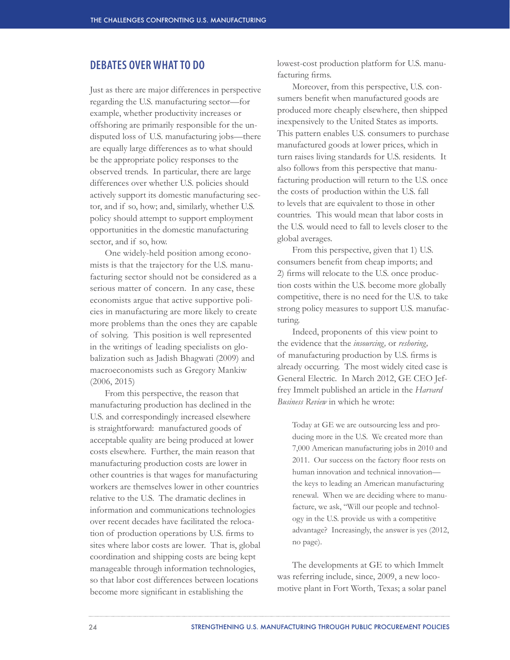### **DEBATES OVER WHAT TO DO**

Just as there are major differences in perspective regarding the U.S. manufacturing sector—for example, whether productivity increases or offshoring are primarily responsible for the undisputed loss of U.S. manufacturing jobs—there are equally large differences as to what should be the appropriate policy responses to the observed trends. In particular, there are large differences over whether U.S. policies should actively support its domestic manufacturing sector, and if so, how; and, similarly, whether U.S. policy should attempt to support employment opportunities in the domestic manufacturing sector, and if so, how.

One widely-held position among economists is that the trajectory for the U.S. manufacturing sector should not be considered as a serious matter of concern. In any case, these economists argue that active supportive policies in manufacturing are more likely to create more problems than the ones they are capable of solving. This position is well represented in the writings of leading specialists on globalization such as Jadish Bhagwati (2009) and macroeconomists such as Gregory Mankiw (2006, 2015)

From this perspective, the reason that manufacturing production has declined in the U.S. and correspondingly increased elsewhere is straightforward: manufactured goods of acceptable quality are being produced at lower costs elsewhere. Further, the main reason that manufacturing production costs are lower in other countries is that wages for manufacturing workers are themselves lower in other countries relative to the U.S. The dramatic declines in information and communications technologies over recent decades have facilitated the relocation of production operations by U.S. firms to sites where labor costs are lower. That is, global coordination and shipping costs are being kept manageable through information technologies, so that labor cost differences between locations become more significant in establishing the

lowest-cost production platform for U.S. manufacturing firms.

Moreover, from this perspective, U.S. consumers benefit when manufactured goods are produced more cheaply elsewhere, then shipped inexpensively to the United States as imports. This pattern enables U.S. consumers to purchase manufactured goods at lower prices, which in turn raises living standards for U.S. residents. It also follows from this perspective that manufacturing production will return to the U.S. once the costs of production within the U.S. fall to levels that are equivalent to those in other countries. This would mean that labor costs in the U.S. would need to fall to levels closer to the global averages.

From this perspective, given that 1) U.S. consumers benefit from cheap imports; and 2) firms will relocate to the U.S. once production costs within the U.S. become more globally competitive, there is no need for the U.S. to take strong policy measures to support U.S. manufacturing.

Indeed, proponents of this view point to the evidence that the *insourcing,* or *reshoring,*  of manufacturing production by U.S. firms is already occurring. The most widely cited case is General Electric. In March 2012, GE CEO Jeffrey Immelt published an article in the *Harvard Business Review* in which he wrote:

Today at GE we are outsourcing less and producing more in the U.S. We created more than 7,000 American manufacturing jobs in 2010 and 2011. Our success on the factory floor rests on human innovation and technical innovation the keys to leading an American manufacturing renewal. When we are deciding where to manufacture, we ask, "Will our people and technology in the U.S. provide us with a competitive advantage? Increasingly, the answer is yes (2012, no page).

The developments at GE to which Immelt was referring include, since, 2009, a new locomotive plant in Fort Worth, Texas; a solar panel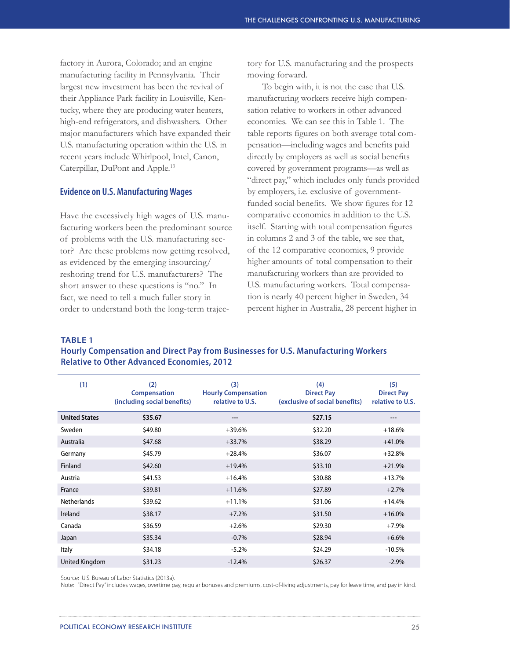factory in Aurora, Colorado; and an engine manufacturing facility in Pennsylvania. Their largest new investment has been the revival of their Appliance Park facility in Louisville, Kentucky, where they are producing water heaters, high-end refrigerators, and dishwashers. Other major manufacturers which have expanded their U.S. manufacturing operation within the U.S. in recent years include Whirlpool, Intel, Canon, Caterpillar, DuPont and Apple.13

#### **Evidence on U.S. Manufacturing Wages**

Have the excessively high wages of U.S. manufacturing workers been the predominant source of problems with the U.S. manufacturing sector? Are these problems now getting resolved, as evidenced by the emerging insourcing/ reshoring trend for U.S. manufacturers? The short answer to these questions is "no." In fact, we need to tell a much fuller story in order to understand both the long-term trajectory for U.S. manufacturing and the prospects moving forward.

To begin with, it is not the case that U.S. manufacturing workers receive high compensation relative to workers in other advanced economies. We can see this in Table 1. The table reports figures on both average total compensation—including wages and benefits paid directly by employers as well as social benefits covered by government programs—as well as "direct pay," which includes only funds provided by employers, i.e. exclusive of governmentfunded social benefits. We show figures for 12 comparative economies in addition to the U.S. itself. Starting with total compensation figures in columns 2 and 3 of the table, we see that, of the 12 comparative economies, 9 provide higher amounts of total compensation to their manufacturing workers than are provided to U.S. manufacturing workers. Total compensation is nearly 40 percent higher in Sweden, 34 percent higher in Australia, 28 percent higher in

**TABLE 1**

**Hourly Compensation and Direct Pay from Businesses for U.S. Manufacturing Workers Relative to Other Advanced Economies, 2012**

| (1)                  | (2)<br><b>Compensation</b><br>(including social benefits) | (3)<br><b>Hourly Compensation</b><br>relative to U.S. | (4)<br><b>Direct Pay</b><br>(exclusive of social benefits) | (5)<br><b>Direct Pay</b><br>relative to U.S. |
|----------------------|-----------------------------------------------------------|-------------------------------------------------------|------------------------------------------------------------|----------------------------------------------|
| <b>United States</b> | \$35.67                                                   | ---                                                   | \$27.15                                                    |                                              |
| Sweden               | \$49.80                                                   | $+39.6%$                                              | \$32.20                                                    | $+18.6%$                                     |
| Australia            | \$47.68                                                   | $+33.7%$                                              | \$38.29                                                    | $+41.0%$                                     |
| Germany              | \$45.79                                                   | $+28.4%$                                              | \$36.07                                                    | $+32.8%$                                     |
| Finland              | \$42.60                                                   | $+19.4%$                                              | \$33.10                                                    | $+21.9%$                                     |
| Austria              | \$41.53                                                   | $+16.4%$                                              | \$30.88                                                    | $+13.7%$                                     |
| France               | \$39.81                                                   | $+11.6%$                                              | \$27.89                                                    | $+2.7%$                                      |
| <b>Netherlands</b>   | \$39.62                                                   | $+11.1%$                                              | \$31.06                                                    | $+14.4%$                                     |
| Ireland              | \$38.17                                                   | $+7.2%$                                               | \$31.50                                                    | $+16.0%$                                     |
| Canada               | \$36.59                                                   | $+2.6%$                                               | \$29.30                                                    | $+7.9%$                                      |
| Japan                | \$35.34                                                   | $-0.7%$                                               | \$28.94                                                    | $+6.6%$                                      |
| Italy                | \$34.18                                                   | $-5.2%$                                               | \$24.29                                                    | $-10.5%$                                     |
| United Kingdom       | \$31.23                                                   | $-12.4%$                                              | \$26.37                                                    | $-2.9%$                                      |

Source: U.S. Bureau of Labor Statistics (2013a).

Note: "Direct Pay" includes wages, overtime pay, regular bonuses and premiums, cost-of-living adjustments, pay for leave time, and pay in kind.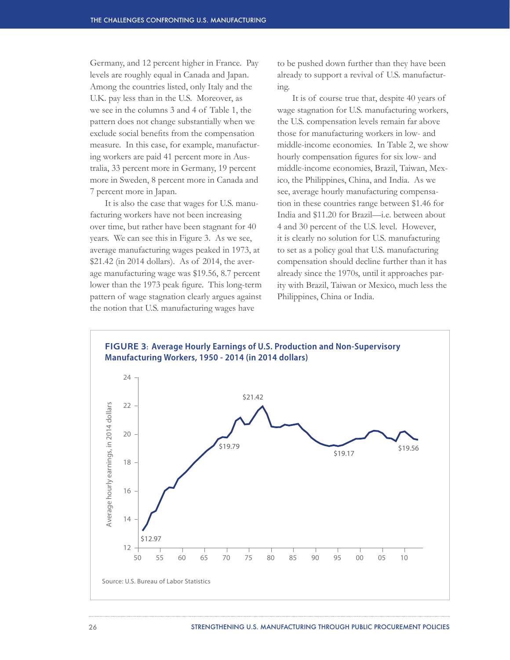Germany, and 12 percent higher in France. Pay levels are roughly equal in Canada and Japan. Among the countries listed, only Italy and the U.K. pay less than in the U.S. Moreover, as we see in the columns 3 and 4 of Table 1, the pattern does not change substantially when we exclude social benefits from the compensation measure. In this case, for example, manufacturing workers are paid 41 percent more in Australia, 33 percent more in Germany, 19 percent more in Sweden, 8 percent more in Canada and 7 percent more in Japan.

It is also the case that wages for U.S. manufacturing workers have not been increasing over time, but rather have been stagnant for 40 years. We can see this in Figure 3. As we see, average manufacturing wages peaked in 1973, at \$21.42 (in 2014 dollars). As of 2014, the average manufacturing wage was \$19.56, 8.7 percent lower than the 1973 peak figure. This long-term pattern of wage stagnation clearly argues against the notion that U.S. manufacturing wages have

to be pushed down further than they have been already to support a revival of U.S. manufacturing.

It is of course true that, despite 40 years of wage stagnation for U.S. manufacturing workers, the U.S. compensation levels remain far above those for manufacturing workers in low- and middle-income economies. In Table 2, we show hourly compensation figures for six low- and middle-income economies, Brazil, Taiwan, Mexico, the Philippines, China, and India. As we see, average hourly manufacturing compensation in these countries range between \$1.46 for India and \$11.20 for Brazil—i.e. between about 4 and 30 percent of the U.S. level. However, it is clearly no solution for U.S. manufacturing to set as a policy goal that U.S. manufacturing compensation should decline further than it has already since the 1970s, until it approaches parity with Brazil, Taiwan or Mexico, much less the Philippines, China or India.



26 STRENGTHENING U.S. MANUFACTURING THROUGH PUBLIC PROCUREMENT POLICIES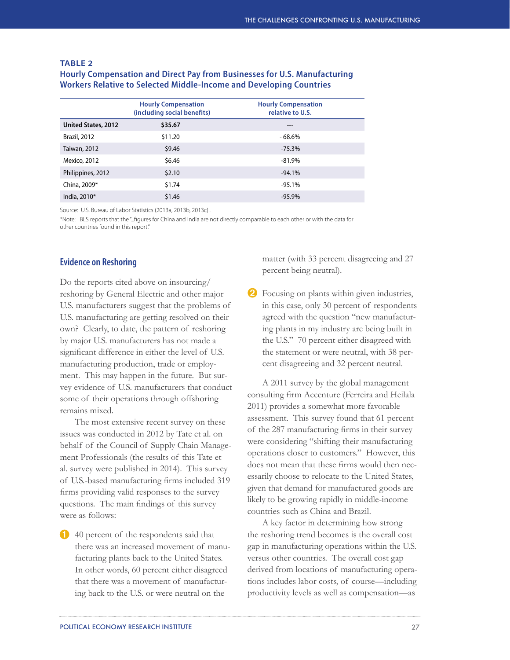|                     | <b>Hourly Compensation</b><br>(including social benefits) | <b>Hourly Compensation</b><br>relative to U.S. |
|---------------------|-----------------------------------------------------------|------------------------------------------------|
| United States, 2012 | \$35.67                                                   | ---                                            |
| <b>Brazil, 2012</b> | \$11.20                                                   | $-68.6%$                                       |
| Taiwan, 2012        | \$9.46                                                    | $-75.3%$                                       |
| Mexico, 2012        | \$6.46                                                    | $-81.9%$                                       |
| Philippines, 2012   | \$2.10                                                    | $-94.1%$                                       |
| China, 2009*        | \$1.74                                                    | $-95.1%$                                       |
| India, 2010*        | \$1.46                                                    | $-95.9%$                                       |
|                     |                                                           |                                                |

#### **TABLE 2**

### **Hourly Compensation and Direct Pay from Businesses for U.S. Manufacturing Workers Relative to Selected Middle-Income and Developing Countries**

Source: U.S. Bureau of Labor Statistics (2013a, 2013b, 2013c)..

\*Note: BLS reports that the "...figures for China and India are not directly comparable to each other or with the data for other countries found in this report."

#### **Evidence on Reshoring**

Do the reports cited above on insourcing/ reshoring by General Electric and other major U.S. manufacturers suggest that the problems of U.S. manufacturing are getting resolved on their own? Clearly, to date, the pattern of reshoring by major U.S. manufacturers has not made a significant difference in either the level of U.S. manufacturing production, trade or employment. This may happen in the future. But survey evidence of U.S. manufacturers that conduct some of their operations through offshoring remains mixed.

The most extensive recent survey on these issues was conducted in 2012 by Tate et al. on behalf of the Council of Supply Chain Management Professionals (the results of this Tate et al. survey were published in 2014). This survey of U.S.-based manufacturing firms included 319 firms providing valid responses to the survey questions. The main findings of this survey were as follows:

40 percent of the respondents said that there was an increased movement of manufacturing plants back to the United States. In other words, 60 percent either disagreed that there was a movement of manufacturing back to the U.S. or were neutral on the ➊

matter (with 33 percent disagreeing and 27 percent being neutral).

2 Focusing on plants within given industries, in this case, only 30 percent of respondents agreed with the question "new manufacturing plants in my industry are being built in the U.S." 70 percent either disagreed with the statement or were neutral, with 38 percent disagreeing and 32 percent neutral.

A 2011 survey by the global management consulting firm Accenture (Ferreira and Heilala 2011) provides a somewhat more favorable assessment. This survey found that 61 percent of the 287 manufacturing firms in their survey were considering "shifting their manufacturing operations closer to customers." However, this does not mean that these firms would then necessarily choose to relocate to the United States, given that demand for manufactured goods are likely to be growing rapidly in middle-income countries such as China and Brazil.

A key factor in determining how strong the reshoring trend becomes is the overall cost gap in manufacturing operations within the U.S. versus other countries. The overall cost gap derived from locations of manufacturing operations includes labor costs, of course—including productivity levels as well as compensation—as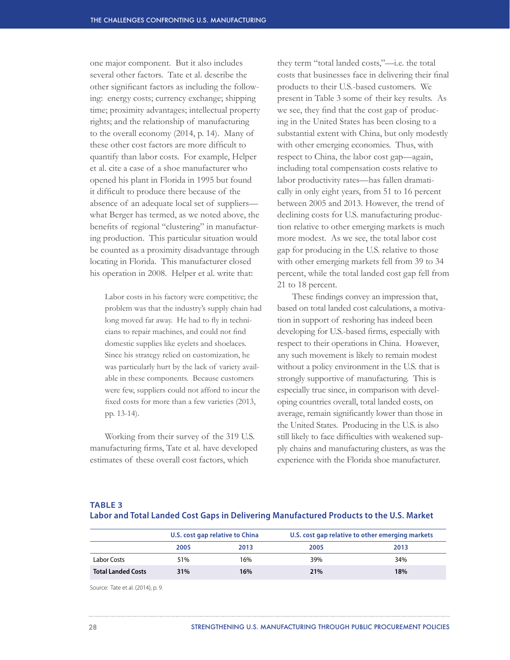one major component. But it also includes several other factors. Tate et al. describe the other significant factors as including the following: energy costs; currency exchange; shipping time; proximity advantages; intellectual property rights; and the relationship of manufacturing to the overall economy (2014, p. 14). Many of these other cost factors are more difficult to quantify than labor costs. For example, Helper et al. cite a case of a shoe manufacturer who opened his plant in Florida in 1995 but found it difficult to produce there because of the absence of an adequate local set of suppliers what Berger has termed, as we noted above, the benefits of regional "clustering" in manufacturing production. This particular situation would be counted as a proximity disadvantage through locating in Florida. This manufacturer closed his operation in 2008. Helper et al. write that:

Labor costs in his factory were competitive; the problem was that the industry's supply chain had long moved far away. He had to fly in technicians to repair machines, and could not find domestic supplies like eyelets and shoelaces. Since his strategy relied on customization, he was particularly hurt by the lack of variety available in these components. Because customers were few, suppliers could not afford to incur the fixed costs for more than a few varieties (2013, pp. 13-14).

Working from their survey of the 319 U.S. manufacturing firms, Tate et al. have developed estimates of these overall cost factors, which

they term "total landed costs,"—i.e. the total costs that businesses face in delivering their final products to their U.S.-based customers. We present in Table 3 some of their key results. As we see, they find that the cost gap of producing in the United States has been closing to a substantial extent with China, but only modestly with other emerging economies. Thus, with respect to China, the labor cost gap—again, including total compensation costs relative to labor productivity rates—has fallen dramatically in only eight years, from 51 to 16 percent between 2005 and 2013. However, the trend of declining costs for U.S. manufacturing production relative to other emerging markets is much more modest. As we see, the total labor cost gap for producing in the U.S. relative to those with other emerging markets fell from 39 to 34 percent, while the total landed cost gap fell from 21 to 18 percent.

These findings convey an impression that, based on total landed cost calculations, a motivation in support of reshoring has indeed been developing for U.S.-based firms, especially with respect to their operations in China. However, any such movement is likely to remain modest without a policy environment in the U.S. that is strongly supportive of manufacturing. This is especially true since, in comparison with developing countries overall, total landed costs, on average, remain significantly lower than those in the United States. Producing in the U.S. is also still likely to face difficulties with weakened supply chains and manufacturing clusters, as was the experience with the Florida shoe manufacturer.

#### **TABLE 3**

|                           | U.S. cost gap relative to China |      | U.S. cost gap relative to other emerging markets |      |
|---------------------------|---------------------------------|------|--------------------------------------------------|------|
|                           | 2005                            | 2013 | 2005                                             | 2013 |
| Labor Costs               | 51%                             | 16%  | 39%                                              | 34%  |
| <b>Total Landed Costs</b> | 31%                             | 16%  | 21%                                              | 18%  |

**Labor and Total Landed Cost Gaps in Delivering Manufactured Products to the U.S. Market**

Source: Tate et al. (2014), p. 9.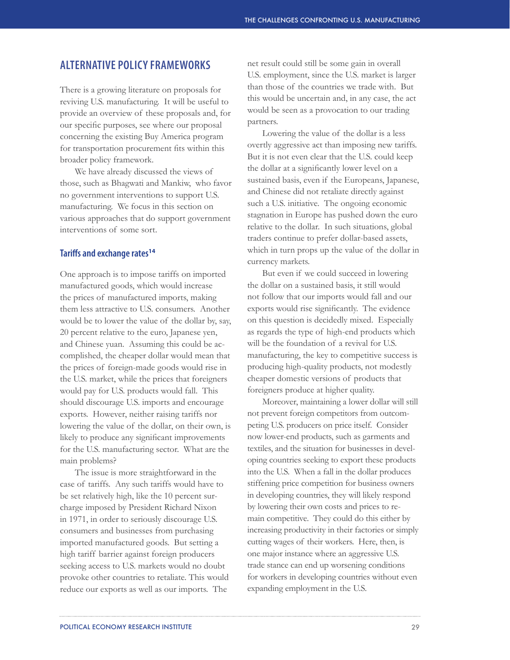### **ALTERNATIVE POLICY FRAMEWORKS**

There is a growing literature on proposals for reviving U.S. manufacturing. It will be useful to provide an overview of these proposals and, for our specific purposes, see where our proposal concerning the existing Buy America program for transportation procurement fits within this broader policy framework.

We have already discussed the views of those, such as Bhagwati and Mankiw, who favor no government interventions to support U.S. manufacturing. We focus in this section on various approaches that do support government interventions of some sort.

#### **Tariffs and exchange rates<sup>14</sup>**

One approach is to impose tariffs on imported manufactured goods, which would increase the prices of manufactured imports, making them less attractive to U.S. consumers. Another would be to lower the value of the dollar by, say, 20 percent relative to the euro, Japanese yen, and Chinese yuan. Assuming this could be accomplished, the cheaper dollar would mean that the prices of foreign-made goods would rise in the U.S. market, while the prices that foreigners would pay for U.S. products would fall. This should discourage U.S. imports and encourage exports. However, neither raising tariffs nor lowering the value of the dollar, on their own, is likely to produce any significant improvements for the U.S. manufacturing sector. What are the main problems?

The issue is more straightforward in the case of tariffs. Any such tariffs would have to be set relatively high, like the 10 percent surcharge imposed by President Richard Nixon in 1971, in order to seriously discourage U.S. consumers and businesses from purchasing imported manufactured goods. But setting a high tariff barrier against foreign producers seeking access to U.S. markets would no doubt provoke other countries to retaliate. This would reduce our exports as well as our imports. The

net result could still be some gain in overall U.S. employment, since the U.S. market is larger than those of the countries we trade with. But this would be uncertain and, in any case, the act would be seen as a provocation to our trading partners.

Lowering the value of the dollar is a less overtly aggressive act than imposing new tariffs. But it is not even clear that the U.S. could keep the dollar at a significantly lower level on a sustained basis, even if the Europeans, Japanese, and Chinese did not retaliate directly against such a U.S. initiative. The ongoing economic stagnation in Europe has pushed down the euro relative to the dollar. In such situations, global traders continue to prefer dollar-based assets, which in turn props up the value of the dollar in currency markets.

But even if we could succeed in lowering the dollar on a sustained basis, it still would not follow that our imports would fall and our exports would rise significantly. The evidence on this question is decidedly mixed. Especially as regards the type of high-end products which will be the foundation of a revival for U.S. manufacturing, the key to competitive success is producing high-quality products, not modestly cheaper domestic versions of products that foreigners produce at higher quality.

Moreover, maintaining a lower dollar will still not prevent foreign competitors from outcompeting U.S. producers on price itself. Consider now lower-end products, such as garments and textiles, and the situation for businesses in developing countries seeking to export these products into the U.S. When a fall in the dollar produces stiffening price competition for business owners in developing countries, they will likely respond by lowering their own costs and prices to remain competitive. They could do this either by increasing productivity in their factories or simply cutting wages of their workers. Here, then, is one major instance where an aggressive U.S. trade stance can end up worsening conditions for workers in developing countries without even expanding employment in the U.S.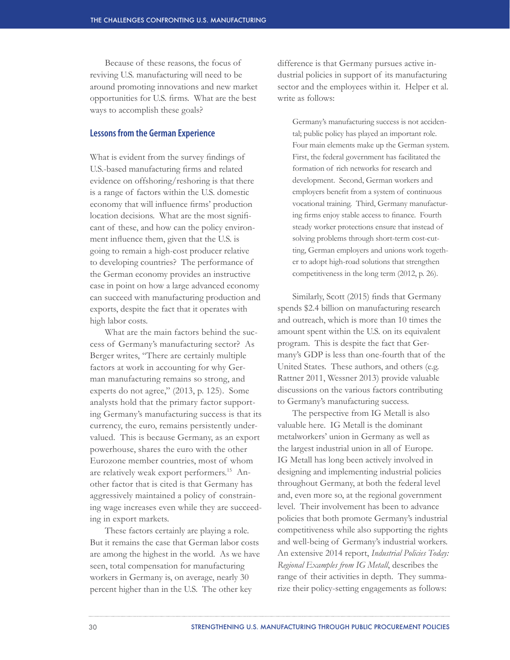Because of these reasons, the focus of reviving U.S. manufacturing will need to be around promoting innovations and new market opportunities for U.S. firms. What are the best ways to accomplish these goals?

#### **Lessons from the German Experience**

What is evident from the survey findings of U.S.-based manufacturing firms and related evidence on offshoring/reshoring is that there is a range of factors within the U.S. domestic economy that will influence firms' production location decisions. What are the most significant of these, and how can the policy environment influence them, given that the U.S. is going to remain a high-cost producer relative to developing countries? The performance of the German economy provides an instructive case in point on how a large advanced economy can succeed with manufacturing production and exports, despite the fact that it operates with high labor costs.

What are the main factors behind the success of Germany's manufacturing sector? As Berger writes, "There are certainly multiple factors at work in accounting for why German manufacturing remains so strong, and experts do not agree," (2013, p. 125). Some analysts hold that the primary factor supporting Germany's manufacturing success is that its currency, the euro, remains persistently undervalued. This is because Germany, as an export powerhouse, shares the euro with the other Eurozone member countries, most of whom are relatively weak export performers.<sup>15</sup> Another factor that is cited is that Germany has aggressively maintained a policy of constraining wage increases even while they are succeeding in export markets.

These factors certainly are playing a role. But it remains the case that German labor costs are among the highest in the world. As we have seen, total compensation for manufacturing workers in Germany is, on average, nearly 30 percent higher than in the U.S. The other key

difference is that Germany pursues active industrial policies in support of its manufacturing sector and the employees within it. Helper et al. write as follows:

Germany's manufacturing success is not accidental; public policy has played an important role. Four main elements make up the German system. First, the federal government has facilitated the formation of rich networks for research and development. Second, German workers and employers benefit from a system of continuous vocational training. Third, Germany manufacturing firms enjoy stable access to finance. Fourth steady worker protections ensure that instead of solving problems through short-term cost-cutting, German employers and unions work together to adopt high-road solutions that strengthen competitiveness in the long term (2012, p. 26).

Similarly, Scott (2015) finds that Germany spends \$2.4 billion on manufacturing research and outreach, which is more than 10 times the amount spent within the U.S. on its equivalent program. This is despite the fact that Germany's GDP is less than one-fourth that of the United States. These authors, and others (e.g. Rattner 2011, Wessner 2013) provide valuable discussions on the various factors contributing to Germany's manufacturing success.

The perspective from IG Metall is also valuable here. IG Metall is the dominant metalworkers' union in Germany as well as the largest industrial union in all of Europe. IG Metall has long been actively involved in designing and implementing industrial policies throughout Germany, at both the federal level and, even more so, at the regional government level. Their involvement has been to advance policies that both promote Germany's industrial competitiveness while also supporting the rights and well-being of Germany's industrial workers. An extensive 2014 report, *Industrial Policies Today: Regional Examples from IG Metall*, describes the range of their activities in depth. They summarize their policy-setting engagements as follows: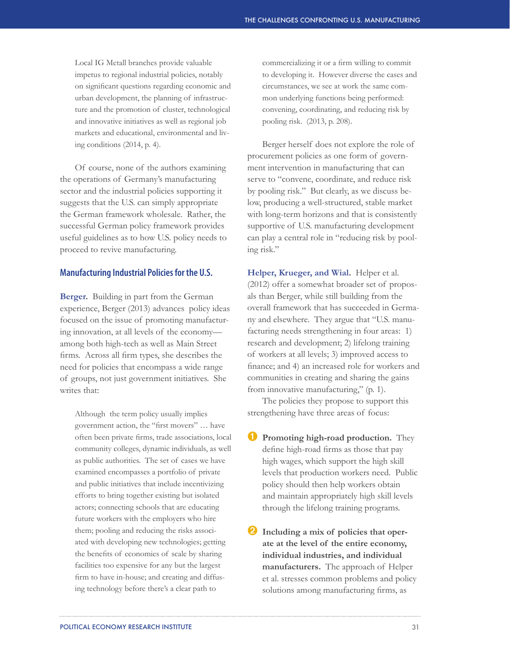Local IG Metall branches provide valuable impetus to regional industrial policies, notably on significant questions regarding economic and urban development, the planning of infrastructure and the promotion of cluster, technological and innovative initiatives as well as regional job markets and educational, environmental and living conditions (2014, p. 4).

Of course, none of the authors examining the operations of Germany's manufacturing sector and the industrial policies supporting it suggests that the U.S. can simply appropriate the German framework wholesale. Rather, the successful German policy framework provides useful guidelines as to how U.S. policy needs to proceed to revive manufacturing.

#### **Manufacturing Industrial Policies for the U.S.**

**Berger.** Building in part from the German experience, Berger (2013) advances policy ideas focused on the issue of promoting manufacturing innovation, at all levels of the economy among both high-tech as well as Main Street firms. Across all firm types, she describes the need for policies that encompass a wide range of groups, not just government initiatives. She writes that:

Although the term policy usually implies government action, the "first movers" … have often been private firms, trade associations, local community colleges, dynamic individuals, as well as public authorities. The set of cases we have examined encompasses a portfolio of private and public initiatives that include incentivizing efforts to bring together existing but isolated actors; connecting schools that are educating future workers with the employers who hire them; pooling and reducing the risks associated with developing new technologies; getting the benefits of economies of scale by sharing facilities too expensive for any but the largest firm to have in-house; and creating and diffusing technology before there's a clear path to

commercializing it or a firm willing to commit to developing it. However diverse the cases and circumstances, we see at work the same common underlying functions being performed: convening, coordinating, and reducing risk by pooling risk. (2013, p. 208).

Berger herself does not explore the role of procurement policies as one form of government intervention in manufacturing that can serve to "convene, coordinate, and reduce risk by pooling risk." But clearly, as we discuss below, producing a well-structured, stable market with long-term horizons and that is consistently supportive of U.S. manufacturing development can play a central role in "reducing risk by pooling risk."

**Helper, Krueger, and Wial.** Helper et al. (2012) offer a somewhat broader set of proposals than Berger, while still building from the overall framework that has succeeded in Germany and elsewhere. They argue that "U.S. manufacturing needs strengthening in four areas: 1) research and development; 2) lifelong training of workers at all levels; 3) improved access to finance; and 4) an increased role for workers and communities in creating and sharing the gains from innovative manufacturing," (p. 1).

The policies they propose to support this strengthening have three areas of focus:

- **I** Promoting high-road production. They define high-road firms as those that pay high wages, which support the high skill levels that production workers need. Public policy should then help workers obtain and maintain appropriately high skill levels through the lifelong training programs.
- ➋ **Including a mix of policies that operate at the level of the entire economy, individual industries, and individual manufacturers.** The approach of Helper et al. stresses common problems and policy solutions among manufacturing firms, as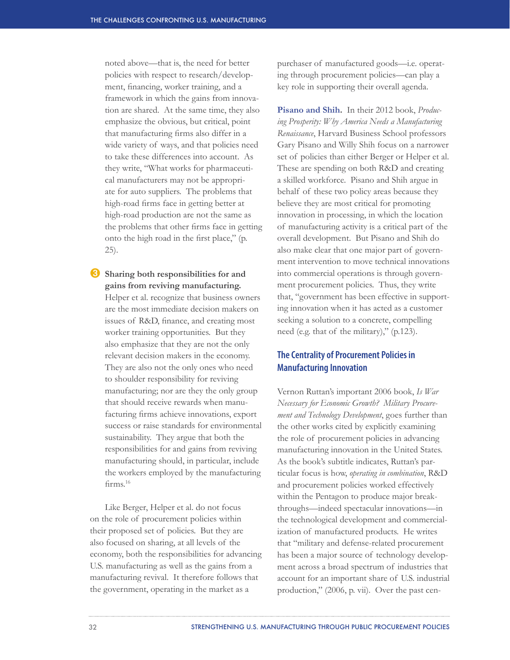noted above—that is, the need for better policies with respect to research/development, financing, worker training, and a framework in which the gains from innovation are shared. At the same time, they also emphasize the obvious, but critical, point that manufacturing firms also differ in a wide variety of ways, and that policies need to take these differences into account. As they write, "What works for pharmaceutical manufacturers may not be appropriate for auto suppliers. The problems that high-road firms face in getting better at high-road production are not the same as the problems that other firms face in getting onto the high road in the first place," (p. 25).

➌ **Sharing both responsibilities for and gains from reviving manufacturing.**  Helper et al. recognize that business owners are the most immediate decision makers on issues of R&D, finance, and creating most worker training opportunities. But they also emphasize that they are not the only relevant decision makers in the economy. They are also not the only ones who need to shoulder responsibility for reviving manufacturing; nor are they the only group that should receive rewards when manufacturing firms achieve innovations, export success or raise standards for environmental sustainability. They argue that both the responsibilities for and gains from reviving manufacturing should, in particular, include the workers employed by the manufacturing firms.<sup>16</sup>

Like Berger, Helper et al. do not focus on the role of procurement policies within their proposed set of policies. But they are also focused on sharing, at all levels of the economy, both the responsibilities for advancing U.S. manufacturing as well as the gains from a manufacturing revival. It therefore follows that the government, operating in the market as a

purchaser of manufactured goods—i.e. operating through procurement policies—can play a key role in supporting their overall agenda.

**Pisano and Shih.** In their 2012 book, *Producing Prosperity: Why America Needs a Manufacturing Renaissance*, Harvard Business School professors Gary Pisano and Willy Shih focus on a narrower set of policies than either Berger or Helper et al. These are spending on both R&D and creating a skilled workforce. Pisano and Shih argue in behalf of these two policy areas because they believe they are most critical for promoting innovation in processing, in which the location of manufacturing activity is a critical part of the overall development. But Pisano and Shih do also make clear that one major part of government intervention to move technical innovations into commercial operations is through government procurement policies. Thus, they write that, "government has been effective in supporting innovation when it has acted as a customer seeking a solution to a concrete, compelling need (e.g. that of the military)," (p.123).

### **The Centrality of Procurement Policies in Manufacturing Innovation**

Vernon Ruttan's important 2006 book, *Is War Necessary for Economic Growth? Military Procurement and Technology Development*, goes further than the other works cited by explicitly examining the role of procurement policies in advancing manufacturing innovation in the United States. As the book's subtitle indicates, Ruttan's particular focus is how, *operating in combination*, R&D and procurement policies worked effectively within the Pentagon to produce major breakthroughs—indeed spectacular innovations—in the technological development and commercialization of manufactured products. He writes that "military and defense-related procurement has been a major source of technology development across a broad spectrum of industries that account for an important share of U.S. industrial production," (2006, p. vii). Over the past cen-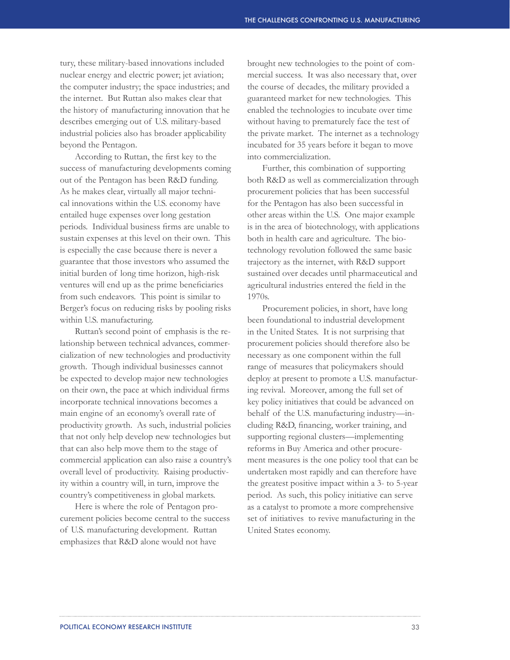tury, these military-based innovations included nuclear energy and electric power; jet aviation; the computer industry; the space industries; and the internet. But Ruttan also makes clear that the history of manufacturing innovation that he describes emerging out of U.S. military-based industrial policies also has broader applicability beyond the Pentagon.

According to Ruttan, the first key to the success of manufacturing developments coming out of the Pentagon has been R&D funding. As he makes clear, virtually all major technical innovations within the U.S. economy have entailed huge expenses over long gestation periods. Individual business firms are unable to sustain expenses at this level on their own. This is especially the case because there is never a guarantee that those investors who assumed the initial burden of long time horizon, high-risk ventures will end up as the prime beneficiaries from such endeavors. This point is similar to Berger's focus on reducing risks by pooling risks within U.S. manufacturing.

Ruttan's second point of emphasis is the relationship between technical advances, commercialization of new technologies and productivity growth. Though individual businesses cannot be expected to develop major new technologies on their own, the pace at which individual firms incorporate technical innovations becomes a main engine of an economy's overall rate of productivity growth. As such, industrial policies that not only help develop new technologies but that can also help move them to the stage of commercial application can also raise a country's overall level of productivity. Raising productivity within a country will, in turn, improve the country's competitiveness in global markets.

Here is where the role of Pentagon procurement policies become central to the success of U.S. manufacturing development. Ruttan emphasizes that R&D alone would not have

brought new technologies to the point of commercial success. It was also necessary that, over the course of decades, the military provided a guaranteed market for new technologies. This enabled the technologies to incubate over time without having to prematurely face the test of the private market. The internet as a technology incubated for 35 years before it began to move into commercialization.

Further, this combination of supporting both R&D as well as commercialization through procurement policies that has been successful for the Pentagon has also been successful in other areas within the U.S. One major example is in the area of biotechnology, with applications both in health care and agriculture. The biotechnology revolution followed the same basic trajectory as the internet, with R&D support sustained over decades until pharmaceutical and agricultural industries entered the field in the 1970s.

Procurement policies, in short, have long been foundational to industrial development in the United States. It is not surprising that procurement policies should therefore also be necessary as one component within the full range of measures that policymakers should deploy at present to promote a U.S. manufacturing revival. Moreover, among the full set of key policy initiatives that could be advanced on behalf of the U.S. manufacturing industry—including R&D, financing, worker training, and supporting regional clusters—implementing reforms in Buy America and other procurement measures is the one policy tool that can be undertaken most rapidly and can therefore have the greatest positive impact within a 3- to 5-year period. As such, this policy initiative can serve as a catalyst to promote a more comprehensive set of initiatives to revive manufacturing in the United States economy.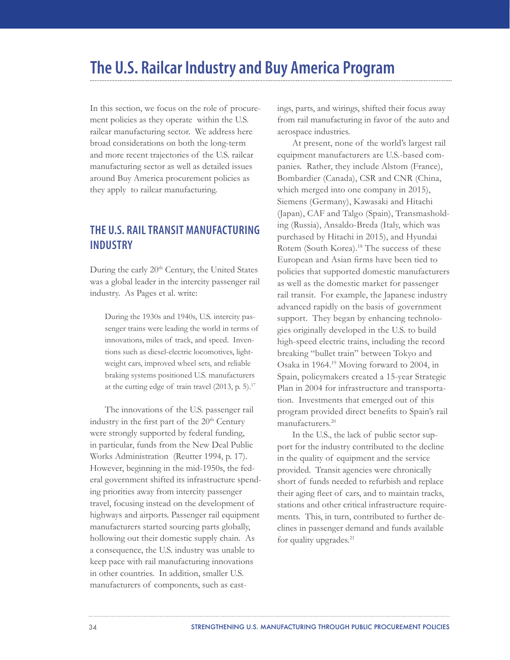# **The U.S. Railcar Industry and Buy America Program**

In this section, we focus on the role of procurement policies as they operate within the U.S. railcar manufacturing sector. We address here broad considerations on both the long-term and more recent trajectories of the U.S. railcar manufacturing sector as well as detailed issues around Buy America procurement policies as they apply to railcar manufacturing.

# **THE U.S. RAIL TRANSIT MANUFACTURING INDUSTRY**

During the early 20<sup>th</sup> Century, the United States was a global leader in the intercity passenger rail industry. As Pages et al. write:

During the 1930s and 1940s, U.S. intercity passenger trains were leading the world in terms of innovations, miles of track, and speed. Inventions such as diesel-electric locomotives, lightweight cars, improved wheel sets, and reliable braking systems positioned U.S. manufacturers at the cutting edge of train travel  $(2013, p. 5)$ .<sup>17</sup>

The innovations of the U.S. passenger rail industry in the first part of the 20<sup>th</sup> Century were strongly supported by federal funding, in particular, funds from the New Deal Public Works Administration (Reutter 1994, p. 17). However, beginning in the mid-1950s, the federal government shifted its infrastructure spending priorities away from intercity passenger travel, focusing instead on the development of highways and airports. Passenger rail equipment manufacturers started sourcing parts globally, hollowing out their domestic supply chain. As a consequence, the U.S. industry was unable to keep pace with rail manufacturing innovations in other countries. In addition, smaller U.S. manufacturers of components, such as castings, parts, and wirings, shifted their focus away from rail manufacturing in favor of the auto and aerospace industries.

At present, none of the world's largest rail equipment manufacturers are U.S.-based companies. Rather, they include Alstom (France), Bombardier (Canada), CSR and CNR (China, which merged into one company in 2015), Siemens (Germany), Kawasaki and Hitachi (Japan), CAF and Talgo (Spain), Transmasholding (Russia), Ansaldo-Breda (Italy, which was purchased by Hitachi in 2015), and Hyundai Rotem (South Korea).<sup>18</sup> The success of these European and Asian firms have been tied to policies that supported domestic manufacturers as well as the domestic market for passenger rail transit. For example, the Japanese industry advanced rapidly on the basis of government support. They began by enhancing technologies originally developed in the U.S. to build high-speed electric trains, including the record breaking "bullet train" between Tokyo and Osaka in 1964.19 Moving forward to 2004, in Spain, policymakers created a 15-year Strategic Plan in 2004 for infrastructure and transportation. Investments that emerged out of this program provided direct benefits to Spain's rail manufacturers.20

In the U.S., the lack of public sector support for the industry contributed to the decline in the quality of equipment and the service provided. Transit agencies were chronically short of funds needed to refurbish and replace their aging fleet of cars, and to maintain tracks, stations and other critical infrastructure requirements. This, in turn, contributed to further declines in passenger demand and funds available for quality upgrades.<sup>21</sup>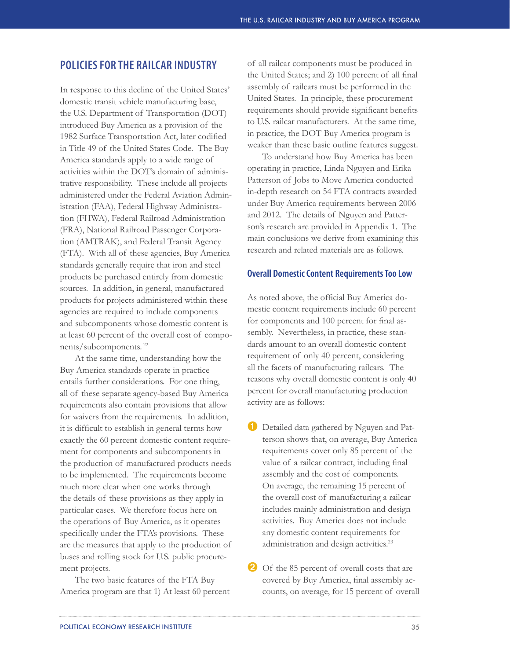# **POLICIES FOR THE RAILCAR INDUSTRY**

In response to this decline of the United States' domestic transit vehicle manufacturing base, the U.S. Department of Transportation (DOT) introduced Buy America as a provision of the 1982 Surface Transportation Act, later codified in Title 49 of the United States Code. The Buy America standards apply to a wide range of activities within the DOT's domain of administrative responsibility. These include all projects administered under the Federal Aviation Administration (FAA), Federal Highway Administration (FHWA), Federal Railroad Administration (FRA), National Railroad Passenger Corporation (AMTRAK), and Federal Transit Agency (FTA). With all of these agencies, Buy America standards generally require that iron and steel products be purchased entirely from domestic sources. In addition, in general, manufactured products for projects administered within these agencies are required to include components and subcomponents whose domestic content is at least 60 percent of the overall cost of components/subcomponents.<sup>22</sup>

At the same time, understanding how the Buy America standards operate in practice entails further considerations. For one thing, all of these separate agency-based Buy America requirements also contain provisions that allow for waivers from the requirements. In addition, it is difficult to establish in general terms how exactly the 60 percent domestic content requirement for components and subcomponents in the production of manufactured products needs to be implemented. The requirements become much more clear when one works through the details of these provisions as they apply in particular cases. We therefore focus here on the operations of Buy America, as it operates specifically under the FTA's provisions. These are the measures that apply to the production of buses and rolling stock for U.S. public procurement projects.

The two basic features of the FTA Buy America program are that 1) At least 60 percent

of all railcar components must be produced in the United States; and 2) 100 percent of all final assembly of railcars must be performed in the United States. In principle, these procurement requirements should provide significant benefits to U.S. railcar manufacturers. At the same time, in practice, the DOT Buy America program is weaker than these basic outline features suggest.

To understand how Buy America has been operating in practice, Linda Nguyen and Erika Patterson of Jobs to Move America conducted in-depth research on 54 FTA contracts awarded under Buy America requirements between 2006 and 2012. The details of Nguyen and Patterson's research are provided in Appendix 1. The main conclusions we derive from examining this research and related materials are as follows.

### **Overall Domestic Content Requirements Too Low**

As noted above, the official Buy America domestic content requirements include 60 percent for components and 100 percent for final assembly. Nevertheless, in practice, these standards amount to an overall domestic content requirement of only 40 percent, considering all the facets of manufacturing railcars. The reasons why overall domestic content is only 40 percent for overall manufacturing production activity are as follows:

➊ Detailed data gathered by Nguyen and Patterson shows that, on average, Buy America requirements cover only 85 percent of the value of a railcar contract, including final assembly and the cost of components. On average, the remaining 15 percent of the overall cost of manufacturing a railcar includes mainly administration and design activities. Buy America does not include any domestic content requirements for administration and design activities.23

2 Of the 85 percent of overall costs that are covered by Buy America, final assembly accounts, on average, for 15 percent of overall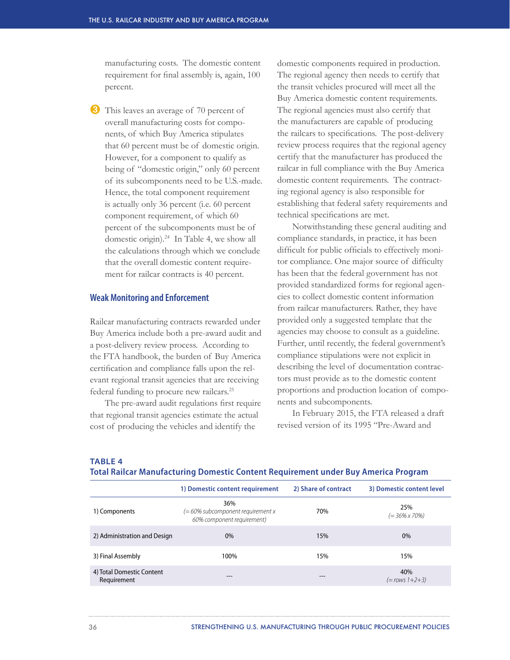manufacturing costs. The domestic content requirement for final assembly is, again, 100 percent.

**3** This leaves an average of 70 percent of overall manufacturing costs for components, of which Buy America stipulates that 60 percent must be of domestic origin. However, for a component to qualify as being of "domestic origin," only 60 percent of its subcomponents need to be U.S.-made. Hence, the total component requirement is actually only 36 percent (i.e. 60 percent component requirement, of which 60 percent of the subcomponents must be of domestic origin).24 In Table 4, we show all the calculations through which we conclude that the overall domestic content requirement for railcar contracts is 40 percent.

#### **Weak Monitoring and Enforcement**

Railcar manufacturing contracts rewarded under Buy America include both a pre-award audit and a post-delivery review process. According to the FTA handbook, the burden of Buy America certification and compliance falls upon the relevant regional transit agencies that are receiving federal funding to procure new railcars.<sup>25</sup>

The pre-award audit regulations first require that regional transit agencies estimate the actual cost of producing the vehicles and identify the

domestic components required in production. The regional agency then needs to certify that the transit vehicles procured will meet all the Buy America domestic content requirements. The regional agencies must also certify that the manufacturers are capable of producing the railcars to specifications. The post-delivery review process requires that the regional agency certify that the manufacturer has produced the railcar in full compliance with the Buy America domestic content requirements. The contracting regional agency is also responsible for establishing that federal safety requirements and technical specifications are met.

Notwithstanding these general auditing and compliance standards, in practice, it has been difficult for public officials to effectively monitor compliance. One major source of difficulty has been that the federal government has not provided standardized forms for regional agencies to collect domestic content information from railcar manufacturers. Rather, they have provided only a suggested template that the agencies may choose to consult as a guideline. Further, until recently, the federal government's compliance stipulations were not explicit in describing the level of documentation contractors must provide as to the domestic content proportions and production location of components and subcomponents.

In February 2015, the FTA released a draft revised version of its 1995 "Pre-Award and

#### **TABLE 4**

#### **Total Railcar Manufacturing Domestic Content Requirement under Buy America Program**

|                                          | 1) Domestic content requirement                                           | 2) Share of contract | 3) Domestic content level     |
|------------------------------------------|---------------------------------------------------------------------------|----------------------|-------------------------------|
| 1) Components                            | 36%<br>$(= 60\%$ subcomponent requirement x<br>60% component requirement) | 70%                  | 25%<br>$(= 36\% \times 70\%)$ |
| 2) Administration and Design             | $0\%$                                                                     | 15%                  | $0\%$                         |
| 3) Final Assembly                        | 100%                                                                      | 15%                  | 15%                           |
| 4) Total Domestic Content<br>Requirement | $- - -$                                                                   | ---                  | 40%<br>$(=rows 1+2+3)$        |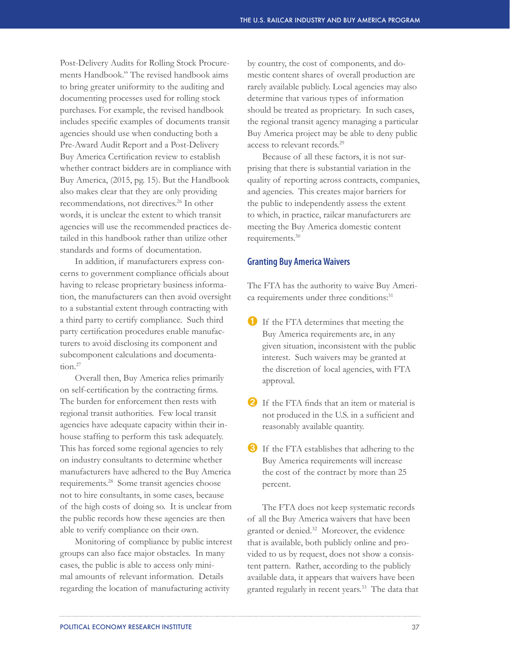Post-Delivery Audits for Rolling Stock Procurements Handbook." The revised handbook aims to bring greater uniformity to the auditing and documenting processes used for rolling stock purchases. For example, the revised handbook includes specific examples of documents transit agencies should use when conducting both a Pre-Award Audit Report and a Post-Delivery Buy America Certification review to establish whether contract bidders are in compliance with Buy America, (2015, pg. 15). But the Handbook also makes clear that they are only providing recommendations, not directives.<sup>26</sup> In other words, it is unclear the extent to which transit agencies will use the recommended practices detailed in this handbook rather than utilize other standards and forms of documentation.

In addition, if manufacturers express concerns to government compliance officials about having to release proprietary business information, the manufacturers can then avoid oversight to a substantial extent through contracting with a third party to certify compliance. Such third party certification procedures enable manufacturers to avoid disclosing its component and subcomponent calculations and documentation.<sup>27</sup>

Overall then, Buy America relies primarily on self-certification by the contracting firms. The burden for enforcement then rests with regional transit authorities. Few local transit agencies have adequate capacity within their inhouse staffing to perform this task adequately. This has forced some regional agencies to rely on industry consultants to determine whether manufacturers have adhered to the Buy America requirements.<sup>28</sup> Some transit agencies choose not to hire consultants, in some cases, because of the high costs of doing so. It is unclear from the public records how these agencies are then able to verify compliance on their own.

Monitoring of compliance by public interest groups can also face major obstacles. In many cases, the public is able to access only minimal amounts of relevant information. Details regarding the location of manufacturing activity

by country, the cost of components, and domestic content shares of overall production are rarely available publicly. Local agencies may also determine that various types of information should be treated as proprietary. In such cases, the regional transit agency managing a particular Buy America project may be able to deny public access to relevant records.<sup>29</sup>

Because of all these factors, it is not surprising that there is substantial variation in the quality of reporting across contracts, companies, and agencies. This creates major barriers for the public to independently assess the extent to which, in practice, railcar manufacturers are meeting the Buy America domestic content requirements.30

#### **Granting Buy America Waivers**

The FTA has the authority to waive Buy America requirements under three conditions:<sup>31</sup>

- ➊ If the FTA determines that meeting the Buy America requirements are, in any given situation, inconsistent with the public interest. Such waivers may be granted at the discretion of local agencies, with FTA approval.
- 2 If the FTA finds that an item or material is not produced in the U.S. in a sufficient and reasonably available quantity.
- ➌ If the FTA establishes that adhering to the Buy America requirements will increase the cost of the contract by more than 25 percent.

The FTA does not keep systematic records of all the Buy America waivers that have been granted or denied.32 Moreover, the evidence that is available, both publicly online and provided to us by request, does not show a consistent pattern. Rather, according to the publicly available data, it appears that waivers have been granted regularly in recent years.<sup>33</sup> The data that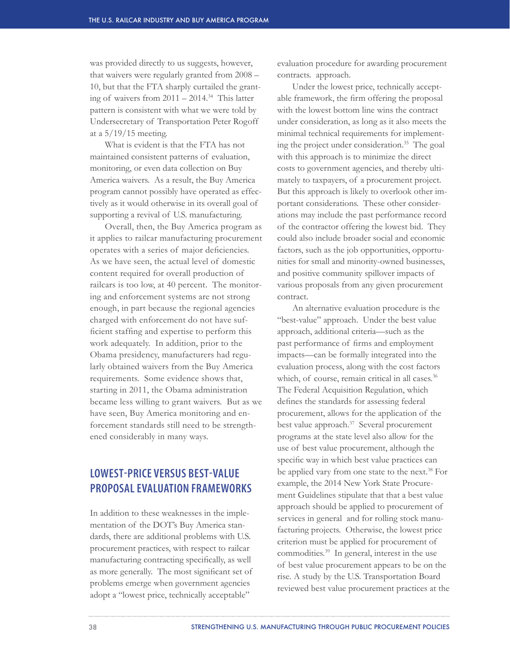was provided directly to us suggests, however, that waivers were regularly granted from 2008 – 10, but that the FTA sharply curtailed the granting of waivers from  $2011 - 2014.^{34}$  This latter pattern is consistent with what we were told by Undersecretary of Transportation Peter Rogoff at a 5/19/15 meeting.

What is evident is that the FTA has not maintained consistent patterns of evaluation, monitoring, or even data collection on Buy America waivers. As a result, the Buy America program cannot possibly have operated as effectively as it would otherwise in its overall goal of supporting a revival of U.S. manufacturing.

Overall, then, the Buy America program as it applies to railcar manufacturing procurement operates with a series of major deficiencies. As we have seen, the actual level of domestic content required for overall production of railcars is too low, at 40 percent. The monitoring and enforcement systems are not strong enough, in part because the regional agencies charged with enforcement do not have sufficient staffing and expertise to perform this work adequately. In addition, prior to the Obama presidency, manufacturers had regularly obtained waivers from the Buy America requirements. Some evidence shows that, starting in 2011, the Obama administration became less willing to grant waivers. But as we have seen, Buy America monitoring and enforcement standards still need to be strengthened considerably in many ways.

# **LOWEST-PRICE VERSUS BEST-VALUE PROPOSAL EVALUATION FRAMEWORKS**

In addition to these weaknesses in the implementation of the DOT's Buy America standards, there are additional problems with U.S. procurement practices, with respect to railcar manufacturing contracting specifically, as well as more generally. The most significant set of problems emerge when government agencies adopt a "lowest price, technically acceptable"

evaluation procedure for awarding procurement contracts. approach.

Under the lowest price, technically acceptable framework, the firm offering the proposal with the lowest bottom line wins the contract under consideration, as long as it also meets the minimal technical requirements for implementing the project under consideration.35 The goal with this approach is to minimize the direct costs to government agencies, and thereby ultimately to taxpayers, of a procurement project. But this approach is likely to overlook other important considerations. These other considerations may include the past performance record of the contractor offering the lowest bid. They could also include broader social and economic factors, such as the job opportunities, opportunities for small and minority-owned businesses, and positive community spillover impacts of various proposals from any given procurement contract.

An alternative evaluation procedure is the "best-value" approach. Under the best value approach, additional criteria—such as the past performance of firms and employment impacts—can be formally integrated into the evaluation process, along with the cost factors which, of course, remain critical in all cases.<sup>36</sup> The Federal Acquisition Regulation, which defines the standards for assessing federal procurement, allows for the application of the best value approach.<sup>37</sup> Several procurement programs at the state level also allow for the use of best value procurement, although the specific way in which best value practices can be applied vary from one state to the next.<sup>38</sup> For example, the 2014 New York State Procurement Guidelines stipulate that that a best value approach should be applied to procurement of services in general and for rolling stock manufacturing projects. Otherwise, the lowest price criterion must be applied for procurement of commodities.<sup>39</sup> In general, interest in the use of best value procurement appears to be on the rise. A study by the U.S. Transportation Board reviewed best value procurement practices at the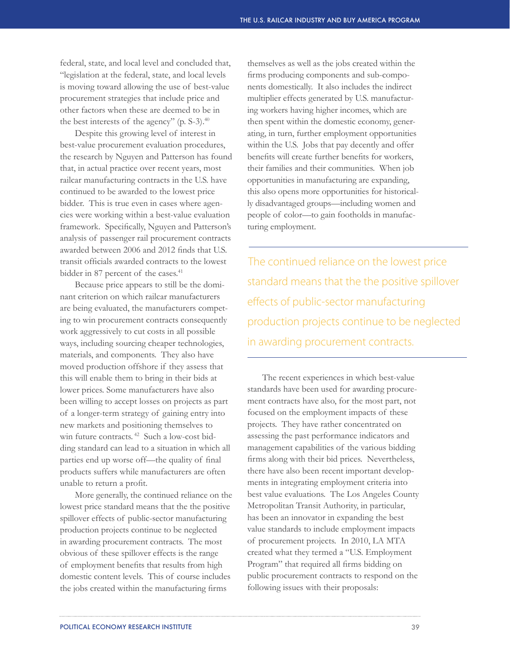federal, state, and local level and concluded that, "legislation at the federal, state, and local levels is moving toward allowing the use of best-value procurement strategies that include price and other factors when these are deemed to be in the best interests of the agency" (p. S-3).<sup>40</sup>

Despite this growing level of interest in best-value procurement evaluation procedures, the research by Nguyen and Patterson has found that, in actual practice over recent years, most railcar manufacturing contracts in the U.S. have continued to be awarded to the lowest price bidder. This is true even in cases where agencies were working within a best-value evaluation framework. Specifically, Nguyen and Patterson's analysis of passenger rail procurement contracts awarded between 2006 and 2012 finds that U.S. transit officials awarded contracts to the lowest bidder in 87 percent of the cases.<sup>41</sup>

Because price appears to still be the dominant criterion on which railcar manufacturers are being evaluated, the manufacturers competing to win procurement contracts consequently work aggressively to cut costs in all possible ways, including sourcing cheaper technologies, materials, and components. They also have moved production offshore if they assess that this will enable them to bring in their bids at lower prices. Some manufacturers have also been willing to accept losses on projects as part of a longer-term strategy of gaining entry into new markets and positioning themselves to win future contracts. 42 Such a low-cost bidding standard can lead to a situation in which all parties end up worse off—the quality of final products suffers while manufacturers are often unable to return a profit.

More generally, the continued reliance on the lowest price standard means that the the positive spillover effects of public-sector manufacturing production projects continue to be neglected in awarding procurement contracts. The most obvious of these spillover effects is the range of employment benefits that results from high domestic content levels. This of course includes the jobs created within the manufacturing firms

themselves as well as the jobs created within the firms producing components and sub-components domestically. It also includes the indirect multiplier effects generated by U.S. manufacturing workers having higher incomes, which are then spent within the domestic economy, generating, in turn, further employment opportunities within the U.S. Jobs that pay decently and offer benefits will create further benefits for workers, their families and their communities. When job opportunities in manufacturing are expanding, this also opens more opportunities for historically disadvantaged groups—including women and people of color—to gain footholds in manufacturing employment.

The continued reliance on the lowest price standard means that the the positive spillover effects of public-sector manufacturing production projects continue to be neglected in awarding procurement contracts.

The recent experiences in which best-value standards have been used for awarding procurement contracts have also, for the most part, not focused on the employment impacts of these projects. They have rather concentrated on assessing the past performance indicators and management capabilities of the various bidding firms along with their bid prices. Nevertheless, there have also been recent important developments in integrating employment criteria into best value evaluations. The Los Angeles County Metropolitan Transit Authority, in particular, has been an innovator in expanding the best value standards to include employment impacts of procurement projects. In 2010, LA MTA created what they termed a "U.S. Employment Program" that required all firms bidding on public procurement contracts to respond on the following issues with their proposals: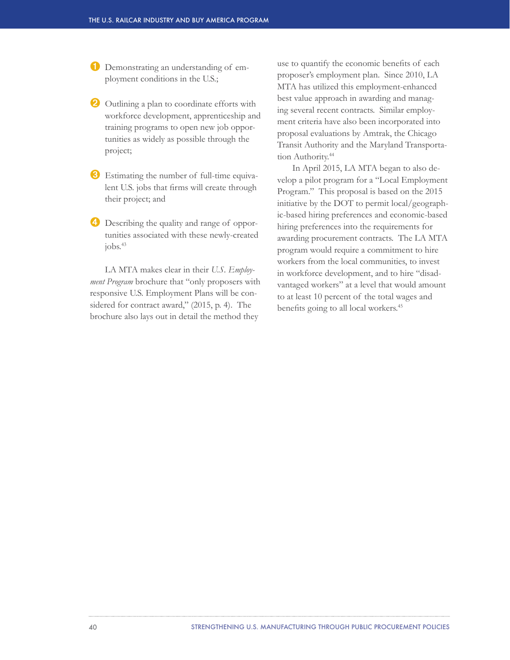➊ Demonstrating an understanding of employment conditions in the U.S.;

- ➋ Outlining a plan to coordinate efforts with workforce development, apprenticeship and training programs to open new job opportunities as widely as possible through the project;
- ➌ Estimating the number of full-time equivalent U.S. jobs that firms will create through their project; and
- ➍ Describing the quality and range of opportunities associated with these newly-created  $i$ obs. $43$

LA MTA makes clear in their *U.S. Employment Program* brochure that "only proposers with responsive U.S. Employment Plans will be considered for contract award," (2015, p. 4). The brochure also lays out in detail the method they

use to quantify the economic benefits of each proposer's employment plan. Since 2010, LA MTA has utilized this employment-enhanced best value approach in awarding and managing several recent contracts. Similar employment criteria have also been incorporated into proposal evaluations by Amtrak, the Chicago Transit Authority and the Maryland Transportation Authority.<sup>44</sup>

In April 2015, LA MTA began to also develop a pilot program for a "Local Employment Program." This proposal is based on the 2015 initiative by the DOT to permit local/geographic-based hiring preferences and economic-based hiring preferences into the requirements for awarding procurement contracts. The LA MTA program would require a commitment to hire workers from the local communities, to invest in workforce development, and to hire "disadvantaged workers" at a level that would amount to at least 10 percent of the total wages and benefits going to all local workers.<sup>45</sup>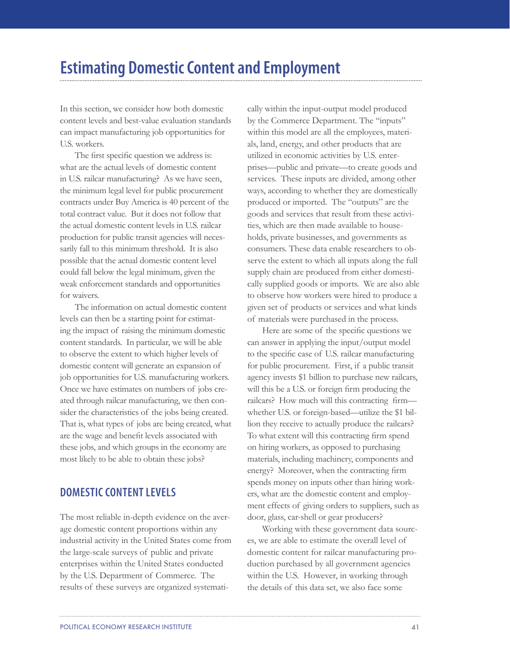# **Estimating Domestic Content and Employment**

In this section, we consider how both domestic content levels and best-value evaluation standards can impact manufacturing job opportunities for U.S. workers.

The first specific question we address is: what are the actual levels of domestic content in U.S. railcar manufacturing? As we have seen, the minimum legal level for public procurement contracts under Buy America is 40 percent of the total contract value. But it does not follow that the actual domestic content levels in U.S. railcar production for public transit agencies will necessarily fall to this minimum threshold. It is also possible that the actual domestic content level could fall below the legal minimum, given the weak enforcement standards and opportunities for waivers.

The information on actual domestic content levels can then be a starting point for estimating the impact of raising the minimum domestic content standards. In particular, we will be able to observe the extent to which higher levels of domestic content will generate an expansion of job opportunities for U.S. manufacturing workers. Once we have estimates on numbers of jobs created through railcar manufacturing, we then consider the characteristics of the jobs being created. That is, what types of jobs are being created, what are the wage and benefit levels associated with these jobs, and which groups in the economy are most likely to be able to obtain these jobs?

# **DOMESTIC CONTENT LEVELS**

The most reliable in-depth evidence on the average domestic content proportions within any industrial activity in the United States come from the large-scale surveys of public and private enterprises within the United States conducted by the U.S. Department of Commerce. The results of these surveys are organized systemati-

cally within the input-output model produced by the Commerce Department. The "inputs" within this model are all the employees, materials, land, energy, and other products that are utilized in economic activities by U.S. enterprises—public and private—to create goods and services. These inputs are divided, among other ways, according to whether they are domestically produced or imported. The "outputs" are the goods and services that result from these activities, which are then made available to households, private businesses, and governments as consumers. These data enable researchers to observe the extent to which all inputs along the full supply chain are produced from either domestically supplied goods or imports. We are also able to observe how workers were hired to produce a given set of products or services and what kinds of materials were purchased in the process.

Here are some of the specific questions we can answer in applying the input/output model to the specific case of U.S. railcar manufacturing for public procurement. First, if a public transit agency invests \$1 billion to purchase new railcars, will this be a U.S. or foreign firm producing the railcars? How much will this contracting firm whether U.S. or foreign-based—utilize the \$1 billion they receive to actually produce the railcars? To what extent will this contracting firm spend on hiring workers, as opposed to purchasing materials, including machinery, components and energy? Moreover, when the contracting firm spends money on inputs other than hiring workers, what are the domestic content and employment effects of giving orders to suppliers, such as door, glass, car-shell or gear producers?

Working with these government data sources, we are able to estimate the overall level of domestic content for railcar manufacturing production purchased by all government agencies within the U.S. However, in working through the details of this data set, we also face some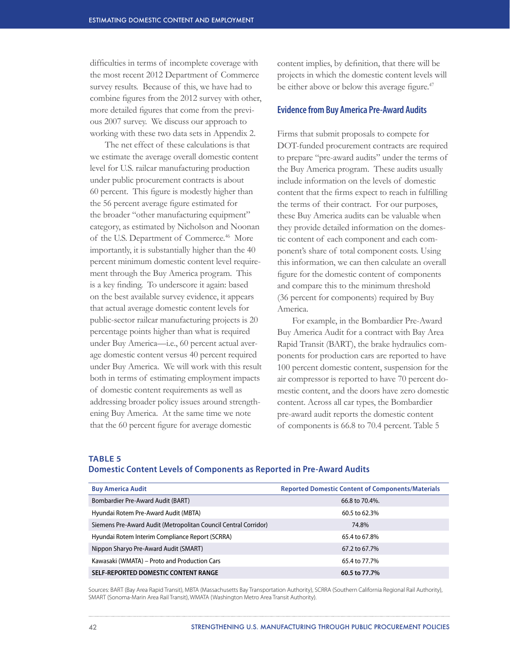difficulties in terms of incomplete coverage with the most recent 2012 Department of Commerce survey results. Because of this, we have had to combine figures from the 2012 survey with other, more detailed figures that come from the previous 2007 survey. We discuss our approach to working with these two data sets in Appendix 2.

The net effect of these calculations is that we estimate the average overall domestic content level for U.S. railcar manufacturing production under public procurement contracts is about 60 percent. This figure is modestly higher than the 56 percent average figure estimated for the broader "other manufacturing equipment" category, as estimated by Nicholson and Noonan of the U.S. Department of Commerce.<sup>46</sup> More importantly, it is substantially higher than the 40 percent minimum domestic content level requirement through the Buy America program. This is a key finding. To underscore it again: based on the best available survey evidence, it appears that actual average domestic content levels for public-sector railcar manufacturing projects is 20 percentage points higher than what is required under Buy America—i.e., 60 percent actual average domestic content versus 40 percent required under Buy America. We will work with this result both in terms of estimating employment impacts of domestic content requirements as well as addressing broader policy issues around strengthening Buy America. At the same time we note that the 60 percent figure for average domestic

content implies, by definition, that there will be projects in which the domestic content levels will be either above or below this average figure.<sup>47</sup>

## **Evidence from Buy America Pre-Award Audits**

Firms that submit proposals to compete for DOT-funded procurement contracts are required to prepare "pre-award audits" under the terms of the Buy America program. These audits usually include information on the levels of domestic content that the firms expect to reach in fulfilling the terms of their contract. For our purposes, these Buy America audits can be valuable when they provide detailed information on the domestic content of each component and each component's share of total component costs. Using this information, we can then calculate an overall figure for the domestic content of components and compare this to the minimum threshold (36 percent for components) required by Buy America.

For example, in the Bombardier Pre-Award Buy America Audit for a contract with Bay Area Rapid Transit (BART), the brake hydraulics components for production cars are reported to have 100 percent domestic content, suspension for the air compressor is reported to have 70 percent domestic content, and the doors have zero domestic content. Across all car types, the Bombardier pre-award audit reports the domestic content of components is 66.8 to 70.4 percent. Table 5

**TABLE 5**

## **Domestic Content Levels of Components as Reported in Pre-Award Audits**

| <b>Buy America Audit</b>                                        | <b>Reported Domestic Content of Components/Materials</b> |
|-----------------------------------------------------------------|----------------------------------------------------------|
| Bombardier Pre-Award Audit (BART)                               | 66.8 to 70.4%.                                           |
| Hyundai Rotem Pre-Award Audit (MBTA)                            | 60.5 to 62.3%                                            |
| Siemens Pre-Award Audit (Metropolitan Council Central Corridor) | 74.8%                                                    |
| Hyundai Rotem Interim Compliance Report (SCRRA)                 | 65.4 to 67.8%                                            |
| Nippon Sharyo Pre-Award Audit (SMART)                           | 67.2 to 67.7%                                            |
| Kawasaki (WMATA) – Proto and Production Cars                    | 65.4 to 77.7%                                            |
| SELF-REPORTED DOMESTIC CONTENT RANGE                            | 60.5 to 77.7%                                            |

Sources: BART (Bay Area Rapid Transit), MBTA (Massachusetts Bay Transportation Authority), SCRRA (Southern California Regional Rail Authority), SMART (Sonoma-Marin Area Rail Transit), WMATA (Washington Metro Area Transit Authority).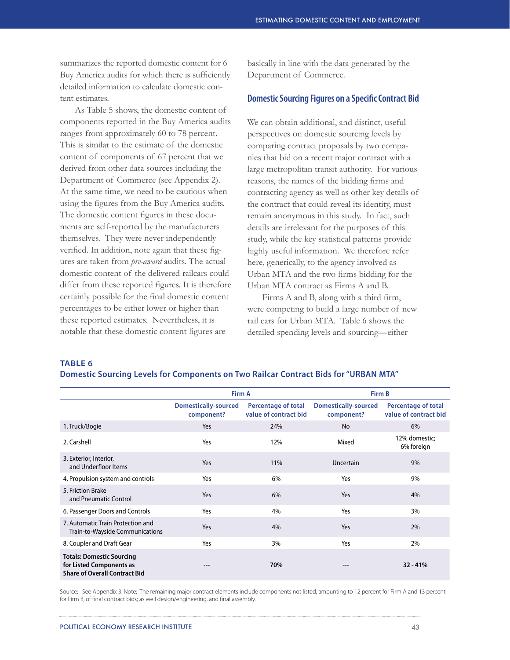summarizes the reported domestic content for 6 Buy America audits for which there is sufficiently detailed information to calculate domestic content estimates.

As Table 5 shows, the domestic content of components reported in the Buy America audits ranges from approximately 60 to 78 percent. This is similar to the estimate of the domestic content of components of 67 percent that we derived from other data sources including the Department of Commerce (see Appendix 2). At the same time, we need to be cautious when using the figures from the Buy America audits. The domestic content figures in these documents are self-reported by the manufacturers themselves. They were never independently verified. In addition, note again that these figures are taken from *pre-award* audits. The actual domestic content of the delivered railcars could differ from these reported figures. It is therefore certainly possible for the final domestic content percentages to be either lower or higher than these reported estimates. Nevertheless, it is notable that these domestic content figures are

basically in line with the data generated by the Department of Commerce.

## **Domestic Sourcing Figures on a Specific Contract Bid**

We can obtain additional, and distinct, useful perspectives on domestic sourcing levels by comparing contract proposals by two companies that bid on a recent major contract with a large metropolitan transit authority. For various reasons, the names of the bidding firms and contracting agency as well as other key details of the contract that could reveal its identity, must remain anonymous in this study. In fact, such details are irrelevant for the purposes of this study, while the key statistical patterns provide highly useful information. We therefore refer here, generically, to the agency involved as Urban MTA and the two firms bidding for the Urban MTA contract as Firms A and B.

Firms A and B, along with a third firm, were competing to build a large number of new rail cars for Urban MTA. Table 6 shows the detailed spending levels and sourcing—either

**TABLE 6** 

| Domestic Sourcing Levels for Components on Two Railcar Contract Bids for "URBAN MTA" |  |  |  |
|--------------------------------------------------------------------------------------|--|--|--|
|                                                                                      |  |  |  |

|                                                                                                      | Firm A                                    |                                                     | Firm B                                    |                                                     |
|------------------------------------------------------------------------------------------------------|-------------------------------------------|-----------------------------------------------------|-------------------------------------------|-----------------------------------------------------|
|                                                                                                      | <b>Domestically-sourced</b><br>component? | <b>Percentage of total</b><br>value of contract bid | <b>Domestically-sourced</b><br>component? | <b>Percentage of total</b><br>value of contract bid |
| 1. Truck/Bogie                                                                                       | Yes                                       | 24%                                                 | <b>No</b>                                 | 6%                                                  |
| 2. Carshell                                                                                          | Yes                                       | 12%                                                 | Mixed                                     | 12% domestic;<br>6% foreign                         |
| 3. Exterior, Interior,<br>and Underfloor Items                                                       | Yes                                       | 11%                                                 | Uncertain                                 | 9%                                                  |
| 4. Propulsion system and controls                                                                    | Yes                                       | 6%                                                  | Yes                                       | 9%                                                  |
| 5. Friction Brake<br>and Pneumatic Control                                                           | Yes                                       | 6%                                                  | Yes                                       | 4%                                                  |
| 6. Passenger Doors and Controls                                                                      | Yes                                       | 4%                                                  | Yes                                       | 3%                                                  |
| 7. Automatic Train Protection and<br>Train-to-Wayside Communications                                 | Yes                                       | 4%                                                  | Yes                                       | 2%                                                  |
| 8. Coupler and Draft Gear                                                                            | Yes                                       | 3%                                                  | Yes                                       | 2%                                                  |
| <b>Totals: Domestic Sourcing</b><br>for Listed Components as<br><b>Share of Overall Contract Bid</b> |                                           | 70%                                                 | ---                                       | $32 - 41%$                                          |

Source: See Appendix 3. Note: The remaining major contract elements include components not listed, amounting to 12 percent for Firm A and 13 percent for Firm B, of final contract bids; as well design/engineering, and final assembly.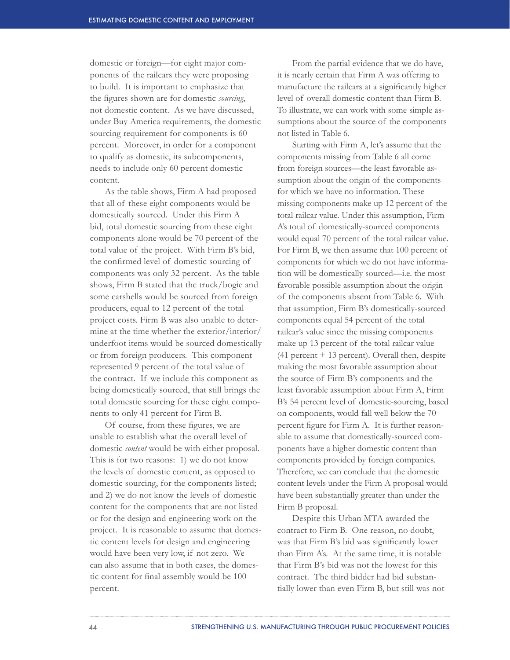domestic or foreign—for eight major components of the railcars they were proposing to build. It is important to emphasize that the figures shown are for domestic *sourcing*, not domestic content. As we have discussed, under Buy America requirements, the domestic sourcing requirement for components is 60 percent. Moreover, in order for a component to qualify as domestic, its subcomponents, needs to include only 60 percent domestic content.

As the table shows, Firm A had proposed that all of these eight components would be domestically sourced. Under this Firm A bid, total domestic sourcing from these eight components alone would be 70 percent of the total value of the project. With Firm B's bid, the confirmed level of domestic sourcing of components was only 32 percent. As the table shows, Firm B stated that the truck/bogie and some carshells would be sourced from foreign producers, equal to 12 percent of the total project costs. Firm B was also unable to determine at the time whether the exterior/interior/ underfoot items would be sourced domestically or from foreign producers. This component represented 9 percent of the total value of the contract. If we include this component as being domestically sourced, that still brings the total domestic sourcing for these eight components to only 41 percent for Firm B.

Of course, from these figures, we are unable to establish what the overall level of domestic *content* would be with either proposal. This is for two reasons: 1) we do not know the levels of domestic content, as opposed to domestic sourcing, for the components listed; and 2) we do not know the levels of domestic content for the components that are not listed or for the design and engineering work on the project. It is reasonable to assume that domestic content levels for design and engineering would have been very low, if not zero. We can also assume that in both cases, the domestic content for final assembly would be 100 percent.

From the partial evidence that we do have, it is nearly certain that Firm A was offering to manufacture the railcars at a significantly higher level of overall domestic content than Firm B. To illustrate, we can work with some simple assumptions about the source of the components not listed in Table 6.

Starting with Firm A, let's assume that the components missing from Table 6 all come from foreign sources—the least favorable assumption about the origin of the components for which we have no information. These missing components make up 12 percent of the total railcar value. Under this assumption, Firm A's total of domestically-sourced components would equal 70 percent of the total railcar value. For Firm B, we then assume that 100 percent of components for which we do not have information will be domestically sourced—i.e. the most favorable possible assumption about the origin of the components absent from Table 6. With that assumption, Firm B's domestically-sourced components equal 54 percent of the total railcar's value since the missing components make up 13 percent of the total railcar value  $(41$  percent + 13 percent). Overall then, despite making the most favorable assumption about the source of Firm B's components and the least favorable assumption about Firm A, Firm B's 54 percent level of domestic-sourcing, based on components, would fall well below the 70 percent figure for Firm A. It is further reasonable to assume that domestically-sourced components have a higher domestic content than components provided by foreign companies. Therefore, we can conclude that the domestic content levels under the Firm A proposal would have been substantially greater than under the Firm B proposal.

Despite this Urban MTA awarded the contract to Firm B. One reason, no doubt, was that Firm B's bid was significantly lower than Firm A's. At the same time, it is notable that Firm B's bid was not the lowest for this contract. The third bidder had bid substantially lower than even Firm B, but still was not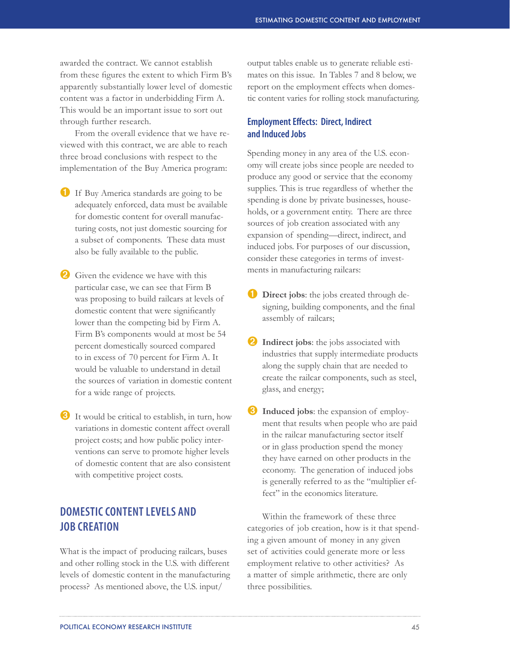awarded the contract. We cannot establish from these figures the extent to which Firm B's apparently substantially lower level of domestic content was a factor in underbidding Firm A. This would be an important issue to sort out through further research.

From the overall evidence that we have reviewed with this contract, we are able to reach three broad conclusions with respect to the implementation of the Buy America program:

- ➊ If Buy America standards are going to be adequately enforced, data must be available for domestic content for overall manufacturing costs, not just domestic sourcing for a subset of components. These data must also be fully available to the public.
- **2** Given the evidence we have with this particular case, we can see that Firm B was proposing to build railcars at levels of domestic content that were significantly lower than the competing bid by Firm A. Firm B's components would at most be 54 percent domestically sourced compared to in excess of 70 percent for Firm A. It would be valuable to understand in detail the sources of variation in domestic content for a wide range of projects.
- ➌ It would be critical to establish, in turn, how variations in domestic content affect overall project costs; and how public policy interventions can serve to promote higher levels of domestic content that are also consistent with competitive project costs.

# **DOMESTIC CONTENT LEVELS AND JOB CREATION**

What is the impact of producing railcars, buses and other rolling stock in the U.S. with different levels of domestic content in the manufacturing process? As mentioned above, the U.S. input/

output tables enable us to generate reliable estimates on this issue. In Tables 7 and 8 below, we report on the employment effects when domestic content varies for rolling stock manufacturing.

# **Employment Effects: Direct, Indirect and Induced Jobs**

Spending money in any area of the U.S. economy will create jobs since people are needed to produce any good or service that the economy supplies. This is true regardless of whether the spending is done by private businesses, households, or a government entity. There are three sources of job creation associated with any expansion of spending—direct, indirect, and induced jobs. For purposes of our discussion, consider these categories in terms of investments in manufacturing railcars:

- *Direct jobs:* the jobs created through designing, building components, and the final assembly of railcars;
- **2** Indirect jobs: the jobs associated with industries that supply intermediate products along the supply chain that are needed to create the railcar components, such as steel, glass, and energy;
- ➌ **Induced jobs**: the expansion of employment that results when people who are paid in the railcar manufacturing sector itself or in glass production spend the money they have earned on other products in the economy. The generation of induced jobs is generally referred to as the "multiplier effect" in the economics literature.

Within the framework of these three categories of job creation, how is it that spending a given amount of money in any given set of activities could generate more or less employment relative to other activities? As a matter of simple arithmetic, there are only three possibilities.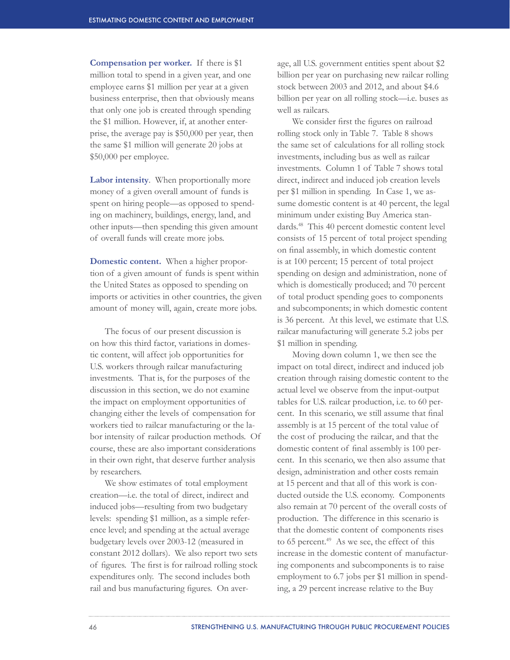**Compensation per worker.** If there is \$1 million total to spend in a given year, and one employee earns \$1 million per year at a given business enterprise, then that obviously means that only one job is created through spending the \$1 million. However, if, at another enterprise, the average pay is \$50,000 per year, then the same \$1 million will generate 20 jobs at \$50,000 per employee.

**Labor intensity**.When proportionally more money of a given overall amount of funds is spent on hiring people—as opposed to spending on machinery, buildings, energy, land, and other inputs—then spending this given amount of overall funds will create more jobs.

**Domestic content.** When a higher proportion of a given amount of funds is spent within the United States as opposed to spending on imports or activities in other countries, the given amount of money will, again, create more jobs.

The focus of our present discussion is on how this third factor, variations in domestic content, will affect job opportunities for U.S. workers through railcar manufacturing investments. That is, for the purposes of the discussion in this section, we do not examine the impact on employment opportunities of changing either the levels of compensation for workers tied to railcar manufacturing or the labor intensity of railcar production methods. Of course, these are also important considerations in their own right, that deserve further analysis by researchers.

We show estimates of total employment creation—i.e. the total of direct, indirect and induced jobs—resulting from two budgetary levels: spending \$1 million, as a simple reference level; and spending at the actual average budgetary levels over 2003-12 (measured in constant 2012 dollars). We also report two sets of figures. The first is for railroad rolling stock expenditures only. The second includes both rail and bus manufacturing figures. On aver-

age, all U.S. government entities spent about \$2 billion per year on purchasing new railcar rolling stock between 2003 and 2012, and about \$4.6 billion per year on all rolling stock—i.e. buses as well as railcars.

We consider first the figures on railroad rolling stock only in Table 7. Table 8 shows the same set of calculations for all rolling stock investments, including bus as well as railcar investments. Column 1 of Table 7 shows total direct, indirect and induced job creation levels per \$1 million in spending. In Case 1, we assume domestic content is at 40 percent, the legal minimum under existing Buy America standards.48 This 40 percent domestic content level consists of 15 percent of total project spending on final assembly, in which domestic content is at 100 percent; 15 percent of total project spending on design and administration, none of which is domestically produced; and 70 percent of total product spending goes to components and subcomponents; in which domestic content is 36 percent. At this level, we estimate that U.S. railcar manufacturing will generate 5.2 jobs per \$1 million in spending.

Moving down column 1, we then see the impact on total direct, indirect and induced job creation through raising domestic content to the actual level we observe from the input-output tables for U.S. railcar production, i.e. to 60 percent. In this scenario, we still assume that final assembly is at 15 percent of the total value of the cost of producing the railcar, and that the domestic content of final assembly is 100 percent. In this scenario, we then also assume that design, administration and other costs remain at 15 percent and that all of this work is conducted outside the U.S. economy. Components also remain at 70 percent of the overall costs of production. The difference in this scenario is that the domestic content of components rises to 65 percent. $49$  As we see, the effect of this increase in the domestic content of manufacturing components and subcomponents is to raise employment to 6.7 jobs per \$1 million in spending, a 29 percent increase relative to the Buy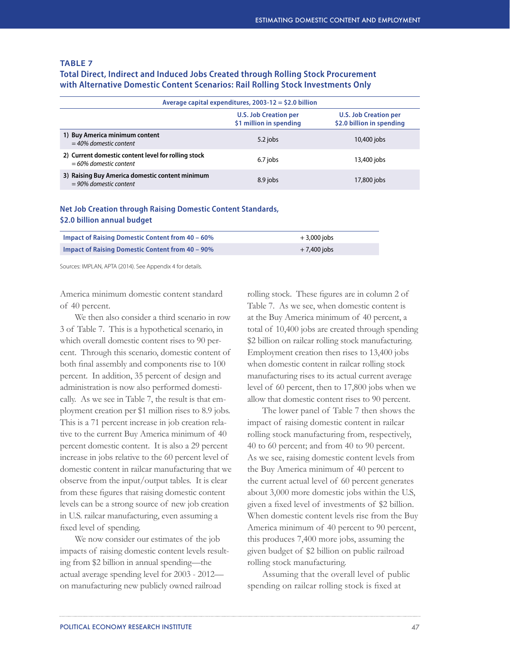## **TABLE 7**

**Total Direct, Indirect and Induced Jobs Created through Rolling Stock Procurement with Alternative Domestic Content Scenarios: Rail Rolling Stock Investments Only**

| Average capital expenditures, $2003-12 = $2.0$ billion                          |                                                         |                                                           |  |
|---------------------------------------------------------------------------------|---------------------------------------------------------|-----------------------------------------------------------|--|
|                                                                                 | <b>U.S. Job Creation per</b><br>\$1 million in spending | <b>U.S. Job Creation per</b><br>\$2.0 billion in spending |  |
| 1) Buy America minimum content<br>$=$ 40% domestic content                      | 5.2 jobs                                                | 10,400 jobs                                               |  |
| 2) Current domestic content level for rolling stock<br>$=60\%$ domestic content | 6.7 jobs                                                | 13,400 jobs                                               |  |
| 3) Raising Buy America domestic content minimum<br>$= 90\%$ domestic content    | 8.9 jobs                                                | 17,800 jobs                                               |  |

# **Net Job Creation through Raising Domestic Content Standards, \$2.0 billion annual budget**

| Impact of Raising Domestic Content from $40 - 60\%$ | $+3,000$ jobs |  |
|-----------------------------------------------------|---------------|--|
| Impact of Raising Domestic Content from 40 – 90%    | $+7.400$ jobs |  |

Sources: IMPLAN, APTA (2014). See Appendix 4 for details.

America minimum domestic content standard of 40 percent.

We then also consider a third scenario in row 3 of Table 7. This is a hypothetical scenario, in which overall domestic content rises to 90 percent. Through this scenario, domestic content of both final assembly and components rise to 100 percent. In addition, 35 percent of design and administration is now also performed domestically. As we see in Table 7, the result is that employment creation per \$1 million rises to 8.9 jobs. This is a 71 percent increase in job creation relative to the current Buy America minimum of 40 percent domestic content. It is also a 29 percent increase in jobs relative to the 60 percent level of domestic content in railcar manufacturing that we observe from the input/output tables. It is clear from these figures that raising domestic content levels can be a strong source of new job creation in U.S. railcar manufacturing, even assuming a fixed level of spending.

We now consider our estimates of the job impacts of raising domestic content levels resulting from \$2 billion in annual spending—the actual average spending level for 2003 - 2012 on manufacturing new publicly owned railroad

rolling stock. These figures are in column 2 of Table 7. As we see, when domestic content is at the Buy America minimum of 40 percent, a total of 10,400 jobs are created through spending \$2 billion on railcar rolling stock manufacturing. Employment creation then rises to 13,400 jobs when domestic content in railcar rolling stock manufacturing rises to its actual current average level of 60 percent, then to 17,800 jobs when we allow that domestic content rises to 90 percent.

The lower panel of Table 7 then shows the impact of raising domestic content in railcar rolling stock manufacturing from, respectively, 40 to 60 percent; and from 40 to 90 percent. As we see, raising domestic content levels from the Buy America minimum of 40 percent to the current actual level of 60 percent generates about 3,000 more domestic jobs within the U.S, given a fixed level of investments of \$2 billion. When domestic content levels rise from the Buy America minimum of 40 percent to 90 percent, this produces 7,400 more jobs, assuming the given budget of \$2 billion on public railroad rolling stock manufacturing.

Assuming that the overall level of public spending on railcar rolling stock is fixed at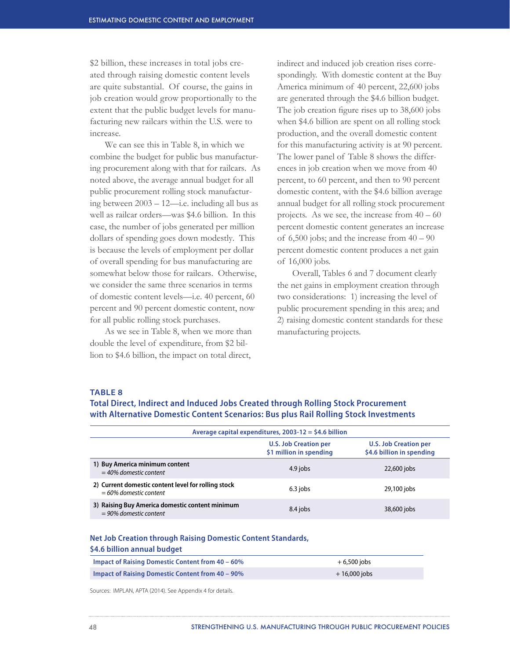\$2 billion, these increases in total jobs created through raising domestic content levels are quite substantial. Of course, the gains in job creation would grow proportionally to the extent that the public budget levels for manufacturing new railcars within the U.S. were to increase.

We can see this in Table 8, in which we combine the budget for public bus manufacturing procurement along with that for railcars. As noted above, the average annual budget for all public procurement rolling stock manufacturing between 2003 – 12—i.e. including all bus as well as railcar orders—was \$4.6 billion. In this case, the number of jobs generated per million dollars of spending goes down modestly. This is because the levels of employment per dollar of overall spending for bus manufacturing are somewhat below those for railcars. Otherwise, we consider the same three scenarios in terms of domestic content levels—i.e. 40 percent, 60 percent and 90 percent domestic content, now for all public rolling stock purchases.

As we see in Table 8, when we more than double the level of expenditure, from \$2 billion to \$4.6 billion, the impact on total direct,

indirect and induced job creation rises correspondingly. With domestic content at the Buy America minimum of 40 percent, 22,600 jobs are generated through the \$4.6 billion budget. The job creation figure rises up to 38,600 jobs when \$4.6 billion are spent on all rolling stock production, and the overall domestic content for this manufacturing activity is at 90 percent. The lower panel of Table 8 shows the differences in job creation when we move from 40 percent, to 60 percent, and then to 90 percent domestic content, with the \$4.6 billion average annual budget for all rolling stock procurement projects. As we see, the increase from  $40 - 60$ percent domestic content generates an increase of 6,500 jobs; and the increase from  $40 - 90$ percent domestic content produces a net gain of 16,000 jobs.

Overall, Tables 6 and 7 document clearly the net gains in employment creation through two considerations: 1) increasing the level of public procurement spending in this area; and 2) raising domestic content standards for these manufacturing projects.

#### **TABLE 8**

**Total Direct, Indirect and Induced Jobs Created through Rolling Stock Procurement with Alternative Domestic Content Scenarios: Bus plus Rail Rolling Stock Investments**

| Average capital expenditures, $2003-12 = $4.6$ billion                          |                                                         |                                                           |  |  |
|---------------------------------------------------------------------------------|---------------------------------------------------------|-----------------------------------------------------------|--|--|
|                                                                                 | <b>U.S. Job Creation per</b><br>\$1 million in spending | <b>U.S. Job Creation per</b><br>\$4.6 billion in spending |  |  |
| 1) Buy America minimum content<br>$=$ 40% domestic content                      | 4.9 jobs                                                | 22,600 jobs                                               |  |  |
| 2) Current domestic content level for rolling stock<br>$=60\%$ domestic content | $6.3$ jobs                                              | 29,100 jobs                                               |  |  |
| 3) Raising Buy America domestic content minimum<br>$= 90\%$ domestic content    | 8.4 jobs                                                | 38,600 jobs                                               |  |  |

## **Net Job Creation through Raising Domestic Content Standards,**

#### **\$4.6 billion annual budget**

| Impact of Raising Domestic Content from $40 - 60\%$     | $+6,500$ jobs  |
|---------------------------------------------------------|----------------|
| <b>Impact of Raising Domestic Content from 40 - 90%</b> | $+16,000$ iobs |

Sources: IMPLAN, APTA (2014). See Appendix 4 for details.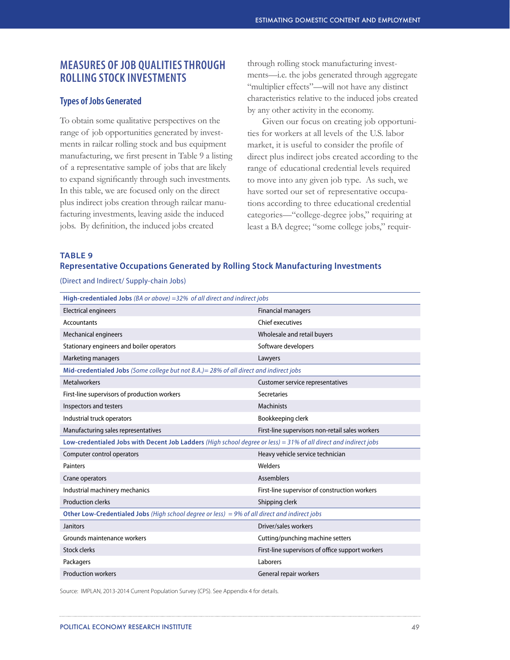# **MEASURES OF JOB QUALITIES THROUGH ROLLING STOCK INVESTMENTS**

# **Types of Jobs Generated**

To obtain some qualitative perspectives on the range of job opportunities generated by investments in railcar rolling stock and bus equipment manufacturing, we first present in Table 9 a listing of a representative sample of jobs that are likely to expand significantly through such investments. In this table, we are focused only on the direct plus indirect jobs creation through railcar manufacturing investments, leaving aside the induced jobs. By definition, the induced jobs created

through rolling stock manufacturing investments—i.e. the jobs generated through aggregate "multiplier effects"—will not have any distinct characteristics relative to the induced jobs created by any other activity in the economy.

Given our focus on creating job opportunities for workers at all levels of the U.S. labor market, it is useful to consider the profile of direct plus indirect jobs created according to the range of educational credential levels required to move into any given job type. As such, we have sorted our set of representative occupations according to three educational credential categories—"college-degree jobs," requiring at least a BA degree; "some college jobs," requir-

#### **TABLE 9**

# **Representative Occupations Generated by Rolling Stock Manufacturing Investments**

(Direct and Indirect/ Supply-chain Jobs)

| High-credentialed Jobs ( $BA$ or above) = 32% of all direct and indirect jobs                                    |                                                  |
|------------------------------------------------------------------------------------------------------------------|--------------------------------------------------|
| <b>Electrical engineers</b>                                                                                      | <b>Financial managers</b>                        |
| <b>Accountants</b>                                                                                               | Chief executives                                 |
| <b>Mechanical engineers</b>                                                                                      | Wholesale and retail buyers                      |
| Stationary engineers and boiler operators                                                                        | Software developers                              |
| <b>Marketing managers</b>                                                                                        | Lawyers                                          |
| Mid-credentialed Jobs (Some college but not B.A.) = 28% of all direct and indirect jobs                          |                                                  |
| <b>Metalworkers</b>                                                                                              | Customer service representatives                 |
| First-line supervisors of production workers                                                                     | Secretaries                                      |
| Inspectors and testers                                                                                           | <b>Machinists</b>                                |
| Industrial truck operators                                                                                       | Bookkeeping clerk                                |
| Manufacturing sales representatives                                                                              | First-line supervisors non-retail sales workers  |
| Low-credentialed Jobs with Decent Job Ladders (High school degree or less) = 31% of all direct and indirect jobs |                                                  |
| Computer control operators                                                                                       | Heavy vehicle service technician                 |
| Painters                                                                                                         | Welders                                          |
| Crane operators                                                                                                  | <b>Assemblers</b>                                |
| Industrial machinery mechanics                                                                                   | First-line supervisor of construction workers    |
| <b>Production clerks</b>                                                                                         | Shipping clerk                                   |
| Other Low-Credentialed Jobs (High school degree or less) = 9% of all direct and indirect jobs                    |                                                  |
| Janitors                                                                                                         | Driver/sales workers                             |
| Grounds maintenance workers                                                                                      | Cutting/punching machine setters                 |
| <b>Stock clerks</b>                                                                                              | First-line supervisors of office support workers |
| Packagers                                                                                                        | Laborers                                         |
| <b>Production workers</b>                                                                                        | General repair workers                           |

Source: IMPLAN, 2013-2014 Current Population Survey (CPS). See Appendix 4 for details.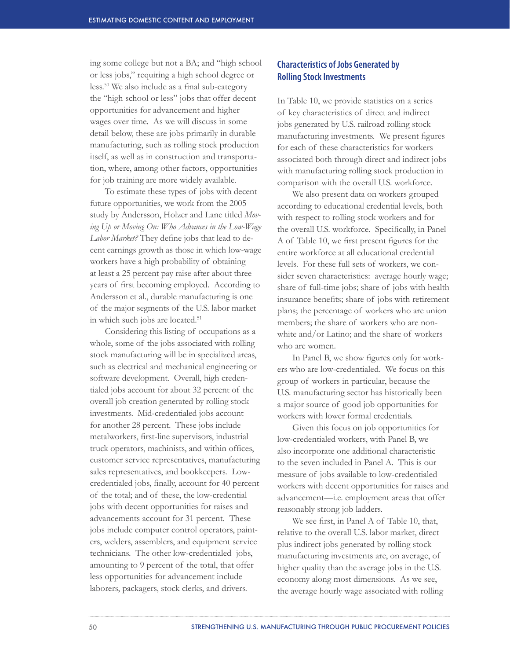ing some college but not a BA; and "high school or less jobs," requiring a high school degree or less.50 We also include as a final sub-category the "high school or less" jobs that offer decent opportunities for advancement and higher wages over time. As we will discuss in some detail below, these are jobs primarily in durable manufacturing, such as rolling stock production itself, as well as in construction and transportation, where, among other factors, opportunities for job training are more widely available.

To estimate these types of jobs with decent future opportunities, we work from the 2005 study by Andersson, Holzer and Lane titled *Moving Up or Moving On: Who Advances in the Low-Wage Labor Market?* They define jobs that lead to decent earnings growth as those in which low-wage workers have a high probability of obtaining at least a 25 percent pay raise after about three years of first becoming employed. According to Andersson et al., durable manufacturing is one of the major segments of the U.S. labor market in which such jobs are located.<sup>51</sup>

Considering this listing of occupations as a whole, some of the jobs associated with rolling stock manufacturing will be in specialized areas, such as electrical and mechanical engineering or software development. Overall, high credentialed jobs account for about 32 percent of the overall job creation generated by rolling stock investments. Mid-credentialed jobs account for another 28 percent. These jobs include metalworkers, first-line supervisors, industrial truck operators, machinists, and within offices, customer service representatives, manufacturing sales representatives, and bookkeepers. Lowcredentialed jobs, finally, account for 40 percent of the total; and of these, the low-credential jobs with decent opportunities for raises and advancements account for 31 percent. These jobs include computer control operators, painters, welders, assemblers, and equipment service technicians. The other low-credentialed jobs, amounting to 9 percent of the total, that offer less opportunities for advancement include laborers, packagers, stock clerks, and drivers.

# **Characteristics of Jobs Generated by Rolling Stock Investments**

In Table 10, we provide statistics on a series of key characteristics of direct and indirect jobs generated by U.S. railroad rolling stock manufacturing investments. We present figures for each of these characteristics for workers associated both through direct and indirect jobs with manufacturing rolling stock production in comparison with the overall U.S. workforce.

We also present data on workers grouped according to educational credential levels, both with respect to rolling stock workers and for the overall U.S. workforce. Specifically, in Panel A of Table 10, we first present figures for the entire workforce at all educational credential levels. For these full sets of workers, we consider seven characteristics: average hourly wage; share of full-time jobs; share of jobs with health insurance benefits; share of jobs with retirement plans; the percentage of workers who are union members; the share of workers who are nonwhite and/or Latino; and the share of workers who are women.

In Panel B, we show figures only for workers who are low-credentialed. We focus on this group of workers in particular, because the U.S. manufacturing sector has historically been a major source of good job opportunities for workers with lower formal credentials.

Given this focus on job opportunities for low-credentialed workers, with Panel B, we also incorporate one additional characteristic to the seven included in Panel A. This is our measure of jobs available to low-credentialed workers with decent opportunities for raises and advancement—i.e. employment areas that offer reasonably strong job ladders.

We see first, in Panel A of Table 10, that, relative to the overall U.S. labor market, direct plus indirect jobs generated by rolling stock manufacturing investments are, on average, of higher quality than the average jobs in the U.S. economy along most dimensions. As we see, the average hourly wage associated with rolling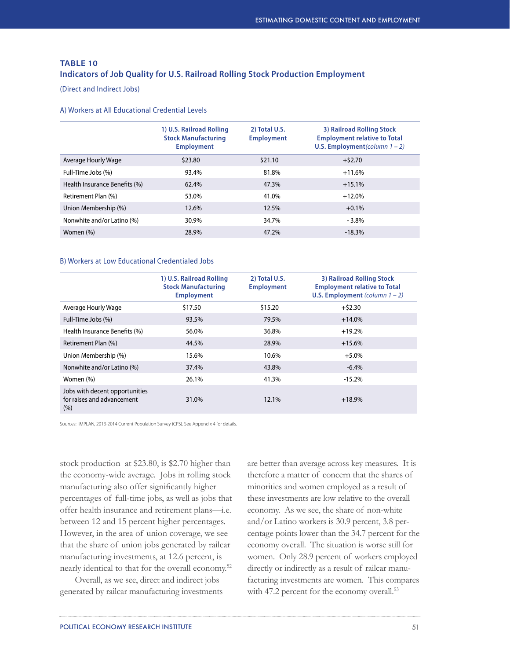# **TABLE 10 Indicators of Job Quality for U.S. Railroad Rolling Stock Production Employment**

(Direct and Indirect Jobs)

#### A) Workers at All Educational Credential Levels

|                               | 1) U.S. Railroad Rolling<br><b>Stock Manufacturing</b><br><b>Employment</b> | 2) Total U.S.<br><b>Employment</b> | 3) Railroad Rolling Stock<br><b>Employment relative to Total</b><br>U.S. Employment (column $1 - 2$ ) |
|-------------------------------|-----------------------------------------------------------------------------|------------------------------------|-------------------------------------------------------------------------------------------------------|
| Average Hourly Wage           | \$23.80                                                                     | \$21.10                            | $+52.70$                                                                                              |
| Full-Time Jobs (%)            | 93.4%                                                                       | 81.8%                              | $+11.6%$                                                                                              |
| Health Insurance Benefits (%) | 62.4%                                                                       | 47.3%                              | $+15.1%$                                                                                              |
| Retirement Plan (%)           | 53.0%                                                                       | 41.0%                              | $+12.0%$                                                                                              |
| Union Membership (%)          | 12.6%                                                                       | 12.5%                              | $+0.1%$                                                                                               |
| Nonwhite and/or Latino (%)    | 30.9%                                                                       | 34.7%                              | $-3.8\%$                                                                                              |
| Women (%)                     | 28.9%                                                                       | 47.2%                              | $-18.3%$                                                                                              |
|                               |                                                                             |                                    |                                                                                                       |

## B) Workers at Low Educational Credentialed Jobs

|                                                                     | 1) U.S. Railroad Rolling<br><b>Stock Manufacturing</b><br><b>Employment</b> | 2) Total U.S.<br><b>Employment</b> | 3) Railroad Rolling Stock<br><b>Employment relative to Total</b><br>U.S. Employment (column $1 - 2$ ) |
|---------------------------------------------------------------------|-----------------------------------------------------------------------------|------------------------------------|-------------------------------------------------------------------------------------------------------|
| Average Hourly Wage                                                 | \$17.50                                                                     | \$15.20                            | $+52.30$                                                                                              |
| Full-Time Jobs (%)                                                  | 93.5%                                                                       | 79.5%                              | $+14.0%$                                                                                              |
| Health Insurance Benefits (%)                                       | 56.0%                                                                       | 36.8%                              | $+19.2%$                                                                                              |
| Retirement Plan (%)                                                 | 44.5%                                                                       | 28.9%                              | $+15.6%$                                                                                              |
| Union Membership (%)                                                | 15.6%                                                                       | 10.6%                              | $+5.0%$                                                                                               |
| Nonwhite and/or Latino (%)                                          | 37.4%                                                                       | 43.8%                              | $-6.4%$                                                                                               |
| Women (%)                                                           | 26.1%                                                                       | 41.3%                              | $-15.2%$                                                                                              |
| Jobs with decent opportunities<br>for raises and advancement<br>(%) | 31.0%                                                                       | 12.1%                              | $+18.9%$                                                                                              |

Sources: IMPLAN, 2013-2014 Current Population Survey (CPS). See Appendix 4 for details.

stock production at \$23.80, is \$2.70 higher than the economy-wide average. Jobs in rolling stock manufacturing also offer significantly higher percentages of full-time jobs, as well as jobs that offer health insurance and retirement plans—i.e. between 12 and 15 percent higher percentages. However, in the area of union coverage, we see that the share of union jobs generated by railcar manufacturing investments, at 12.6 percent, is nearly identical to that for the overall economy.52

Overall, as we see, direct and indirect jobs generated by railcar manufacturing investments

are better than average across key measures. It is therefore a matter of concern that the shares of minorities and women employed as a result of these investments are low relative to the overall economy. As we see, the share of non-white and/or Latino workers is 30.9 percent, 3.8 percentage points lower than the 34.7 percent for the economy overall. The situation is worse still for women. Only 28.9 percent of workers employed directly or indirectly as a result of railcar manufacturing investments are women. This compares with 47.2 percent for the economy overall.<sup>53</sup>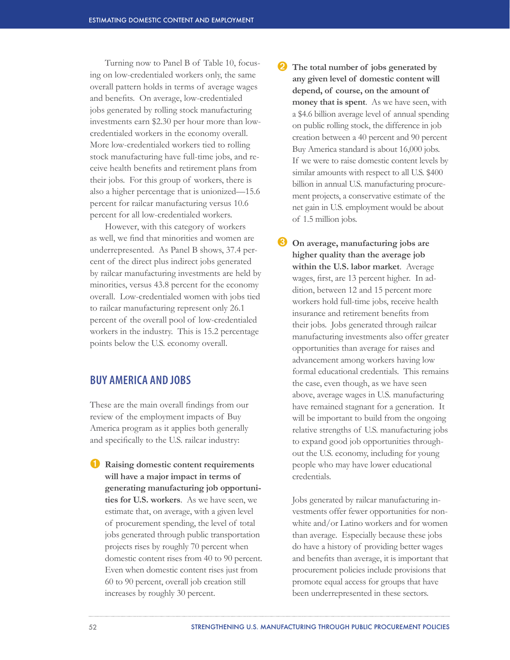Turning now to Panel B of Table 10, focusing on low-credentialed workers only, the same overall pattern holds in terms of average wages and benefits. On average, low-credentialed jobs generated by rolling stock manufacturing investments earn \$2.30 per hour more than lowcredentialed workers in the economy overall. More low-credentialed workers tied to rolling stock manufacturing have full-time jobs, and receive health benefits and retirement plans from their jobs. For this group of workers, there is also a higher percentage that is unionized—15.6 percent for railcar manufacturing versus 10.6 percent for all low-credentialed workers.

However, with this category of workers as well, we find that minorities and women are underrepresented. As Panel B shows, 37.4 percent of the direct plus indirect jobs generated by railcar manufacturing investments are held by minorities, versus 43.8 percent for the economy overall. Low-credentialed women with jobs tied to railcar manufacturing represent only 26.1 percent of the overall pool of low-credentialed workers in the industry. This is 15.2 percentage points below the U.S. economy overall.

# **BUY AMERICA AND JOBS**

These are the main overall findings from our review of the employment impacts of Buy America program as it applies both generally and specifically to the U.S. railcar industry:

➊ **Raising domestic content requirements will have a major impact in terms of generating manufacturing job opportunities for U.S. workers**. As we have seen, we estimate that, on average, with a given level of procurement spending, the level of total jobs generated through public transportation projects rises by roughly 70 percent when domestic content rises from 40 to 90 percent. Even when domestic content rises just from 60 to 90 percent, overall job creation still increases by roughly 30 percent.

- ➋ **The total number of jobs generated by any given level of domestic content will depend, of course, on the amount of money that is spent**. As we have seen, with a \$4.6 billion average level of annual spending on public rolling stock, the difference in job creation between a 40 percent and 90 percent Buy America standard is about 16,000 jobs. If we were to raise domestic content levels by similar amounts with respect to all U.S. \$400 billion in annual U.S. manufacturing procurement projects, a conservative estimate of the net gain in U.S. employment would be about of 1.5 million jobs.
- ➌ **On average, manufacturing jobs are higher quality than the average job within the U.S. labor market**. Average wages, first, are 13 percent higher. In addition, between 12 and 15 percent more workers hold full-time jobs, receive health insurance and retirement benefits from their jobs. Jobs generated through railcar manufacturing investments also offer greater opportunities than average for raises and advancement among workers having low formal educational credentials. This remains the case, even though, as we have seen above, average wages in U.S. manufacturing have remained stagnant for a generation. It will be important to build from the ongoing relative strengths of U.S. manufacturing jobs to expand good job opportunities throughout the U.S. economy, including for young people who may have lower educational credentials.

Jobs generated by railcar manufacturing investments offer fewer opportunities for nonwhite and/or Latino workers and for women than average. Especially because these jobs do have a history of providing better wages and benefits than average, it is important that procurement policies include provisions that promote equal access for groups that have been underrepresented in these sectors.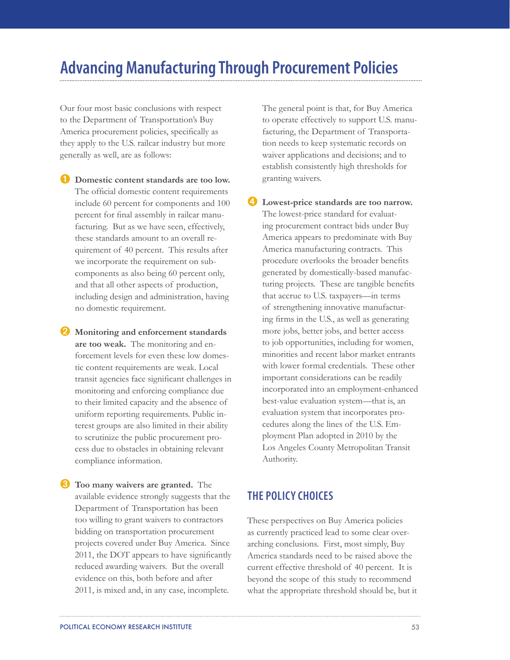# **Advancing Manufacturing Through Procurement Policies**

Our four most basic conclusions with respect to the Department of Transportation's Buy America procurement policies, specifically as they apply to the U.S. railcar industry but more generally as well, are as follows:

➊ **Domestic content standards are too low.**  The official domestic content requirements include 60 percent for components and 100 percent for final assembly in railcar manufacturing. But as we have seen, effectively, these standards amount to an overall requirement of 40 percent. This results after we incorporate the requirement on subcomponents as also being 60 percent only, and that all other aspects of production, including design and administration, having no domestic requirement.

➋ **Monitoring and enforcement standards are too weak.** The monitoring and enforcement levels for even these low domestic content requirements are weak. Local transit agencies face significant challenges in monitoring and enforcing compliance due to their limited capacity and the absence of uniform reporting requirements. Public interest groups are also limited in their ability to scrutinize the public procurement process due to obstacles in obtaining relevant compliance information.

➌ **Too many waivers are granted.** The available evidence strongly suggests that the Department of Transportation has been too willing to grant waivers to contractors bidding on transportation procurement projects covered under Buy America. Since 2011, the DOT appears to have significantly reduced awarding waivers. But the overall evidence on this, both before and after 2011, is mixed and, in any case, incomplete.

The general point is that, for Buy America to operate effectively to support U.S. manufacturing, the Department of Transportation needs to keep systematic records on waiver applications and decisions; and to establish consistently high thresholds for granting waivers.

➍ **Lowest-price standards are too narrow.**  The lowest-price standard for evaluating procurement contract bids under Buy America appears to predominate with Buy America manufacturing contracts. This procedure overlooks the broader benefits generated by domestically-based manufacturing projects. These are tangible benefits that accrue to U.S. taxpayers—in terms of strengthening innovative manufacturing firms in the U.S., as well as generating more jobs, better jobs, and better access to job opportunities, including for women, minorities and recent labor market entrants with lower formal credentials. These other important considerations can be readily incorporated into an employment-enhanced best-value evaluation system—that is, an evaluation system that incorporates procedures along the lines of the U.S. Employment Plan adopted in 2010 by the Los Angeles County Metropolitan Transit Authority.

# **THE POLICY CHOICES**

These perspectives on Buy America policies as currently practiced lead to some clear overarching conclusions. First, most simply, Buy America standards need to be raised above the current effective threshold of 40 percent. It is beyond the scope of this study to recommend what the appropriate threshold should be, but it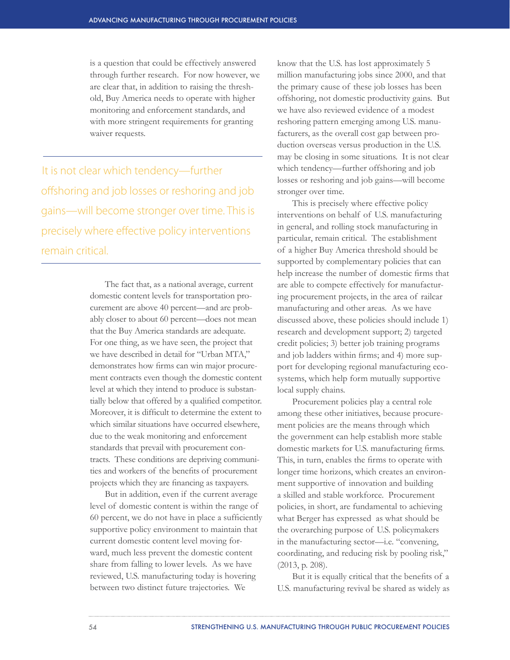is a question that could be effectively answered through further research. For now however, we are clear that, in addition to raising the threshold, Buy America needs to operate with higher monitoring and enforcement standards, and with more stringent requirements for granting waiver requests.

It is not clear which tendency—further offshoring and job losses or reshoring and job gains—will become stronger over time. This is precisely where effective policy interventions remain critical.

> The fact that, as a national average, current domestic content levels for transportation procurement are above 40 percent—and are probably closer to about 60 percent—does not mean that the Buy America standards are adequate. For one thing, as we have seen, the project that we have described in detail for "Urban MTA," demonstrates how firms can win major procurement contracts even though the domestic content level at which they intend to produce is substantially below that offered by a qualified competitor. Moreover, it is difficult to determine the extent to which similar situations have occurred elsewhere, due to the weak monitoring and enforcement standards that prevail with procurement contracts. These conditions are depriving communities and workers of the benefits of procurement projects which they are financing as taxpayers.

> But in addition, even if the current average level of domestic content is within the range of 60 percent, we do not have in place a sufficiently supportive policy environment to maintain that current domestic content level moving forward, much less prevent the domestic content share from falling to lower levels. As we have reviewed, U.S. manufacturing today is hovering between two distinct future trajectories. We

know that the U.S. has lost approximately 5 million manufacturing jobs since 2000, and that the primary cause of these job losses has been offshoring, not domestic productivity gains. But we have also reviewed evidence of a modest reshoring pattern emerging among U.S. manufacturers, as the overall cost gap between production overseas versus production in the U.S. may be closing in some situations. It is not clear which tendency—further offshoring and job losses or reshoring and job gains—will become stronger over time.

This is precisely where effective policy interventions on behalf of U.S. manufacturing in general, and rolling stock manufacturing in particular, remain critical. The establishment of a higher Buy America threshold should be supported by complementary policies that can help increase the number of domestic firms that are able to compete effectively for manufacturing procurement projects, in the area of railcar manufacturing and other areas. As we have discussed above, these policies should include 1) research and development support; 2) targeted credit policies; 3) better job training programs and job ladders within firms; and 4) more support for developing regional manufacturing ecosystems, which help form mutually supportive local supply chains.

Procurement policies play a central role among these other initiatives, because procurement policies are the means through which the government can help establish more stable domestic markets for U.S. manufacturing firms. This, in turn, enables the firms to operate with longer time horizons, which creates an environment supportive of innovation and building a skilled and stable workforce. Procurement policies, in short, are fundamental to achieving what Berger has expressed as what should be the overarching purpose of U.S. policymakers in the manufacturing sector—i.e. "convening, coordinating, and reducing risk by pooling risk," (2013, p. 208).

But it is equally critical that the benefits of a U.S. manufacturing revival be shared as widely as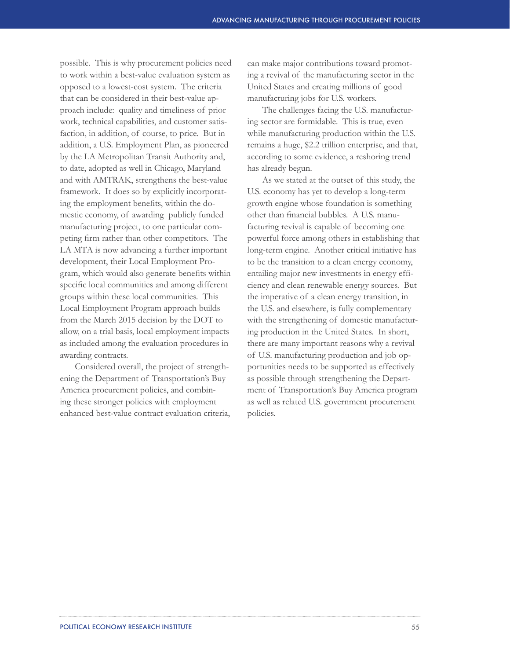possible. This is why procurement policies need to work within a best-value evaluation system as opposed to a lowest-cost system. The criteria that can be considered in their best-value approach include: quality and timeliness of prior work, technical capabilities, and customer satisfaction, in addition, of course, to price. But in addition, a U.S. Employment Plan, as pioneered by the LA Metropolitan Transit Authority and, to date, adopted as well in Chicago, Maryland and with AMTRAK, strengthens the best-value framework. It does so by explicitly incorporating the employment benefits, within the domestic economy, of awarding publicly funded manufacturing project, to one particular competing firm rather than other competitors. The LA MTA is now advancing a further important development, their Local Employment Program, which would also generate benefits within specific local communities and among different groups within these local communities. This Local Employment Program approach builds from the March 2015 decision by the DOT to allow, on a trial basis, local employment impacts as included among the evaluation procedures in awarding contracts.

Considered overall, the project of strengthening the Department of Transportation's Buy America procurement policies, and combining these stronger policies with employment enhanced best-value contract evaluation criteria,

can make major contributions toward promoting a revival of the manufacturing sector in the United States and creating millions of good manufacturing jobs for U.S. workers.

The challenges facing the U.S. manufacturing sector are formidable. This is true, even while manufacturing production within the U.S. remains a huge, \$2.2 trillion enterprise, and that, according to some evidence, a reshoring trend has already begun.

As we stated at the outset of this study, the U.S. economy has yet to develop a long-term growth engine whose foundation is something other than financial bubbles. A U.S. manufacturing revival is capable of becoming one powerful force among others in establishing that long-term engine. Another critical initiative has to be the transition to a clean energy economy, entailing major new investments in energy efficiency and clean renewable energy sources. But the imperative of a clean energy transition, in the U.S. and elsewhere, is fully complementary with the strengthening of domestic manufacturing production in the United States. In short, there are many important reasons why a revival of U.S. manufacturing production and job opportunities needs to be supported as effectively as possible through strengthening the Department of Transportation's Buy America program as well as related U.S. government procurement policies.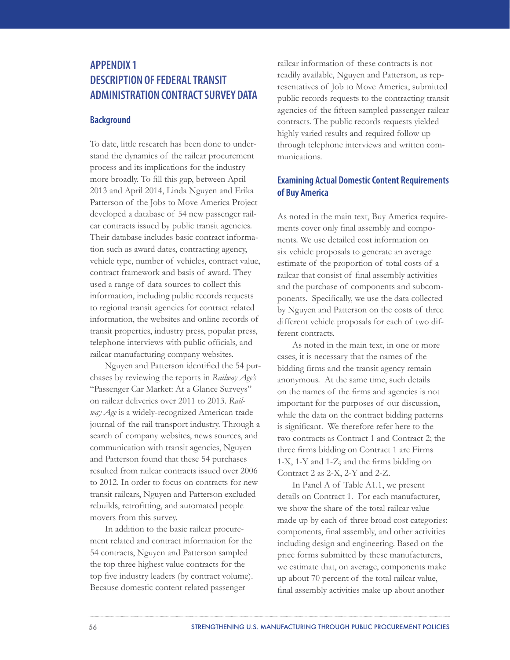# **APPENDIX 1 DESCRIPTION OF FEDERAL TRANSIT ADMINISTRATION CONTRACT SURVEY DATA**

# **Background**

To date, little research has been done to understand the dynamics of the railcar procurement process and its implications for the industry more broadly. To fill this gap, between April 2013 and April 2014, Linda Nguyen and Erika Patterson of the Jobs to Move America Project developed a database of 54 new passenger railcar contracts issued by public transit agencies. Their database includes basic contract information such as award dates, contracting agency, vehicle type, number of vehicles, contract value, contract framework and basis of award. They used a range of data sources to collect this information, including public records requests to regional transit agencies for contract related information, the websites and online records of transit properties, industry press, popular press, telephone interviews with public officials, and railcar manufacturing company websites.

Nguyen and Patterson identified the 54 purchases by reviewing the reports in *Railway Age's*  "Passenger Car Market: At a Glance Surveys" on railcar deliveries over 2011 to 2013. *Railway Age* is a widely-recognized American trade journal of the rail transport industry. Through a search of company websites, news sources, and communication with transit agencies, Nguyen and Patterson found that these 54 purchases resulted from railcar contracts issued over 2006 to 2012. In order to focus on contracts for new transit railcars, Nguyen and Patterson excluded rebuilds, retrofitting, and automated people movers from this survey.

In addition to the basic railcar procurement related and contract information for the 54 contracts, Nguyen and Patterson sampled the top three highest value contracts for the top five industry leaders (by contract volume). Because domestic content related passenger

railcar information of these contracts is not readily available, Nguyen and Patterson, as representatives of Job to Move America, submitted public records requests to the contracting transit agencies of the fifteen sampled passenger railcar contracts. The public records requests yielded highly varied results and required follow up through telephone interviews and written communications.

# **Examining Actual Domestic Content Requirements of Buy America**

As noted in the main text, Buy America requirements cover only final assembly and components. We use detailed cost information on six vehicle proposals to generate an average estimate of the proportion of total costs of a railcar that consist of final assembly activities and the purchase of components and subcomponents. Specifically, we use the data collected by Nguyen and Patterson on the costs of three different vehicle proposals for each of two different contracts.

As noted in the main text, in one or more cases, it is necessary that the names of the bidding firms and the transit agency remain anonymous. At the same time, such details on the names of the firms and agencies is not important for the purposes of our discussion, while the data on the contract bidding patterns is significant. We therefore refer here to the two contracts as Contract 1 and Contract 2; the three firms bidding on Contract 1 are Firms 1-X, 1-Y and 1-Z; and the firms bidding on Contract 2 as 2-X, 2-Y and 2-Z.

In Panel A of Table A1.1, we present details on Contract 1. For each manufacturer, we show the share of the total railcar value made up by each of three broad cost categories: components, final assembly, and other activities including design and engineering. Based on the price forms submitted by these manufacturers, we estimate that, on average, components make up about 70 percent of the total railcar value, final assembly activities make up about another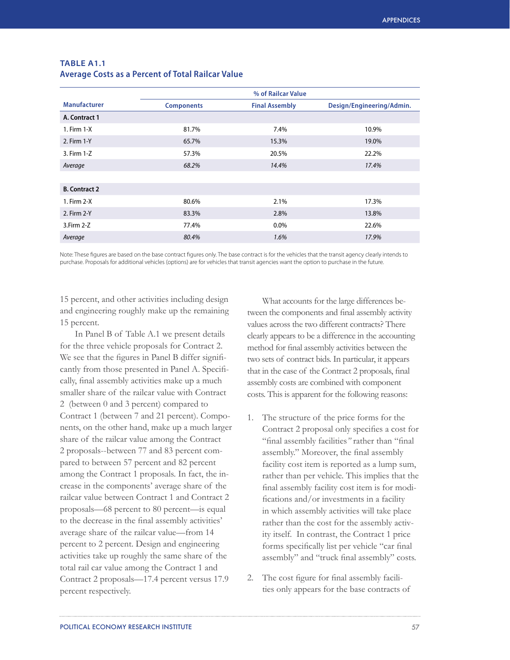|                      | % of Railcar Value |                       |                           |
|----------------------|--------------------|-----------------------|---------------------------|
| <b>Manufacturer</b>  | <b>Components</b>  | <b>Final Assembly</b> | Design/Engineering/Admin. |
| A. Contract 1        |                    |                       |                           |
| 1. Firm $1-X$        | 81.7%              | 7.4%                  | 10.9%                     |
| 2. Firm 1-Y          | 65.7%              | 15.3%                 | 19.0%                     |
| 3. Firm 1-Z          | 57.3%              | 20.5%                 | 22.2%                     |
| Average              | 68.2%              | 14.4%                 | 17.4%                     |
|                      |                    |                       |                           |
| <b>B.</b> Contract 2 |                    |                       |                           |
| 1. Firm 2-X          | 80.6%              | 2.1%                  | 17.3%                     |
| 2. Firm 2-Y          | 83.3%              | 2.8%                  | 13.8%                     |
| $3.$ Firm $2-Z$      | 77.4%              | $0.0\%$               | 22.6%                     |
| Average              | 80.4%              | 1.6%                  | 17.9%                     |

# **TABLE A1.1 Average Costs as a Percent of Total Railcar Value**

Note: These figures are based on the base contract figures only. The base contract is for the vehicles that the transit agency clearly intends to purchase. Proposals for additional vehicles (options) are for vehicles that transit agencies want the option to purchase in the future.

15 percent, and other activities including design and engineering roughly make up the remaining 15 percent.

In Panel B of Table A.1 we present details for the three vehicle proposals for Contract 2. We see that the figures in Panel B differ significantly from those presented in Panel A. Specifically, final assembly activities make up a much smaller share of the railcar value with Contract 2 (between 0 and 3 percent) compared to Contract 1 (between 7 and 21 percent). Components, on the other hand, make up a much larger share of the railcar value among the Contract 2 proposals--between 77 and 83 percent compared to between 57 percent and 82 percent among the Contract 1 proposals. In fact, the increase in the components' average share of the railcar value between Contract 1 and Contract 2 proposals—68 percent to 80 percent—is equal to the decrease in the final assembly activities' average share of the railcar value—from 14 percent to 2 percent. Design and engineering activities take up roughly the same share of the total rail car value among the Contract 1 and Contract 2 proposals—17.4 percent versus 17.9 percent respectively.

What accounts for the large differences between the components and final assembly activity values across the two different contracts? There clearly appears to be a difference in the accounting method for final assembly activities between the two sets of contract bids. In particular, it appears that in the case of the Contract 2 proposals, final assembly costs are combined with component costs. This is apparent for the following reasons:

- 1. The structure of the price forms for the Contract 2 proposal only specifies a cost for "final assembly facilities*"* rather than "final assembly." Moreover, the final assembly facility cost item is reported as a lump sum, rather than per vehicle. This implies that the final assembly facility cost item is for modifications and/or investments in a facility in which assembly activities will take place rather than the cost for the assembly activity itself. In contrast, the Contract 1 price forms specifically list per vehicle "car final assembly" and "truck final assembly" costs.
- 2. The cost figure for final assembly facilities only appears for the base contracts of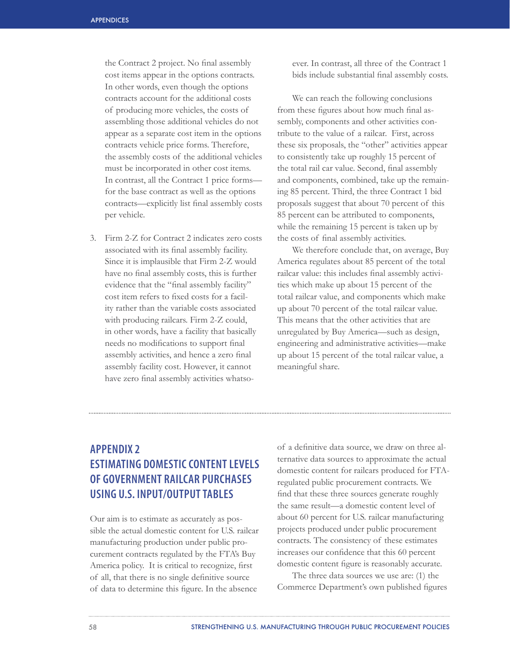the Contract 2 project. No final assembly cost items appear in the options contracts. In other words, even though the options contracts account for the additional costs of producing more vehicles, the costs of assembling those additional vehicles do not appear as a separate cost item in the options contracts vehicle price forms. Therefore, the assembly costs of the additional vehicles must be incorporated in other cost items. In contrast, all the Contract 1 price forms for the base contract as well as the options contracts—explicitly list final assembly costs per vehicle.

3. Firm 2-Z for Contract 2 indicates zero costs associated with its final assembly facility. Since it is implausible that Firm 2-Z would have no final assembly costs, this is further evidence that the "final assembly facility" cost item refers to fixed costs for a facility rather than the variable costs associated with producing railcars. Firm 2-Z could, in other words, have a facility that basically needs no modifications to support final assembly activities, and hence a zero final assembly facility cost. However, it cannot have zero final assembly activities whatsoever. In contrast, all three of the Contract 1 bids include substantial final assembly costs.

We can reach the following conclusions from these figures about how much final assembly, components and other activities contribute to the value of a railcar. First, across these six proposals, the "other" activities appear to consistently take up roughly 15 percent of the total rail car value. Second, final assembly and components, combined, take up the remaining 85 percent. Third, the three Contract 1 bid proposals suggest that about 70 percent of this 85 percent can be attributed to components, while the remaining 15 percent is taken up by the costs of final assembly activities.

We therefore conclude that, on average, Buy America regulates about 85 percent of the total railcar value: this includes final assembly activities which make up about 15 percent of the total railcar value, and components which make up about 70 percent of the total railcar value. This means that the other activities that are unregulated by Buy America—such as design, engineering and administrative activities—make up about 15 percent of the total railcar value, a meaningful share.

# **APPENDIX 2 ESTIMATING DOMESTIC CONTENT LEVELS OF GOVERNMENT RAILCAR PURCHASES USING U.S. INPUT/OUTPUT TABLES**

Our aim is to estimate as accurately as possible the actual domestic content for U.S. railcar manufacturing production under public procurement contracts regulated by the FTA's Buy America policy. It is critical to recognize, first of all, that there is no single definitive source of data to determine this figure. In the absence

of a definitive data source, we draw on three alternative data sources to approximate the actual domestic content for railcars produced for FTAregulated public procurement contracts. We find that these three sources generate roughly the same result—a domestic content level of about 60 percent for U.S. railcar manufacturing projects produced under public procurement contracts. The consistency of these estimates increases our confidence that this 60 percent domestic content figure is reasonably accurate.

The three data sources we use are: (1) the Commerce Department's own published figures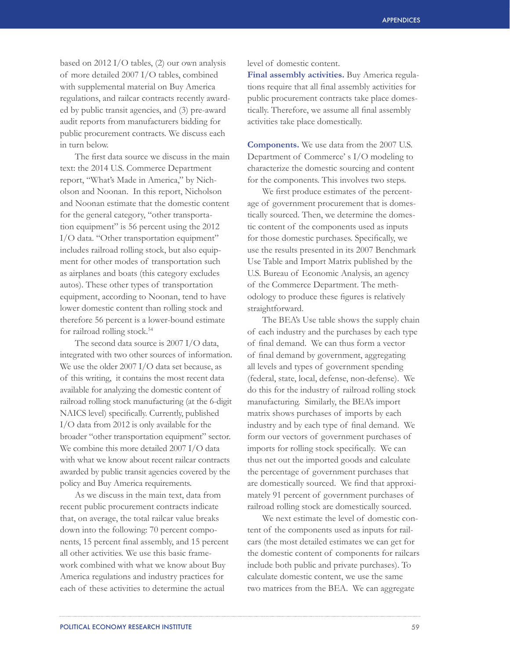based on 2012 I/O tables, (2) our own analysis of more detailed 2007 I/O tables, combined with supplemental material on Buy America regulations, and railcar contracts recently awarded by public transit agencies, and (3) pre-award audit reports from manufacturers bidding for public procurement contracts. We discuss each in turn below.

The first data source we discuss in the main text: the 2014 U.S. Commerce Department report, "What's Made in America," by Nicholson and Noonan. In this report, Nicholson and Noonan estimate that the domestic content for the general category, "other transportation equipment" is 56 percent using the 2012 I/O data. "Other transportation equipment" includes railroad rolling stock, but also equipment for other modes of transportation such as airplanes and boats (this category excludes autos). These other types of transportation equipment, according to Noonan, tend to have lower domestic content than rolling stock and therefore 56 percent is a lower-bound estimate for railroad rolling stock.<sup>54</sup>

The second data source is 2007 I/O data, integrated with two other sources of information. We use the older 2007 I/O data set because, as of this writing, it contains the most recent data available for analyzing the domestic content of railroad rolling stock manufacturing (at the 6-digit NAICS level) specifically. Currently, published I/O data from 2012 is only available for the broader "other transportation equipment" sector. We combine this more detailed 2007 I/O data with what we know about recent railcar contracts awarded by public transit agencies covered by the policy and Buy America requirements.

As we discuss in the main text, data from recent public procurement contracts indicate that, on average, the total railcar value breaks down into the following: 70 percent components, 15 percent final assembly, and 15 percent all other activities. We use this basic framework combined with what we know about Buy America regulations and industry practices for each of these activities to determine the actual

level of domestic content.

**Final assembly activities.** Buy America regulations require that all final assembly activities for public procurement contracts take place domestically. Therefore, we assume all final assembly activities take place domestically.

**Components.** We use data from the 2007 U.S. Department of Commerce' s I/O modeling to characterize the domestic sourcing and content for the components. This involves two steps.

We first produce estimates of the percentage of government procurement that is domestically sourced. Then, we determine the domestic content of the components used as inputs for those domestic purchases. Specifically, we use the results presented in its 2007 Benchmark Use Table and Import Matrix published by the U.S. Bureau of Economic Analysis, an agency of the Commerce Department. The methodology to produce these figures is relatively straightforward.

The BEA's Use table shows the supply chain of each industry and the purchases by each type of final demand. We can thus form a vector of final demand by government, aggregating all levels and types of government spending (federal, state, local, defense, non-defense). We do this for the industry of railroad rolling stock manufacturing. Similarly, the BEA's import matrix shows purchases of imports by each industry and by each type of final demand. We form our vectors of government purchases of imports for rolling stock specifically. We can thus net out the imported goods and calculate the percentage of government purchases that are domestically sourced. We find that approximately 91 percent of government purchases of railroad rolling stock are domestically sourced.

We next estimate the level of domestic content of the components used as inputs for railcars (the most detailed estimates we can get for the domestic content of components for railcars include both public and private purchases). To calculate domestic content, we use the same two matrices from the BEA. We can aggregate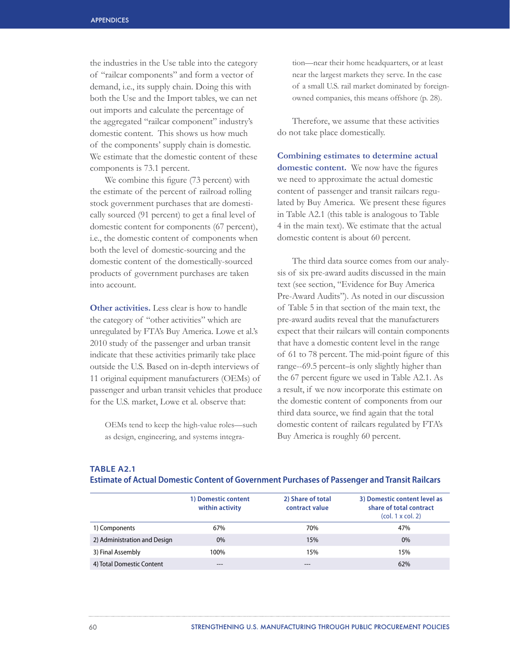the industries in the Use table into the category of "railcar components" and form a vector of demand, i.e., its supply chain. Doing this with both the Use and the Import tables, we can net out imports and calculate the percentage of the aggregated "railcar component" industry's domestic content. This shows us how much of the components' supply chain is domestic. We estimate that the domestic content of these components is 73.1 percent.

We combine this figure (73 percent) with the estimate of the percent of railroad rolling stock government purchases that are domestically sourced (91 percent) to get a final level of domestic content for components (67 percent), i.e., the domestic content of components when both the level of domestic-sourcing and the domestic content of the domestically-sourced products of government purchases are taken into account.

**Other activities.** Less clear is how to handle the category of "other activities" which are unregulated by FTA's Buy America. Lowe et al.'s 2010 study of the passenger and urban transit indicate that these activities primarily take place outside the U.S. Based on in-depth interviews of 11 original equipment manufacturers (OEMs) of passenger and urban transit vehicles that produce for the U.S. market, Lowe et al. observe that:

OEMs tend to keep the high-value roles—such as design, engineering, and systems integration—near their home headquarters, or at least near the largest markets they serve. In the case of a small U.S. rail market dominated by foreignowned companies, this means offshore (p. 28).

Therefore, we assume that these activities do not take place domestically.

**Combining estimates to determine actual domestic content.** We now have the figures we need to approximate the actual domestic content of passenger and transit railcars regulated by Buy America. We present these figures in Table A2.1 (this table is analogous to Table 4 in the main text). We estimate that the actual domestic content is about 60 percent.

The third data source comes from our analysis of six pre-award audits discussed in the main text (see section, "Evidence for Buy America Pre-Award Audits"). As noted in our discussion of Table 5 in that section of the main text, the pre-award audits reveal that the manufacturers expect that their railcars will contain components that have a domestic content level in the range of 61 to 78 percent. The mid-point figure of this range--69.5 percent–is only slightly higher than the 67 percent figure we used in Table A2.1. As a result, if we now incorporate this estimate on the domestic content of components from our third data source, we find again that the total domestic content of railcars regulated by FTA's Buy America is roughly 60 percent.

| <b>TABLE A2.1</b>       |
|-------------------------|
| <b>Ectimate of Acti</b> |

|                              | 1) Domestic content<br>within activity | 2) Share of total<br>contract value | 3) Domestic content level as<br>share of total contract<br>$\left($ col. 1 x col. 2) |
|------------------------------|----------------------------------------|-------------------------------------|--------------------------------------------------------------------------------------|
| 1) Components                | 67%                                    | 70%                                 | 47%                                                                                  |
| 2) Administration and Design | $0\%$                                  | 15%                                 | $0\%$                                                                                |
| 3) Final Assembly            | 100%                                   | 15%                                 | 15%                                                                                  |
| 4) Total Domestic Content    | ---                                    |                                     | 62%                                                                                  |

# **Estimate of Actual Domestic Content of Government Purchases of Passenger and Transit Railcars**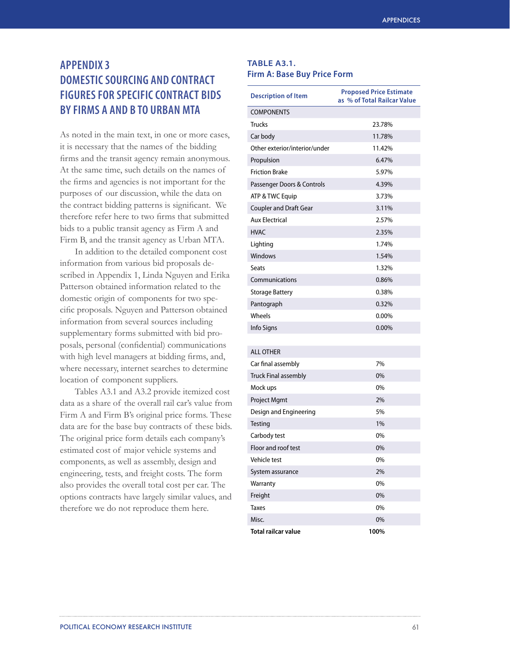# **APPENDIX 3 DOMESTIC SOURCING AND CONTRACT FIGURES FOR SPECIFIC CONTRACT BIDS BY FIRMS A AND B TO URBAN MTA**

As noted in the main text, in one or more cases, it is necessary that the names of the bidding firms and the transit agency remain anonymous. At the same time, such details on the names of the firms and agencies is not important for the purposes of our discussion, while the data on the contract bidding patterns is significant. We therefore refer here to two firms that submitted bids to a public transit agency as Firm A and Firm B, and the transit agency as Urban MTA.

In addition to the detailed component cost information from various bid proposals described in Appendix 1, Linda Nguyen and Erika Patterson obtained information related to the domestic origin of components for two specific proposals. Nguyen and Patterson obtained information from several sources including supplementary forms submitted with bid proposals, personal (confidential) communications with high level managers at bidding firms, and, where necessary, internet searches to determine location of component suppliers.

Tables A3.1 and A3.2 provide itemized cost data as a share of the overall rail car's value from Firm A and Firm B's original price forms. These data are for the base buy contracts of these bids. The original price form details each company's estimated cost of major vehicle systems and components, as well as assembly, design and engineering, tests, and freight costs. The form also provides the overall total cost per car. The options contracts have largely similar values, and therefore we do not reproduce them here.

# **TABLE A3.1. Firm A: Base Buy Price Form**

| <b>Description of Item</b>    | <b>Proposed Price Estimate</b><br>as % of Total Railcar Value |
|-------------------------------|---------------------------------------------------------------|
| <b>COMPONENTS</b>             |                                                               |
| <b>Trucks</b>                 | 23.78%                                                        |
| Car body                      | 11.78%                                                        |
| Other exterior/interior/under | 11.42%                                                        |
| Propulsion                    | 6.47%                                                         |
| <b>Friction Brake</b>         | 5.97%                                                         |
| Passenger Doors & Controls    | 4.39%                                                         |
| ATP & TWC Equip               | 3.73%                                                         |
| <b>Coupler and Draft Gear</b> | 3.11%                                                         |
| <b>Aux Electrical</b>         | 2.57%                                                         |
| <b>HVAC</b>                   | 2.35%                                                         |
| Lighting                      | 1.74%                                                         |
| Windows                       | 1.54%                                                         |
| <b>Seats</b>                  | 1.32%                                                         |
| Communications                | 0.86%                                                         |
| <b>Storage Battery</b>        | 0.38%                                                         |
| Pantograph                    | 0.32%                                                         |
| Wheels                        | 0.00%                                                         |
| Info Signs                    | $0.00\%$                                                      |
|                               |                                                               |
| <b>ALL OTHER</b>              |                                                               |
| Car final assembly            | 7%                                                            |
| <b>Truck Final assembly</b>   | 0%                                                            |
| Mock ups                      | 0%                                                            |
| Project Mgmt                  | 2%                                                            |
| Design and Engineering        | 5%                                                            |
| Testing                       | 1%                                                            |
| Carbody test                  | 0%                                                            |
| Floor and roof test           | 0%                                                            |
| Vehicle test                  | 0%                                                            |
| System assurance              | 2%                                                            |
| Warranty                      | 0%                                                            |
| Freight                       | 0%                                                            |
| Taxes                         | 0%                                                            |
| Misc.                         | 0%                                                            |
| <b>Total railcar value</b>    | 100%                                                          |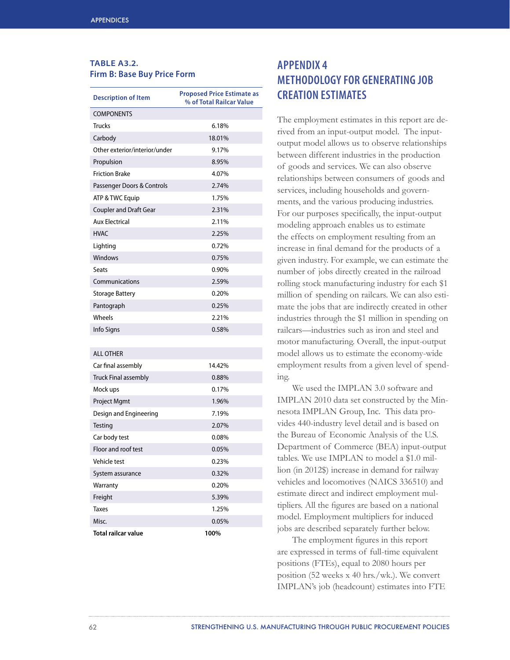# **TABLE A3.2. Firm B: Base Buy Price Form**

| <b>Description of Item</b>    | <b>Proposed Price Estimate as</b><br>% of Total Railcar Value |
|-------------------------------|---------------------------------------------------------------|
| <b>COMPONENTS</b>             |                                                               |
| <b>Trucks</b>                 | 6.18%                                                         |
| Carbody                       | 18.01%                                                        |
| Other exterior/interior/under | 9.17%                                                         |
| Propulsion                    | 8.95%                                                         |
| <b>Friction Brake</b>         | 4.07%                                                         |
| Passenger Doors & Controls    | 2.74%                                                         |
| ATP & TWC Equip               | 1.75%                                                         |
| <b>Coupler and Draft Gear</b> | 2.31%                                                         |
| <b>Aux Electrical</b>         | 2.11%                                                         |
| <b>HVAC</b>                   | 2.25%                                                         |
| Lighting                      | 0.72%                                                         |
| Windows                       | 0.75%                                                         |
| Seats                         | 0.90%                                                         |
| Communications                | 2.59%                                                         |
| <b>Storage Battery</b>        | 0.20%                                                         |
| Pantograph                    | 0.25%                                                         |
| Wheels                        | 2.21%                                                         |
| Info Signs                    | 0.58%                                                         |
|                               |                                                               |
| <b>ALL OTHER</b>              |                                                               |
| Car final assembly            | 14.42%                                                        |
| <b>Truck Final assembly</b>   | 0.88%                                                         |
| Mock ups                      | 0.17%                                                         |
| Project Mgmt                  | 1.96%                                                         |
| Design and Engineering        | 7.19%                                                         |
| <b>Testing</b>                | 2.07%                                                         |
| Car body test                 | 0.08%                                                         |
| Floor and roof test           | 0.05%                                                         |
| Vehicle test                  | 0.23%                                                         |
| System assurance              | 0.32%                                                         |
| Warranty                      | 0.20%                                                         |
| Freight                       | 5.39%                                                         |
| <b>Taxes</b>                  | 1.25%                                                         |

Misc. 0.05% **Total railcar value 100%**

# **APPENDIX 4 METHODOLOGY FOR GENERATING JOB CREATION ESTIMATES**

The employment estimates in this report are derived from an input-output model. The inputoutput model allows us to observe relationships between different industries in the production of goods and services. We can also observe relationships between consumers of goods and services, including households and governments, and the various producing industries. For our purposes specifically, the input-output modeling approach enables us to estimate the effects on employment resulting from an increase in final demand for the products of a given industry. For example, we can estimate the number of jobs directly created in the railroad rolling stock manufacturing industry for each \$1 million of spending on railcars. We can also estimate the jobs that are indirectly created in other industries through the \$1 million in spending on railcars—industries such as iron and steel and motor manufacturing. Overall, the input-output model allows us to estimate the economy-wide employment results from a given level of spending.

We used the IMPLAN 3.0 software and IMPLAN 2010 data set constructed by the Minnesota IMPLAN Group, Inc. This data provides 440-industry level detail and is based on the Bureau of Economic Analysis of the U.S. Department of Commerce (BEA) input-output tables. We use IMPLAN to model a \$1.0 million (in 2012\$) increase in demand for railway vehicles and locomotives (NAICS 336510) and estimate direct and indirect employment multipliers. All the figures are based on a national model. Employment multipliers for induced jobs are described separately further below.

The employment figures in this report are expressed in terms of full-time equivalent positions (FTEs), equal to 2080 hours per position (52 weeks x 40 hrs./wk.). We convert IMPLAN's job (headcount) estimates into FTE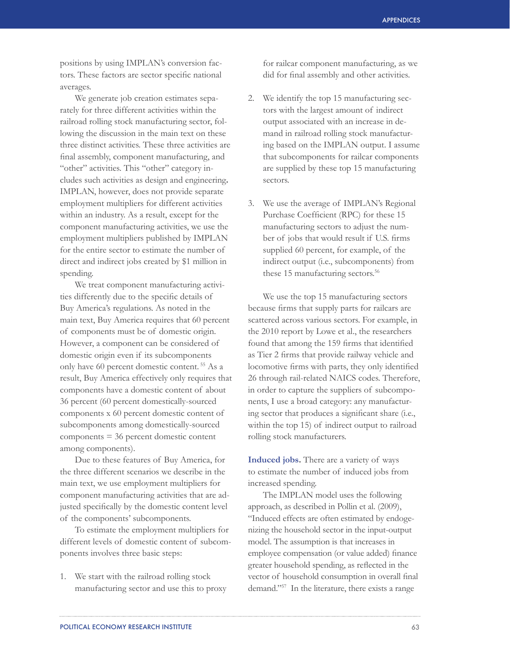positions by using IMPLAN's conversion factors. These factors are sector specific national averages.

We generate job creation estimates separately for three different activities within the railroad rolling stock manufacturing sector, following the discussion in the main text on these three distinct activities. These three activities are final assembly, component manufacturing, and "other" activities. This "other" category includes such activities as design and engineering**.** IMPLAN, however, does not provide separate employment multipliers for different activities within an industry. As a result, except for the component manufacturing activities, we use the employment multipliers published by IMPLAN for the entire sector to estimate the number of direct and indirect jobs created by \$1 million in spending.

We treat component manufacturing activities differently due to the specific details of Buy America's regulations. As noted in the main text, Buy America requires that 60 percent of components must be of domestic origin. However, a component can be considered of domestic origin even if its subcomponents only have 60 percent domestic content. 55 As a result, Buy America effectively only requires that components have a domestic content of about 36 percent (60 percent domestically-sourced components x 60 percent domestic content of subcomponents among domestically-sourced components = 36 percent domestic content among components).

Due to these features of Buy America, for the three different scenarios we describe in the main text, we use employment multipliers for component manufacturing activities that are adjusted specifically by the domestic content level of the components' subcomponents.

To estimate the employment multipliers for different levels of domestic content of subcomponents involves three basic steps:

1. We start with the railroad rolling stock manufacturing sector and use this to proxy for railcar component manufacturing, as we did for final assembly and other activities.

- 2. We identify the top 15 manufacturing sectors with the largest amount of indirect output associated with an increase in demand in railroad rolling stock manufacturing based on the IMPLAN output. I assume that subcomponents for railcar components are supplied by these top 15 manufacturing sectors.
- 3. We use the average of IMPLAN's Regional Purchase Coefficient (RPC) for these 15 manufacturing sectors to adjust the number of jobs that would result if U.S. firms supplied 60 percent, for example, of the indirect output (i.e., subcomponents) from these 15 manufacturing sectors.<sup>56</sup>

We use the top 15 manufacturing sectors because firms that supply parts for railcars are scattered across various sectors. For example, in the 2010 report by Lowe et al., the researchers found that among the 159 firms that identified as Tier 2 firms that provide railway vehicle and locomotive firms with parts, they only identified 26 through rail-related NAICS codes. Therefore, in order to capture the suppliers of subcomponents, I use a broad category: any manufacturing sector that produces a significant share (i.e., within the top 15) of indirect output to railroad rolling stock manufacturers.

**Induced jobs.** There are a variety of ways to estimate the number of induced jobs from increased spending.

The IMPLAN model uses the following approach, as described in Pollin et al. (2009), "Induced effects are often estimated by endogenizing the household sector in the input-output model. The assumption is that increases in employee compensation (or value added) finance greater household spending, as reflected in the vector of household consumption in overall final demand."<sup>57</sup> In the literature, there exists a range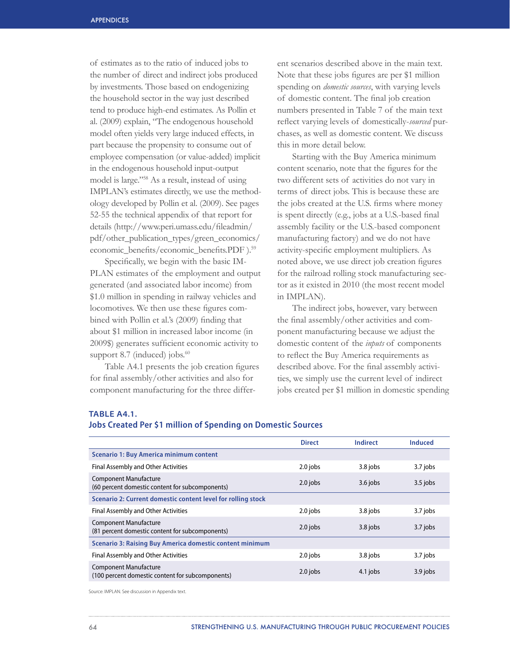of estimates as to the ratio of induced jobs to the number of direct and indirect jobs produced by investments. Those based on endogenizing the household sector in the way just described tend to produce high-end estimates. As Pollin et al. (2009) explain, "The endogenous household model often yields very large induced effects, in part because the propensity to consume out of employee compensation (or value-added) implicit in the endogenous household input-output model is large."<sup>58</sup> As a result, instead of using IMPLAN's estimates directly, we use the methodology developed by Pollin et al. (2009). See pages 52-55 the technical appendix of that report for details (http://www.peri.umass.edu/fileadmin/ pdf/other\_publication\_types/green\_economics/ economic\_benefits/economic\_benefits.PDF).<sup>59</sup>

Specifically, we begin with the basic IM-PLAN estimates of the employment and output generated (and associated labor income) from \$1.0 million in spending in railway vehicles and locomotives. We then use these figures combined with Pollin et al.'s (2009) finding that about \$1 million in increased labor income (in 2009\$) generates sufficient economic activity to support 8.7 (induced) jobs. $60$ 

Table A4.1 presents the job creation figures for final assembly/other activities and also for component manufacturing for the three different scenarios described above in the main text. Note that these jobs figures are per \$1 million spending on *domestic sources*, with varying levels of domestic content. The final job creation numbers presented in Table 7 of the main text reflect varying levels of domestically-*sourced* purchases, as well as domestic content. We discuss this in more detail below.

Starting with the Buy America minimum content scenario, note that the figures for the two different sets of activities do not vary in terms of direct jobs. This is because these are the jobs created at the U.S. firms where money is spent directly (e.g., jobs at a U.S.-based final assembly facility or the U.S.-based component manufacturing factory) and we do not have activity-specific employment multipliers. As noted above, we use direct job creation figures for the railroad rolling stock manufacturing sector as it existed in 2010 (the most recent model in IMPLAN).

The indirect jobs, however, vary between the final assembly/other activities and component manufacturing because we adjust the domestic content of the *inputs* of components to reflect the Buy America requirements as described above. For the final assembly activities, we simply use the current level of indirect jobs created per \$1 million in domestic spending

## **TABLE A4.1.**

|  |  |  | Jobs Created Per \$1 million of Spending on Domestic Sources |
|--|--|--|--------------------------------------------------------------|
|--|--|--|--------------------------------------------------------------|

|                                                                                  | <b>Direct</b> | Indirect   | <b>Induced</b> |
|----------------------------------------------------------------------------------|---------------|------------|----------------|
| Scenario 1: Buy America minimum content                                          |               |            |                |
| <b>Final Assembly and Other Activities</b>                                       | 2.0 jobs      | 3.8 jobs   | 3.7 jobs       |
| <b>Component Manufacture</b><br>(60 percent domestic content for subcomponents)  | $2.0$ jobs    | $3.6$ jobs | $3.5$ jobs     |
| Scenario 2: Current domestic content level for rolling stock                     |               |            |                |
| <b>Final Assembly and Other Activities</b>                                       | 2.0 jobs      | 3.8 jobs   | 3.7 jobs       |
| <b>Component Manufacture</b><br>(81 percent domestic content for subcomponents)  | $2.0$ jobs    | 3.8 jobs   | 3.7 jobs       |
| Scenario 3: Raising Buy America domestic content minimum                         |               |            |                |
| Final Assembly and Other Activities                                              | 2.0 jobs      | 3.8 jobs   | 3.7 jobs       |
| <b>Component Manufacture</b><br>(100 percent domestic content for subcomponents) | $2.0$ jobs    | 4.1 jobs   | 3.9 jobs       |
|                                                                                  |               |            |                |

Source: IMPLAN. See discussion in Appendix text.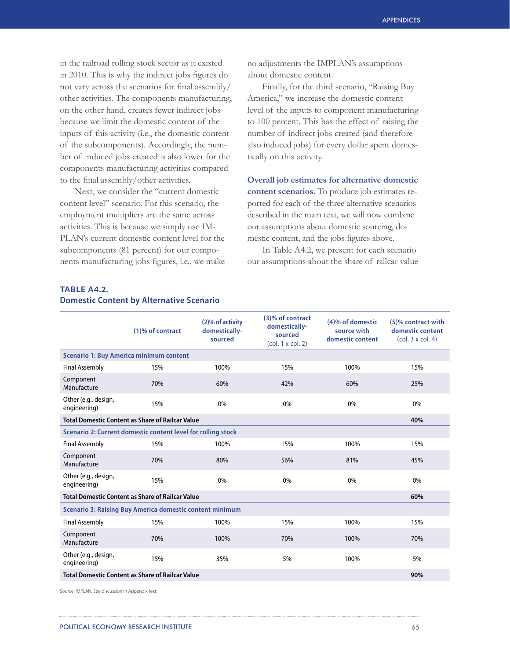in the railroad rolling stock sector as it existed in 2010. This is why the indirect jobs figures do not vary across the scenarios for final assembly/ other activities. The components manufacturing, on the other hand, creates fewer indirect jobs because we limit the domestic content of the inputs of this activity (i.e., the domestic content of the subcomponents). Accordingly, the number of induced jobs created is also lower for the components manufacturing activities compared to the final assembly/other activities.

Next, we consider the "current domestic content level" scenario. For this scenario, the employment multipliers are the same across activities. This is because we simply use IM-PLAN's current domestic content level for the subcomponents (81 percent) for our components manufacturing jobs figures, i.e., we make no adjustments the IMPLAN's assumptions about domestic content.

Finally, for the third scenario, "Raising Buy America," we increase the domestic content level of the inputs to component manufacturing to 100 percent. This has the effect of raising the number of indirect jobs created (and therefore also induced jobs) for every dollar spent domestically on this activity.

**Overall job estimates for alternative domestic content scenarios.** To produce job estimates reported for each of the three alternative scenarios described in the main text, we will now combine our assumptions about domestic sourcing, domestic content, and the jobs figures above.

In Table A4.2, we present for each scenario our assumptions about the share of railcar value

# **TABLE A4.2. Domestic Content by Alternative Scenario**

|                                                                 | (1)% of contract                                             | (2)% of activity<br>domestically-<br>sourced | (3)% of contract<br>domestically-<br>sourced<br>$\left($ col. 1 x col. 2) | (4)% of domestic<br>source with<br>domestic content | (5)% contract with<br>domestic content<br>(col. 3 x col. 4) |
|-----------------------------------------------------------------|--------------------------------------------------------------|----------------------------------------------|---------------------------------------------------------------------------|-----------------------------------------------------|-------------------------------------------------------------|
| <b>Scenario 1: Buy America minimum content</b>                  |                                                              |                                              |                                                                           |                                                     |                                                             |
| <b>Final Assembly</b>                                           | 15%                                                          | 100%                                         | 15%                                                                       | 100%                                                | 15%                                                         |
| Component<br>Manufacture                                        | 70%                                                          | 60%                                          | 42%                                                                       | 60%                                                 | 25%                                                         |
| Other (e.g., design,<br>engineering)                            | 15%                                                          | 0%                                           | 0%                                                                        | 0%                                                  | 0%                                                          |
|                                                                 | <b>Total Domestic Content as Share of Railcar Value</b>      |                                              |                                                                           |                                                     | 40%                                                         |
|                                                                 | Scenario 2: Current domestic content level for rolling stock |                                              |                                                                           |                                                     |                                                             |
| <b>Final Assembly</b>                                           | 15%                                                          | 100%                                         | 15%                                                                       | 100%                                                | 15%                                                         |
| Component<br>Manufacture                                        | 70%                                                          | 80%                                          | 56%                                                                       | 81%                                                 | 45%                                                         |
| Other (e.g., design,<br>engineering)                            | 15%                                                          | 0%                                           | 0%                                                                        | 0%                                                  | 0%                                                          |
| <b>Total Domestic Content as Share of Railcar Value</b>         |                                                              |                                              |                                                                           |                                                     | 60%                                                         |
| <b>Scenario 3: Raising Buy America domestic content minimum</b> |                                                              |                                              |                                                                           |                                                     |                                                             |
| <b>Final Assembly</b>                                           | 15%                                                          | 100%                                         | 15%                                                                       | 100%                                                | 15%                                                         |
| Component<br>Manufacture                                        | 70%                                                          | 100%                                         | 70%                                                                       | 100%                                                | 70%                                                         |
| Other (e.g., design,<br>engineering)                            | 15%                                                          | 35%                                          | 5%                                                                        | 100%                                                | 5%                                                          |
|                                                                 | <b>Total Domestic Content as Share of Railcar Value</b>      |                                              |                                                                           |                                                     | 90%                                                         |

Source: IMPLAN. See discussion in Appendix text.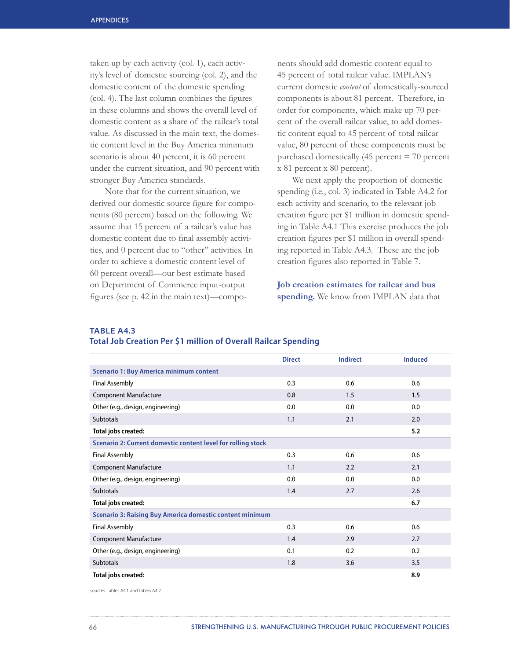taken up by each activity (col. 1), each activity's level of domestic sourcing (col. 2), and the domestic content of the domestic spending (col. 4). The last column combines the figures in these columns and shows the overall level of domestic content as a share of the railcar's total value. As discussed in the main text, the domestic content level in the Buy America minimum scenario is about 40 percent, it is 60 percent under the current situation, and 90 percent with stronger Buy America standards.

Note that for the current situation, we derived our domestic source figure for components (80 percent) based on the following. We assume that 15 percent of a railcar's value has domestic content due to final assembly activities, and 0 percent due to "other" activities. In order to achieve a domestic content level of 60 percent overall—our best estimate based on Department of Commerce input-output figures (see p. 42 in the main text)—components should add domestic content equal to 45 percent of total railcar value. IMPLAN's current domestic *content* of domestically-sourced components is about 81 percent. Therefore, in order for components, which make up 70 percent of the overall railcar value, to add domestic content equal to 45 percent of total railcar value, 80 percent of these components must be purchased domestically (45 percent = 70 percent x 81 percent x 80 percent).

We next apply the proportion of domestic spending (i.e., col. 3) indicated in Table A4.2 for each activity and scenario, to the relevant job creation figure per \$1 million in domestic spending in Table A4.1 This exercise produces the job creation figures per \$1 million in overall spending reported in Table A4.3. These are the job creation figures also reported in Table 7.

**Job creation estimates for railcar and bus spending.** We know from IMPLAN data that

# **TABLE A4.3**

## **Total Job Creation Per \$1 million of Overall Railcar Spending**

|                                                                 | <b>Direct</b> | <b>Indirect</b> | <b>Induced</b> |  |
|-----------------------------------------------------------------|---------------|-----------------|----------------|--|
| <b>Scenario 1: Buy America minimum content</b>                  |               |                 |                |  |
| <b>Final Assembly</b>                                           | 0.3           | 0.6             | 0.6            |  |
| <b>Component Manufacture</b>                                    | 0.8           | 1.5             | 1.5            |  |
| Other (e.g., design, engineering)                               | 0.0           | 0.0             | 0.0            |  |
| <b>Subtotals</b>                                                | 1.1           | 2.1             | 2.0            |  |
| Total jobs created:                                             |               |                 | 5.2            |  |
| Scenario 2: Current domestic content level for rolling stock    |               |                 |                |  |
| <b>Final Assembly</b>                                           | 0.3           | 0.6             | 0.6            |  |
| <b>Component Manufacture</b>                                    | 1.1           | 2.2             | 2.1            |  |
| Other (e.g., design, engineering)                               | 0.0           | 0.0             | 0.0            |  |
| <b>Subtotals</b>                                                | 1.4           | 2.7             | 2.6            |  |
| Total jobs created:                                             |               |                 | 6.7            |  |
| <b>Scenario 3: Raising Buy America domestic content minimum</b> |               |                 |                |  |
| <b>Final Assembly</b>                                           | 0.3           | 0.6             | 0.6            |  |
| <b>Component Manufacture</b>                                    | 1.4           | 2.9             | 2.7            |  |
| Other (e.g., design, engineering)                               | 0.1           | 0.2             | 0.2            |  |
| <b>Subtotals</b>                                                | 1.8           | 3.6             | 3.5            |  |
| Total jobs created:                                             |               |                 | 8.9            |  |

Sources: Tables A4.1 and Tables A4.2.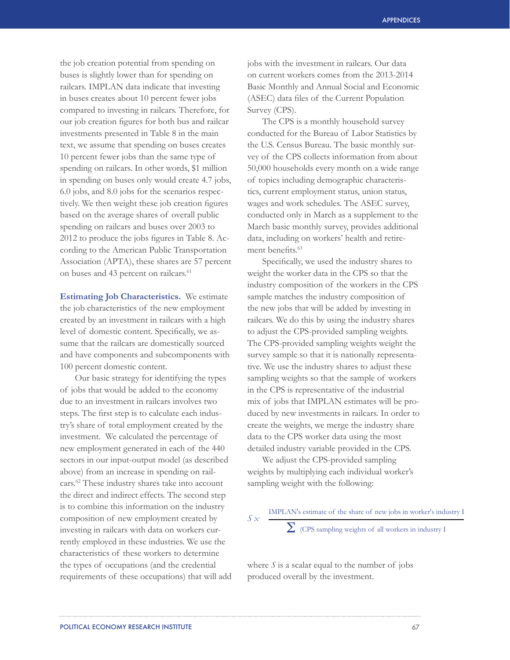the job creation potential from spending on buses is slightly lower than for spending on railcars. IMPLAN data indicate that investing in buses creates about 10 percent fewer jobs compared to investing in railcars. Therefore, for our job creation figures for both bus and railcar investments presented in Table 8 in the main text, we assume that spending on buses creates 10 percent fewer jobs than the same type of spending on railcars. In other words, \$1 million in spending on buses only would create 4.7 jobs, 6.0 jobs, and 8.0 jobs for the scenarios respectively. We then weight these job creation figures based on the average shares of overall public spending on railcars and buses over 2003 to 2012 to produce the jobs figures in Table 8. According to the American Public Transportation Association (APTA), these shares are 57 percent on buses and 43 percent on railcars.<sup>61</sup>

**Estimating Job Characteristics.** We estimate the job characteristics of the new employment created by an investment in railcars with a high level of domestic content. Specifically, we assume that the railcars are domestically sourced and have components and subcomponents with 100 percent domestic content.

Our basic strategy for identifying the types of jobs that would be added to the economy due to an investment in railcars involves two steps. The first step is to calculate each industry's share of total employment created by the investment. We calculated the percentage of new employment generated in each of the 440 sectors in our input-output model (as described above) from an increase in spending on railcars.62 These industry shares take into account the direct and indirect effects. The second step is to combine this information on the industry composition of new employment created by investing in railcars with data on workers currently employed in these industries. We use the characteristics of these workers to determine the types of occupations (and the credential requirements of these occupations) that will add jobs with the investment in railcars. Our data on current workers comes from the 2013-2014 Basic Monthly and Annual Social and Economic (ASEC) data files of the Current Population Survey (CPS).

The CPS is a monthly household survey conducted for the Bureau of Labor Statistics by the U.S. Census Bureau. The basic monthly survey of the CPS collects information from about 50,000 households every month on a wide range of topics including demographic characteristics, current employment status, union status, wages and work schedules. The ASEC survey, conducted only in March as a supplement to the March basic monthly survey, provides additional data, including on workers' health and retirement benefits<sup>63</sup>

Specifically, we used the industry shares to weight the worker data in the CPS so that the industry composition of the workers in the CPS sample matches the industry composition of the new jobs that will be added by investing in railcars. We do this by using the industry shares to adjust the CPS-provided sampling weights. The CPS-provided sampling weights weight the survey sample so that it is nationally representative. We use the industry shares to adjust these sampling weights so that the sample of workers in the CPS is representative of the industrial mix of jobs that IMPLAN estimates will be produced by new investments in railcars. In order to create the weights, we merge the industry share data to the CPS worker data using the most detailed industry variable provided in the CPS.

We adjust the CPS-provided sampling weights by multiplying each individual worker's sampling weight with the following:

#### *S x* IMPLAN's estimate of the share of new jobs in worker's industry I Σ (CPS sampling weights of all workers in industry I

where  $S$  is a scalar equal to the number of jobs produced overall by the investment.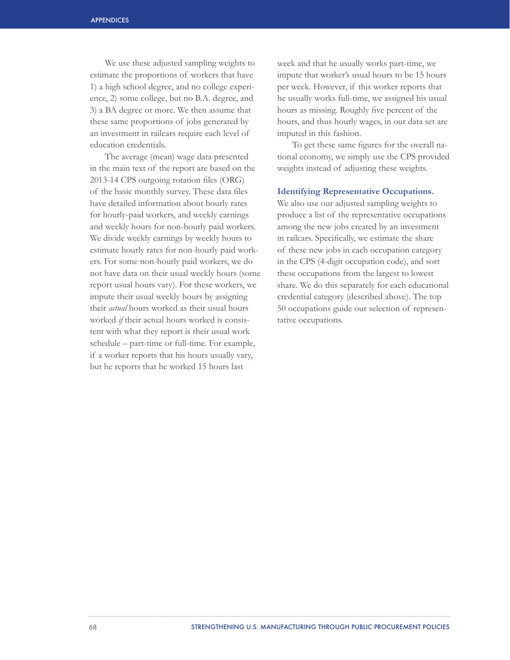We use these adjusted sampling weights to estimate the proportions of workers that have 1) a high school degree, and no college experience, 2) some college, but no B.A. degree, and 3) a BA degree or more. We then assume that these same proportions of jobs generated by an investment in railcars require each level of education credentials.

The average (mean) wage data presented in the main text of the report are based on the 2013-14 CPS outgoing rotation files (ORG) of the basic monthly survey. These data files have detailed information about hourly rates for hourly-paid workers, and weekly earnings and weekly hours for non-hourly paid workers. We divide weekly earnings by weekly hours to estimate hourly rates for non-hourly paid workers. For some non-hourly paid workers, we do not have data on their usual weekly hours (some report usual hours vary). For these workers, we impute their usual weekly hours by assigning their *actual* hours worked as their usual hours worked *if* their actual hours worked is consistent with what they report is their usual work schedule – part-time or full-time. For example, if a worker reports that his hours usually vary, but he reports that he worked 15 hours last

week and that he usually works part-time, we impute that worker's usual hours to be 15 hours per week. However, if this worker reports that he usually works full-time, we assigned his usual hours as missing. Roughly five percent of the hours, and thus hourly wages, in our data set are imputed in this fashion.

To get these same figures for the overall national economy, we simply use the CPS provided weights instead of adjusting these weights.

## **Identifying Representative Occupations.**

We also use our adjusted sampling weights to produce a list of the representative occupations among the new jobs created by an investment in railcars. Specifically, we estimate the share of these new jobs in each occupation category in the CPS (4-digit occupation code), and sort these occupations from the largest to lowest share. We do this separately for each educational credential category (described above). The top 50 occupations guide our selection of representative occupations.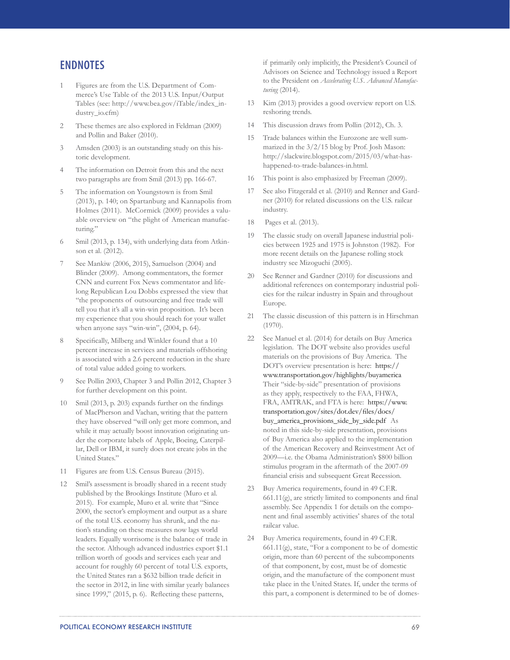# **ENDNOTES**

- 1 Figures are from the U.S. Department of Commerce's Use Table of the 2013 U.S. Input/Output Tables (see: http://www.bea.gov/iTable/index\_industry\_io.cfm)
- 2 These themes are also explored in Feldman (2009) and Pollin and Baker (2010).
- 3 Amsden (2003) is an outstanding study on this historic development.
- 4 The information on Detroit from this and the next two paragraphs are from Smil (2013) pp. 166-67.
- 5 The information on Youngstown is from Smil (2013), p. 140; on Spartanburg and Kannapolis from Holmes (2011). McCormick (2009) provides a valuable overview on "the plight of American manufacturing."
- 6 Smil (2013, p. 134), with underlying data from Atkinson et al. (2012).
- See Mankiw (2006, 2015), Samuelson (2004) and Blinder (2009). Among commentators, the former CNN and current Fox News commentator and lifelong Republican Lou Dobbs expressed the view that "the proponents of outsourcing and free trade will tell you that it's all a win-win proposition. It's been my experience that you should reach for your wallet when anyone says "win-win", (2004, p. 64).
- Specifically, Milberg and Winkler found that a 10 percent increase in services and materials offshoring is associated with a 2.6 percent reduction in the share of total value added going to workers.
- 9 See Pollin 2003, Chapter 3 and Pollin 2012, Chapter 3 for further development on this point.
- 10 Smil (2013, p. 203) expands further on the findings of MacPherson and Vachan, writing that the pattern they have observed "will only get more common, and while it may actually boost innovation originating under the corporate labels of Apple, Boeing, Caterpillar, Dell or IBM, it surely does not create jobs in the United States."
- 11 Figures are from U.S. Census Bureau (2015).
- 12 Smil's assessment is broadly shared in a recent study published by the Brookings Institute (Muro et al. 2015). For example, Muro et al. write that "Since 2000, the sector's employment and output as a share of the total U.S. economy has shrunk, and the nation's standing on these measures now lags world leaders. Equally worrisome is the balance of trade in the sector. Although advanced industries export \$1.1 trillion worth of goods and services each year and account for roughly 60 percent of total U.S. exports, the United States ran a \$632 billion trade deficit in the sector in 2012, in line with similar yearly balances since 1999," (2015, p. 6). Reflecting these patterns,

if primarily only implicitly, the President's Council of Advisors on Science and Technology issued a Report to the President on *Accelerating U.S. Advanced Manufacturing* (2014).

- 13 Kim (2013) provides a good overview report on U.S. reshoring trends.
- 14 This discussion draws from Pollin (2012), Ch. 3.
- 15 Trade balances within the Eurozone are well summarized in the 3/2/15 blog by Prof. Josh Mason: http://slackwire.blogspot.com/2015/03/what-hashappened-to-trade-balances-in.html.
- 16 This point is also emphasized by Freeman (2009).
- 17 See also Fitzgerald et al. (2010) and Renner and Gardner (2010) for related discussions on the U.S. railcar industry.
- 18 Pages et al. (2013).
- 19 The classic study on overall Japanese industrial policies between 1925 and 1975 is Johnston (1982). For more recent details on the Japanese rolling stock industry see Mizoguchi (2005).
- 20 See Renner and Gardner (2010) for discussions and additional references on contemporary industrial policies for the railcar industry in Spain and throughout Europe.
- 21 The classic discussion of this pattern is in Hirschman  $(1970)$ .
- 22 See Manuel et al. (2014) for details on Buy America legislation. The DOT website also provides useful materials on the provisions of Buy America. The DOT's overview presentation is here: https:// www.transportation.gov/highlights/buyamerica Their "side-by-side" presentation of provisions as they apply, respectively to the FAA, FHWA, FRA, AMTRAK, and FTA is here: https://www. transportation.gov/sites/dot.dev/files/docs/ buy\_america\_provisions\_side\_by\_side.pdf As noted in this side-by-side presentation, provisions of Buy America also applied to the implementation of the American Recovery and Reinvestment Act of 2009—i.e. the Obama Administration's \$800 billion stimulus program in the aftermath of the 2007-09 financial crisis and subsequent Great Recession.
- 23 Buy America requirements, found in 49 C.F.R. 661.11(g), are strictly limited to components and final assembly. See Appendix 1 for details on the component and final assembly activities' shares of the total railcar value.
- 24 Buy America requirements, found in 49 C.F.R. 661.11(g), state, "For a component to be of domestic origin, more than 60 percent of the subcomponents of that component, by cost, must be of domestic origin, and the manufacture of the component must take place in the United States. If, under the terms of this part, a component is determined to be of domes-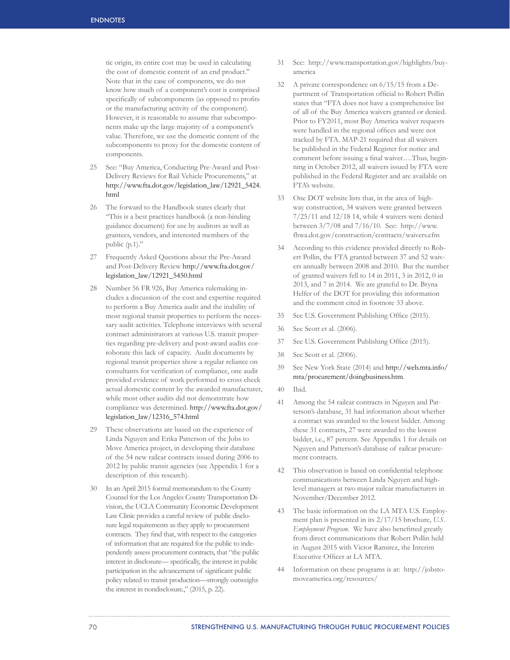tic origin, its entire cost may be used in calculating the cost of domestic content of an end product." Note that in the case of components, we do not know how much of a component's cost is comprised specifically of subcomponents (as opposed to profits or the manufacturing activity of the component). However, it is reasonable to assume that subcomponents make up the large majority of a component's value. Therefore, we use the domestic content of the subcomponents to proxy for the domestic content of components.

- 25 See: "Buy America, Conducting Pre-Award and Post-Delivery Reviews for Rail Vehicle Procurements," at http://www.fta.dot.gov/legislation\_law/12921\_5424. html
- 26 The forward to the Handbook states clearly that "This is a best practices handbook (a non-binding guidance document) for use by auditors as well as grantees, vendors, and interested members of the public (p.1)."
- 27 Frequently Asked Questions about the Pre-Award and Post-Delivery Review http://www.fta.dot.gov/ legislation\_law/12921\_5450.html
- 28 Number 56 FR 926, Buy America rulemaking includes a discussion of the cost and expertise required to perform a Buy America audit and the inability of most regional transit properties to perform the necessary audit activities. Telephone interviews with several contract administrators at various U.S. transit properties regarding pre-delivery and post-award audits corroborate this lack of capacity. Audit documents by regional transit properties show a regular reliance on consultants for verification of compliance, one audit provided evidence of work performed to cross check actual domestic content by the awarded manufacturer, while most other audits did not demonstrate how compliance was determined. http://www.fta.dot.gov/ legislation\_law/12316\_574.html
- 29 These observations are based on the experience of Linda Nguyen and Erika Patterson of the Jobs to Move America project, in developing their database of the 54 new railcar contracts issued during 2006 to 2012 by public transit agencies (see Appendix 1 for a description of this research).
- 30 In an April 2015 formal memorandum to the County Counsel for the Los Angeles County Transportation Division, the UCLA Community Economic Development Law Clinic provides a careful review of public disclosure legal requirements as they apply to procurement contracts. They find that, with respect to the categories of information that are required for the public to independently assess procurement contracts, that "the public interest in disclosure— specifically, the interest in public participation in the advancement of significant public policy related to transit production—strongly outweighs the interest in nondisclosure.," (2015, p. 22).
- 31 See: http://www.transportation.gov/highlights/buyamerica
- 32 A private correspondence on 6/15/15 from a Department of Transportation official to Robert Pollin states that "FTA does not have a comprehensive list of all of the Buy America waivers granted or denied. Prior to FY2011, most Buy America waiver requests were handled in the regional offices and were not tracked by FTA. MAP-21 required that all waivers be published in the Federal Register for notice and comment before issuing a final waiver….Thus, beginning in October 2012, all waivers issued by FTA were published in the Federal Register and are available on FTA's website.
- 33 One DOT website lists that, in the area of highway construction, 34 waivers were granted between 7/25/11 and 12/18 14, while 4 waivers were denied between 3/7/08 and 7/16/10. See: http://www. fhwa.dot.gov/construction/contracts/waivers.cfm
- 34 According to this evidence provided directly to Robert Pollin, the FTA granted between 37 and 52 waivers annually between 2008 and 2010. But the number of granted waivers fell to 14 in 2011, 3 in 2012, 0 in 2013, and 7 in 2014. We are grateful to Dr. Bryna Helfer of the DOT for providing this information and the comment cited in footnote 33 above.
- 35 See U.S. Government Publishing Office (2015).
- 36 See Scott et al. (2006).
- 37 See U.S. Government Publishing Office (2015).
- 38 See Scott et al. (2006).
- 39 See New York State (2014) and http://web.mta.info/ mta/procurement/doingbusiness.htm.
- 40 Ibid.
- 41 Among the 54 railcar contracts in Nguyen and Patterson's database, 31 had information about whether a contract was awarded to the lowest bidder. Among these 31 contracts, 27 were awarded to the lowest bidder, i.e., 87 percent. See Appendix 1 for details on Nguyen and Patterson's database of railcar procurement contracts.
- 42 This observation is based on confidential telephone communications between Linda Nguyen and highlevel managers at two major railcar manufacturers in November/December 2012.
- 43 The basic information on the LA MTA U.S. Employment plan is presented in its 2/17/15 brochure, *U.S. Employment Program.* We have also benefitted greatly from direct communications that Robert Pollin held in August 2015 with Victor Ramirez, the Interim Executive Officer at LA MTA.
- 44 Information on these programs is at: http://jobstomoveamerica.org/resources/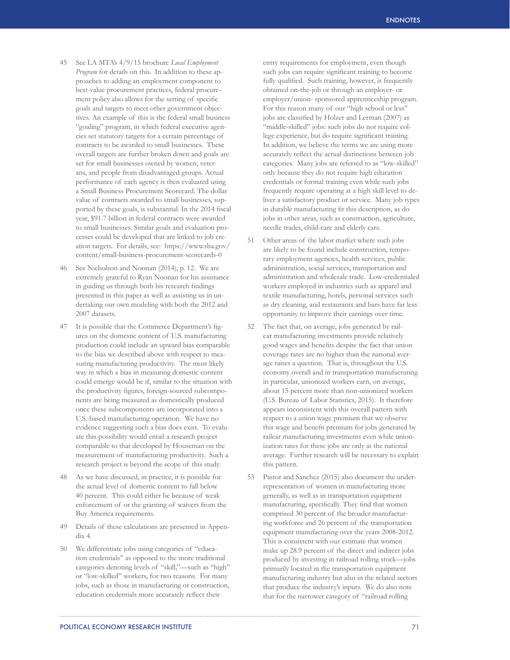- 45 See LA MTA's 4/9/15 brochure *Local Employment Program* for details on this. In addition to these approaches to adding an employment component to best-value procurement practices, federal procurement policy also allows for the setting of specific goals and targets to meet other government objectives. An example of this is the federal small business "goaling" program, in which federal executive agencies set statutory targets for a certain percentage of contracts to be awarded to small businesses. These overall targets are further broken down and goals are set for small businesses owned by women, veterans, and people from disadvantaged groups. Actual performance of each agency is then evaluated using a Small Business Procurement Scorecard. The dollar value of contracts awarded to small businesses, supported by these goals, is substantial. In the 2014 fiscal year, \$91.7 billion in federal contracts were awarded to small businesses. Similar goals and evaluation processes could be developed that are linked to job creation targets. For details, see: https://www.sba.gov/ content/small-business-procurement-scorecards-0
- 46 See Nicholson and Noonan (2014), p. 12. We are extremely grateful to Ryan Noonan for his assistance in guiding us through both his research findings presented in this paper as well as assisting us in undertaking our own modeling with both the 2012 and 2007 datasets.
- 47 It is possible that the Commerce Department's figures on the domestic content of U.S. manufacturing production could include an upward bias comparable to the bias we described above with respect to measuring manufacturing productivity. The most likely way in which a bias in measuring domestic content could emerge would be if, similar to the situation with the productivity figures, foreign-sourced subcomponents are being measured as domestically produced once these subcomponents are incorporated into a U.S.-based manufacturing operation. We have no evidence suggesting such a bias does exist. To evaluate this possibility would entail a research project comparable to that developed by Houseman on the measurement of manufacturing productivity. Such a research project is beyond the scope of this study.
- 48 As we have discussed, in practice, it is possible for the actual level of domestic content to fall below 40 percent. This could either be because of weak enforcement of or the granting of waivers from the Buy America requirements.
- 49 Details of these calculations are presented in Appendix 4.
- 50 We differentiate jobs using categories of "education credentials" as opposed to the more traditional categories denoting levels of "skill,"—such as "high" or "low-skilled" workers, for two reasons. For many jobs, such as those in manufacturing or construction, education credentials more accurately reflect their

entry requirements for employment, even though such jobs can require significant training to become fully qualified. Such training, however, is frequently obtained on-the-job or through an employer- or employer/union- sponsored apprenticeship program. For this reason many of our "high school or less" jobs are classified by Holzer and Lerman (2007) as "middle-skilled" jobs: such jobs do not require college experience, but do require significant training. In addition, we believe the terms we are using more accurately reflect the actual distinctions between job categories. Many jobs are referred to as "low-skilled" only because they do not require high education credentials or formal training even while such jobs frequently require operating at a high skill level to deliver a satisfactory product or service. Many job types in durable manufacturing fit this description, as do jobs in other areas, such as construction, agriculture, needle trades, child-care and elderly care.

- 51 Other areas of the labor market where such jobs are likely to be found include construction, temporary employment agencies, health services, public administration, social services, transportation and administration and wholesale trade. Low-credentialed workers employed in industries such as apparel and textile manufacturing, hotels, personal services such as dry cleaning, and restaurants and bars have far less opportunity to improve their earnings over time.
- 52 The fact that, on average, jobs generated by railcar manufacturing investments provide relatively good wages and benefits despite the fact that union coverage rates are no higher than the national average raises a question. That is, throughout the U.S. economy overall and in transportation manufacturing in particular, unionized workers earn, on average, about 15 percent more than non-unionized workers (U.S. Bureau of Labor Statistics, 2015). It therefore appears inconsistent with this overall pattern with respect to a union wage premium that we observe this wage and benefit premium for jobs generated by railcar manufacturing investments even while unionization rates for these jobs are only at the national average. Further research will be necessary to explain this pattern.
- 53 Pastor and Sanchez (2015) also document the underrepresentation of women in manufacturing more generally, as well as in transportation equipment manufacturing, specifically. They find that women comprised 30 percent of the broader manufacturing workforce and 26 percent of the transportation equipment manufacturing over the years 2008-2012. This is consistent with our estimate that women make up 28.9 percent of the direct and indirect jobs produced by investing in railroad rolling stock—jobs primarily located in the transportation equipment manufacturing industry but also in the related sectors that produce the industry's inputs. We do also note that for the narrower category of "railroad rolling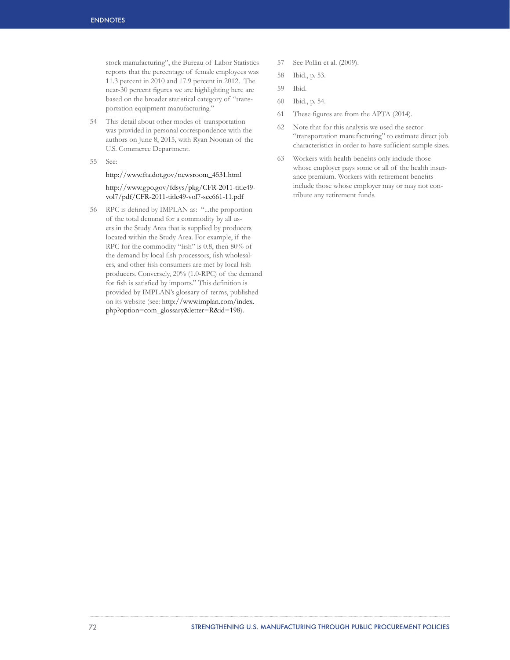stock manufacturing", the Bureau of Labor Statistics reports that the percentage of female employees was 11.3 percent in 2010 and 17.9 percent in 2012. The near-30 percent figures we are highlighting here are based on the broader statistical category of "transportation equipment manufacturing."

- 54 This detail about other modes of transportation was provided in personal correspondence with the authors on June 8, 2015, with Ryan Noonan of the U.S. Commerce Department.
- 55 See:

## http://www.fta.dot.gov/newsroom\_4531.html

http://www.gpo.gov/fdsys/pkg/CFR-2011-title49 vol7/pdf/CFR-2011-title49-vol7-sec661-11.pdf

56 RPC is defined by IMPLAN as: "...the proportion of the total demand for a commodity by all users in the Study Area that is supplied by producers located within the Study Area. For example, if the RPC for the commodity "fish" is 0.8, then 80% of the demand by local fish processors, fish wholesalers, and other fish consumers are met by local fish producers. Conversely, 20% (1.0-RPC) of the demand for fish is satisfied by imports." This definition is provided by IMPLAN's glossary of terms, published on its website (see: http://www.implan.com/index. php?option=com\_glossary&letter=R&id=198).

- 57 See Pollin et al. (2009).
- 58 Ibid., p. 53.
- 59 Ibid.
- 60 Ibid., p. 54.
- 61 These figures are from the APTA (2014).
- 62 Note that for this analysis we used the sector "transportation manufacturing" to estimate direct job characteristics in order to have sufficient sample sizes.
- 63 Workers with health benefits only include those whose employer pays some or all of the health insurance premium. Workers with retirement benefits include those whose employer may or may not contribute any retirement funds.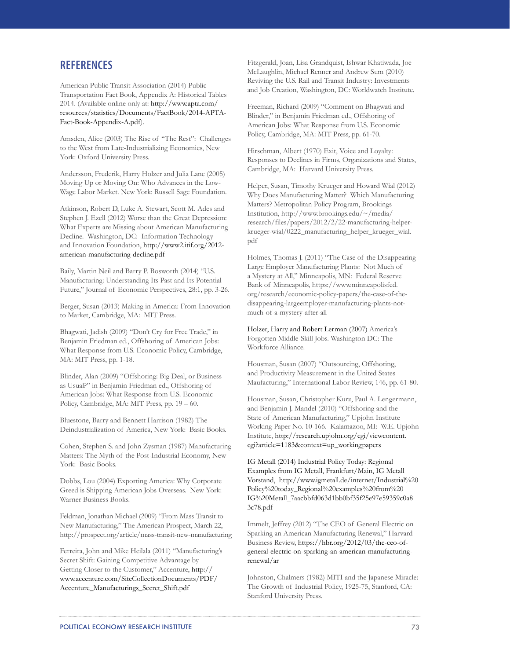## **REFERENCES**

American Public Transit Association (2014) Public Transportation Fact Book, Appendix A: Historical Tables 2014. (Available online only at: http://www.apta.com/ resources/statistics/Documents/FactBook/2014-APTA-Fact-Book-Appendix-A.pdf).

Amsden, Alice (2003) The Rise of "The Rest": Challenges to the West from Late-Industrializing Economies, New York: Oxford University Press.

Andersson, Frederik, Harry Holzer and Julia Lane (2005) Moving Up or Moving On: Who Advances in the Low-Wage Labor Market. New York: Russell Sage Foundation.

Atkinson, Robert D, Luke A. Stewart, Scott M. Ades and Stephen J. Ezell (2012) Worse than the Great Depression: What Experts are Missing about American Manufacturing Decline. Washington, DC: Information Technology and Innovation Foundation, http://www2.itif.org/2012 american-manufacturing-decline.pdf

Baily, Martin Neil and Barry P. Bosworth (2014) "U.S. Manufacturing: Understanding Its Past and Its Potential Future," Journal of Economic Perspectives, 28:1, pp. 3-26.

Berger, Susan (2013) Making in America: From Innovation to Market, Cambridge, MA: MIT Press.

Bhagwati, Jadish (2009) "Don't Cry for Free Trade," in Benjamin Friedman ed., Offshoring of American Jobs: What Response from U.S. Economic Policy, Cambridge, MA: MIT Press, pp. 1-18.

Blinder, Alan (2009) "Offshoring: Big Deal, or Business as Usual?" in Benjamin Friedman ed., Offshoring of American Jobs: What Response from U.S. Economic Policy, Cambridge, MA: MIT Press, pp. 19 – 60.

Bluestone, Barry and Bennett Harrison (1982) The Deindustrialization of America, New York: Basic Books.

Cohen, Stephen S. and John Zysman (1987) Manufacturing Matters: The Myth of the Post-Industrial Economy, New York: Basic Books.

Dobbs, Lou (2004) Exporting America: Why Corporate Greed is Shipping American Jobs Overseas. New York: Warner Business Books.

Feldman, Jonathan Michael (2009) "From Mass Transit to New Manufacturing," The American Prospect, March 22, http://prospect.org/article/mass-transit-new-manufacturing

Ferreira, John and Mike Heilala (2011) "Manufacturing's Secret Shift: Gaining Competitive Advantage by Getting Closer to the Customer," Accenture, http:// www.accenture.com/SiteCollectionDocuments/PDF/ Accenture\_Manufacturings\_Secret\_Shift.pdf

Fitzgerald, Joan, Lisa Grandquist, Ishwar Khatiwada, Joe McLaughlin, Michael Renner and Andrew Sum (2010) Reviving the U.S. Rail and Transit Industry: Investments and Job Creation, Washington, DC: Worldwatch Institute.

Freeman, Richard (2009) "Comment on Bhagwati and Blinder," in Benjamin Friedman ed., Offshoring of American Jobs: What Response from U.S. Economic Policy, Cambridge, MA: MIT Press, pp. 61-70.

Hirschman, Albert (1970) Exit, Voice and Loyalty: Responses to Declines in Firms, Organizations and States, Cambridge, MA: Harvard University Press.

Helper, Susan, Timothy Krueger and Howard Wial (2012) Why Does Manufacturing Matter? Which Manufacturing Matters? Metropolitan Policy Program, Brookings Institution, http://www.brookings.edu/~/media/ research/files/papers/2012/2/22-manufacturing-helperkrueger-wial/0222\_manufacturing\_helper\_krueger\_wial. pdf

Holmes, Thomas J. (2011) "The Case of the Disappearing Large Employer Manufacturing Plants: Not Much of a Mystery at All," Minneapolis, MN: Federal Reserve Bank of Minneapolis, https://www.minneapolisfed. org/research/economic-policy-papers/the-case-of-thedisappearing-largeemployer-manufacturing-plants-notmuch-of-a-mystery-after-all

Holzer, Harry and Robert Lerman (2007) America's Forgotten Middle-Skill Jobs. Washington DC: The Workforce Alliance.

Housman, Susan (2007) "Outsourcing, Offshoring, and Productivity Measurement in the United States Maufacturing," International Labor Review, 146, pp. 61-80.

Housman, Susan, Christopher Kurz, Paul A. Lengermann, and Benjamin J. Mandel (2010) "Offshoring and the State of American Manufacturing," Upjohn Institute Working Paper No. 10-166. Kalamazoo, MI: W.E. Upjohn Institute, http://research.upjohn.org/cgi/viewcontent. cgi?article=1183&context=up\_workingpapers

IG Metall (2014) Industrial Policy Today: Regional Examples from IG Metall, Frankfurt/Main, IG Metall Vorstand, http://www.igmetall.de/internet/Industrial%20 Policy%20today\_Regional%20examples%20from%20 IG%20Metall\_7aacbbfd063d1bb0bf35f25e97e59359c0a8 3c78.pdf

Immelt, Jeffrey (2012) "The CEO of General Electric on Sparking an American Manufacturing Renewal," Harvard Business Review, https://hbr.org/2012/03/the-ceo-ofgeneral-electric-on-sparking-an-american-manufacturingrenewal/ar

Johnston, Chalmers (1982) MITI and the Japanese Miracle: The Growth of Industrial Policy, 1925-75, Stanford, CA: Stanford University Press.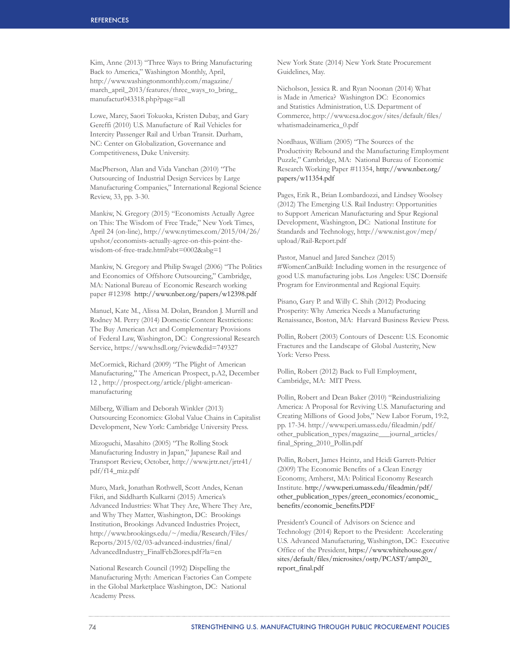Kim, Anne (2013) "Three Ways to Bring Manufacturing Back to America," Washington Monthly, April, http://www.washingtonmonthly.com/magazine/ march\_april\_2013/features/three\_ways\_to\_bring manufactur043318.php?page=all

Lowe, Marcy, Saori Tokuoka, Kristen Dubay, and Gary Gereffi (2010) U.S. Manufacture of Rail Vehicles for Intercity Passenger Rail and Urban Transit. Durham, NC: Center on Globalization, Governance and Competitiveness, Duke University.

MacPherson, Alan and Vida Vanchan (2010) "The Outsourcing of Industrial Design Services by Large Manufacturing Companies," International Regional Science Review, 33, pp. 3-30.

Mankiw, N. Gregory (2015) "Economists Actually Agree on This: The Wisdom of Free Trade," New York Times, April 24 (on-line), http://www.nytimes.com/2015/04/26/ upshot/economists-actually-agree-on-this-point-thewisdom-of-free-trade.html?abt=0002&abg=1

Mankiw, N. Gregory and Philip Swagel (2006) "The Politics and Economics of Offshore Outsourcing," Cambridge, MA: National Bureau of Economic Research working paper #12398 http://www.nber.org/papers/w12398.pdf

Manuel, Kate M., Alissa M. Dolan, Brandon J. Murrill and Rodney M. Perry (2014) Domestic Content Restrictions: The Buy American Act and Complementary Provisions of Federal Law, Washington, DC: Congressional Research Service, https://www.hsdl.org/?view&did=749327

McCormick, Richard (2009) "The Plight of American Manufacturing," The American Prospect, p.A2, December 12 , http://prospect.org/article/plight-americanmanufacturing

Milberg, William and Deborah Winkler (2013) Outsourcing Economics: Global Value Chains in Capitalist Development, New York: Cambridge University Press.

Mizoguchi, Masahito (2005) "The Rolling Stock Manufacturing Industry in Japan," Japanese Rail and Transport Review, October, http://www.jrtr.net/jrtr41/ pdf/f14\_miz.pdf

Muro, Mark, Jonathan Rothwell, Scott Andes, Kenan Fikri, and Siddharth Kulkarni (2015) America's Advanced Industries: What They Are, Where They Are, and Why They Matter, Washington, DC: Brookings Institution, Brookings Advanced Industries Project, http://www.brookings.edu/~/media/Research/Files/ Reports/2015/02/03-advanced-industries/final/ AdvancedIndustry\_FinalFeb2lores.pdf?la=en

National Research Council (1992) Dispelling the Manufacturing Myth: American Factories Can Compete in the Global Marketplace Washington, DC: National Academy Press.

New York State (2014) New York State Procurement Guidelines, May.

Nicholson, Jessica R. and Ryan Noonan (2014) What is Made in America? Washington DC: Economics and Statistics Administration, U.S. Department of Commerce, http://www.esa.doc.gov/sites/default/files/ whatismadeinamerica\_0.pdf

Nordhaus, William (2005) "The Sources of the Productivity Rebound and the Manufacturing Employment Puzzle," Cambridge, MA: National Bureau of Economic Research Working Paper #11354, http://www.nber.org/ papers/w11354.pdf

Pages, Erik R., Brian Lombardozzi, and Lindsey Woolsey (2012) The Emerging U.S. Rail Industry: Opportunities to Support American Manufacturing and Spur Regional Development, Washington, DC: National Institute for Standards and Technology, http://www.nist.gov/mep/ upload/Rail-Report.pdf

Pastor, Manuel and Jared Sanchez (2015) #WomenCanBuild: Including women in the resurgence of good U.S. manufacturing jobs. Los Angeles: USC Dornsife Program for Environmental and Regional Equity.

Pisano, Gary P. and Willy C. Shih (2012) Producing Prosperity: Why America Needs a Manufacturing Renaissance, Boston, MA: Harvard Business Review Press.

Pollin, Robert (2003) Contours of Descent: U.S. Economic Fractures and the Landscape of Global Austerity, New York: Verso Press.

Pollin, Robert (2012) Back to Full Employment, Cambridge, MA: MIT Press.

Pollin, Robert and Dean Baker (2010) "Reindustrializing America: A Proposal for Reviving U.S. Manufacturing and Creating Millions of Good Jobs," New Labor Forum, 19:2, pp. 17-34. http://www.peri.umass.edu/fileadmin/pdf/ other\_publication\_types/magazine\_\_\_journal\_articles/ final\_Spring\_2010\_Pollin.pdf

Pollin, Robert, James Heintz, and Heidi Garrett-Peltier (2009) The Economic Benefits of a Clean Energy Economy, Amherst, MA: Political Economy Research Institute. http://www.peri.umass.edu/fileadmin/pdf/ other\_publication\_types/green\_economics/economic\_ benefits/economic\_benefits.PDF

President's Council of Advisors on Science and Technology (2014) Report to the President: Accelerating U.S. Advanced Manufacturing, Washington, DC: Executive Office of the President, https://www.whitehouse.gov/ sites/default/files/microsites/ostp/PCAST/amp20\_ report\_final.pdf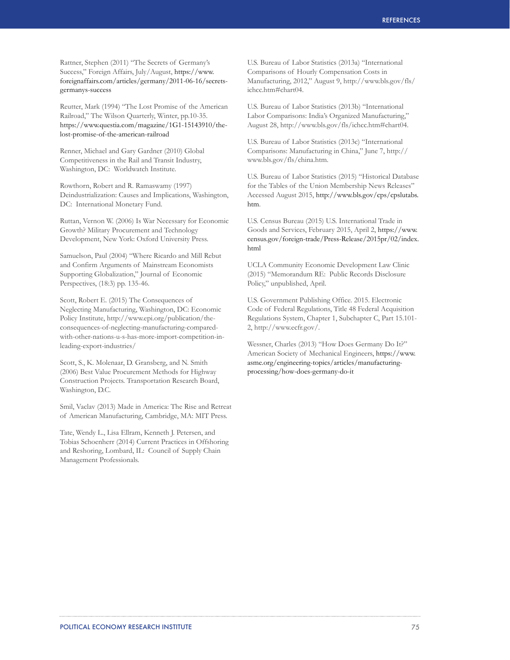Rattner, Stephen (2011) "The Secrets of Germany's Success," Foreign Affairs, July/August, https://www. foreignaffairs.com/articles/germany/2011-06-16/secretsgermanys-success

Reutter, Mark (1994) "The Lost Promise of the American Railroad," The Wilson Quarterly, Winter, pp.10-35. https://www.questia.com/magazine/1G1-15143910/thelost-promise-of-the-american-railroad

Renner, Michael and Gary Gardner (2010) Global Competitiveness in the Rail and Transit Industry, Washington, DC: Worldwatch Institute.

Rowthorn, Robert and R. Ramaswamy (1997) Deindustrialization: Causes and Implications, Washington, DC: International Monetary Fund.

Ruttan, Vernon W. (2006) Is War Necessary for Economic Growth? Military Procurement and Technology Development, New York: Oxford University Press.

Samuelson, Paul (2004) "Where Ricardo and Mill Rebut and Confirm Arguments of Mainstream Economists Supporting Globalization," Journal of Economic Perspectives, (18:3) pp. 135-46.

Scott, Robert E. (2015) The Consequences of Neglecting Manufacturing, Washington, DC: Economic Policy Institute, http://www.epi.org/publication/theconsequences-of-neglecting-manufacturing-comparedwith-other-nations-u-s-has-more-import-competition-inleading-export-industries/

Scott, S., K. Molenaar, D. Gransberg, and N. Smith (2006) Best Value Procurement Methods for Highway Construction Projects. Transportation Research Board, Washington, D.C.

Smil, Vaclav (2013) Made in America: The Rise and Retreat of American Manufacturing, Cambridge, MA: MIT Press.

Tate, Wendy L., Lisa Ellram, Kenneth J. Petersen, and Tobias Schoenherr (2014) Current Practices in Offshoring and Reshoring, Lombard, IL: Council of Supply Chain Management Professionals.

U.S. Bureau of Labor Statistics (2013a) "International Comparisons of Hourly Compensation Costs in Manufacturing, 2012," August 9, http://www.bls.gov/fls/ ichcc.htm#chart04.

U.S. Bureau of Labor Statistics (2013b) "International Labor Comparisons: India's Organized Manufacturing," August 28, http://www.bls.gov/fls/ichcc.htm#chart04.

U.S. Bureau of Labor Statistics (2013c) "International Comparisons: Manufacturing in China," June 7, http:// www.bls.gov/fls/china.htm.

U.S. Bureau of Labor Statistics (2015) "Historical Database for the Tables of the Union Membership News Releases" Accessed August 2015, http://www.bls.gov/cps/cpslutabs. htm.

U.S. Census Bureau (2015) U.S. International Trade in Goods and Services, February 2015, April 2, https://www. census.gov/foreign-trade/Press-Release/2015pr/02/index. html

UCLA Community Economic Development Law Clinic (2015) "Memorandum RE: Public Records Disclosure Policy," unpublished, April.

U.S. Government Publishing Office. 2015. Electronic Code of Federal Regulations, Title 48 Federal Acquisition Regulations System, Chapter 1, Subchapter C, Part 15.101- 2, http://www.ecfr.gov/.

Wessner, Charles (2013) "How Does Germany Do It?" American Society of Mechanical Engineers, https://www. asme.org/engineering-topics/articles/manufacturingprocessing/how-does-germany-do-it